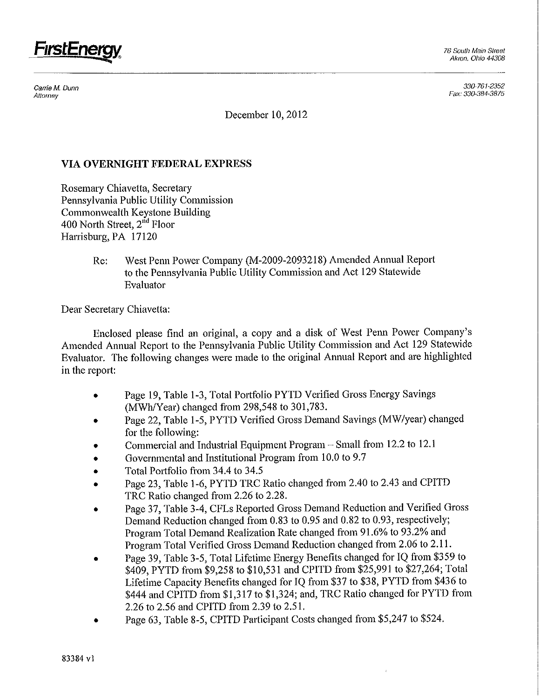

Carrie M. Dunn Attorney

330-761-2352 Fax: 330-384-3875

December 10, 2012

## **VIA OVERNIGHT FEDERAL EXPRESS**

Rosemary Chiavetta, Secretary Pennsylvania Public Utility Commission Commonwealth Keystone Building 400 North Street, 2<sup>nd</sup> Floor Harrisburg, PA 17120

> West Penn Power Company (M-2009-2093218) Amended Annual Report Re: to the Pennsylvania Public Utility Commission and Act 129 Statewide Evaluator

Dear Secretary Chiavetta:

Enclosed please find an original, a copy and a disk of West Penn Power Company's Amended Annual Report to the Pennsylvania Public Utility Commission and Act 129 Statewide Evaluator. The following changes were made to the original Annual Report and are highlighted in the report:

- Page 19, Table 1-3, Total Portfolio PYTD Verified Gross Energy Savings  $\bullet$ (MWh/Year) changed from 298,548 to 301,783.
- Page 22, Table 1-5, PYTD Verified Gross Demand Savings (MW/year) changed for the following:
- Commercial and Industrial Equipment Program Small from 12.2 to 12.1
- Governmental and Institutional Program from 10.0 to 9.7
- Total Portfolio from 34.4 to 34.5
- Page 23, Table 1-6, PYTD TRC Ratio changed from 2.40 to 2.43 and CPITD  $\bullet$ TRC Ratio changed from 2.26 to 2.28.
- Page 37, Table 3-4, CFLs Reported Gross Demand Reduction and Verified Gross Demand Reduction changed from 0.83 to 0.95 and 0.82 to 0.93, respectively; Program Total Demand Realization Rate changed from 91.6% to 93.2% and Program Total Verified Gross Demand Reduction changed from 2.06 to 2.11.
- Page 39, Table 3-5, Total Lifetime Energy Benefits changed for IQ from \$359 to \$409, PYTD from \$9,258 to \$10,531 and CPITD from \$25,991 to \$27,264; Total Lifetime Capacity Benefits changed for IQ from \$37 to \$38, PYTD from \$436 to \$444 and CPITD from \$1,317 to \$1,324; and, TRC Ratio changed for PYTD from 2.26 to 2.56 and CPITD from 2.39 to 2.51.
- Page 63, Table 8-5, CPITD Participant Costs changed from \$5,247 to \$524.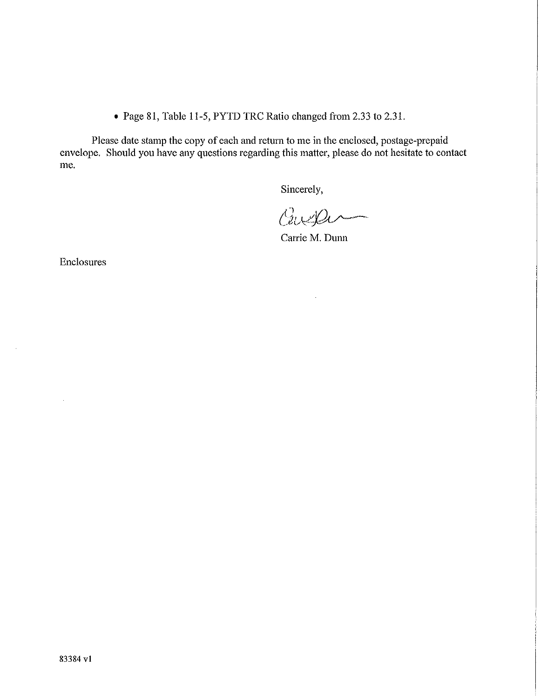• Page 81, Table 11-5, PYTD TRC Ratio changed from 2.33 to 2.31.

Please date stamp the copy of each and return to me in the enclosed, postage-prepaid envelope. Should you have any questions regarding this matter, please do not hesitate to contact me.

Sincerely,

Carpen

Carrie M. Dunn

 $\mathcal{A}$ 

Enclosures

 $\overline{\phantom{a}}$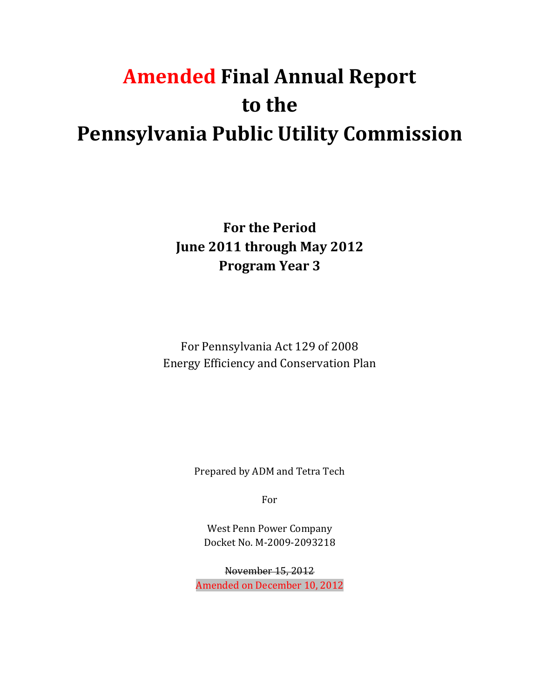# **Amended Final Annual Report to the Pennsylvania Public Utility Commission**

**For the Period June 2011 through May 2012 Program Year 3**

For Pennsylvania Act 129 of 2008 Energy Efficiency and Conservation Plan 

Prepared by ADM and Tetra Tech

For 

West Penn Power Company Docket No. M-2009-2093218

November 15, 2012 Amended on December 10, 2012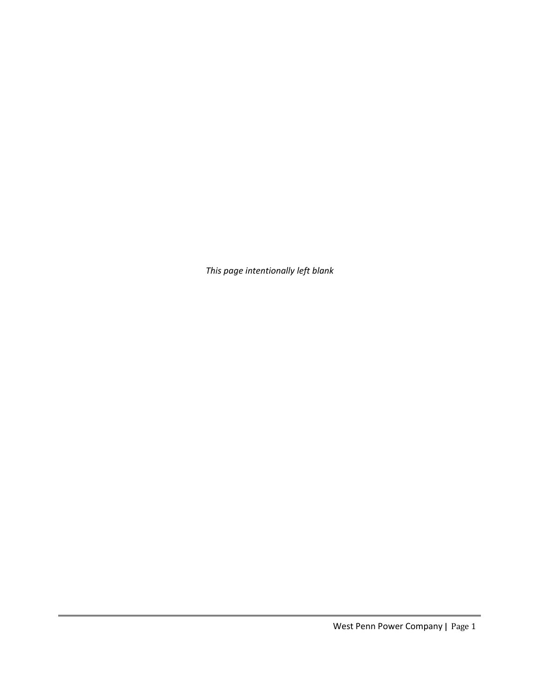*This page intentionally left blank*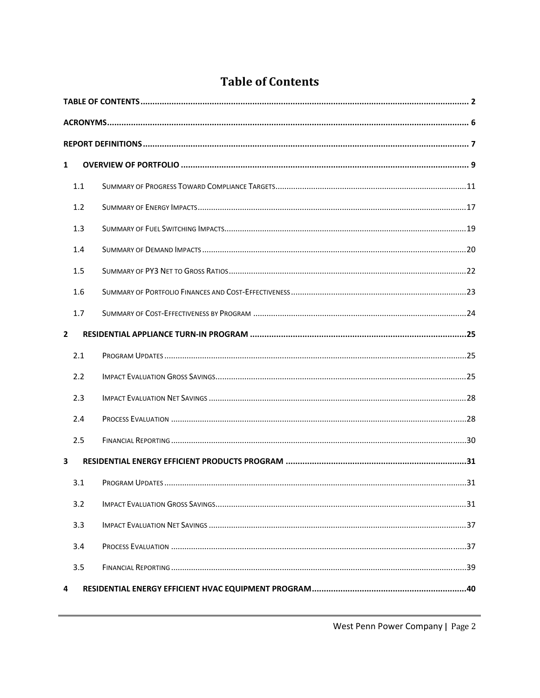# **Table of Contents**

<span id="page-4-0"></span>

| $\mathbf{1}$   |     |  |  |  |  |  |  |
|----------------|-----|--|--|--|--|--|--|
|                | 1.1 |  |  |  |  |  |  |
|                | 1.2 |  |  |  |  |  |  |
|                | 1.3 |  |  |  |  |  |  |
|                | 1.4 |  |  |  |  |  |  |
|                | 1.5 |  |  |  |  |  |  |
|                | 1.6 |  |  |  |  |  |  |
|                | 1.7 |  |  |  |  |  |  |
| $\overline{2}$ |     |  |  |  |  |  |  |
|                | 2.1 |  |  |  |  |  |  |
|                | 2.2 |  |  |  |  |  |  |
|                | 2.3 |  |  |  |  |  |  |
|                | 2.4 |  |  |  |  |  |  |
|                | 2.5 |  |  |  |  |  |  |
| 3              |     |  |  |  |  |  |  |
|                | 3.1 |  |  |  |  |  |  |
|                | 3.2 |  |  |  |  |  |  |
|                | 3.3 |  |  |  |  |  |  |
|                | 3.4 |  |  |  |  |  |  |
|                | 3.5 |  |  |  |  |  |  |
| 4              |     |  |  |  |  |  |  |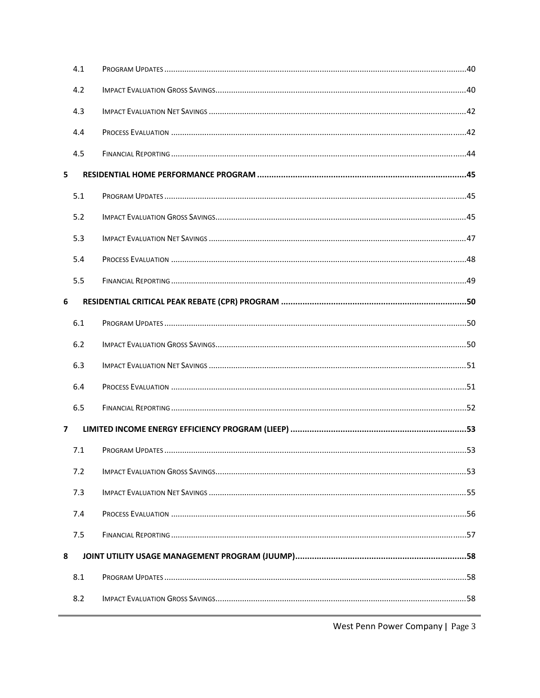|   | 4.1 |  |
|---|-----|--|
|   | 4.2 |  |
|   | 4.3 |  |
|   | 4.4 |  |
|   | 4.5 |  |
| 5 |     |  |
|   | 5.1 |  |
|   | 5.2 |  |
|   | 5.3 |  |
|   | 5.4 |  |
|   | 5.5 |  |
| 6 |     |  |
|   | 6.1 |  |
|   | 6.2 |  |
|   | 6.3 |  |
|   | 6.4 |  |
|   | 6.5 |  |
| 7 |     |  |
|   | 7.1 |  |
|   | 7.2 |  |
|   | 7.3 |  |
|   | 7.4 |  |
|   | 7.5 |  |
| 8 |     |  |
|   | 8.1 |  |
|   | 8.2 |  |

West Penn Power Company | Page 3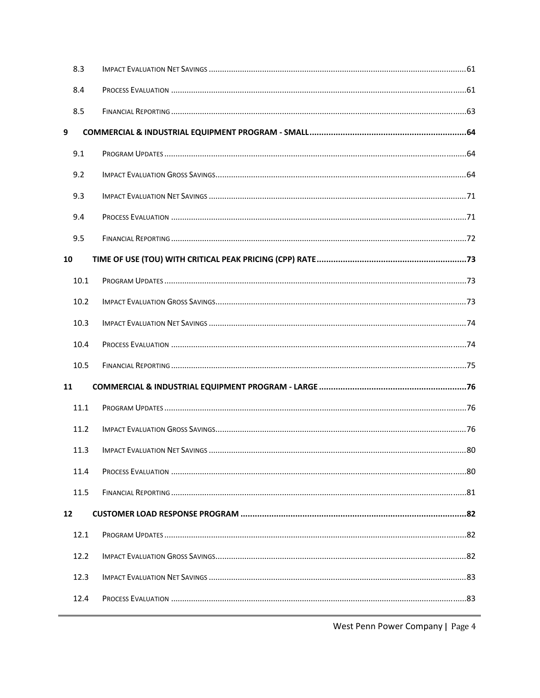| 8.3  |  |
|------|--|
| 8.4  |  |
| 8.5  |  |
| 9    |  |
| 9.1  |  |
| 9.2  |  |
| 9.3  |  |
| 9.4  |  |
| 9.5  |  |
| 10   |  |
| 10.1 |  |
| 10.2 |  |
| 10.3 |  |
| 10.4 |  |
| 10.5 |  |
| 11   |  |
| 11.1 |  |
| 11.2 |  |
| 11.3 |  |
| 11.4 |  |
| 11.5 |  |
| 12   |  |
| 12.1 |  |
| 12.2 |  |
| 12.3 |  |
| 12.4 |  |

West Penn Power Company | Page 4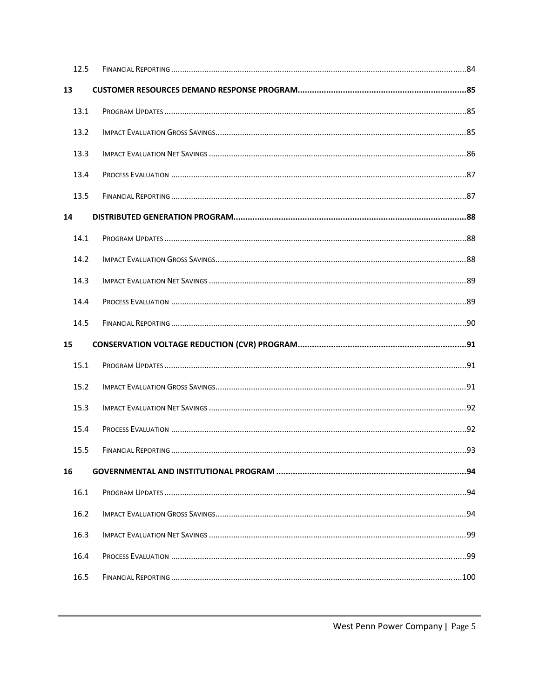| 12.5 |  |
|------|--|
| 13   |  |
| 13.1 |  |
| 13.2 |  |
| 13.3 |  |
| 13.4 |  |
| 13.5 |  |
| 14   |  |
| 14.1 |  |
| 14.2 |  |
| 14.3 |  |
| 14.4 |  |
| 14.5 |  |
|      |  |
| 15   |  |
| 15.1 |  |
| 15.2 |  |
| 15.3 |  |
| 15.4 |  |
| 15.5 |  |
| 16   |  |
| 16.1 |  |
| 16.2 |  |
| 16.3 |  |
| 16.4 |  |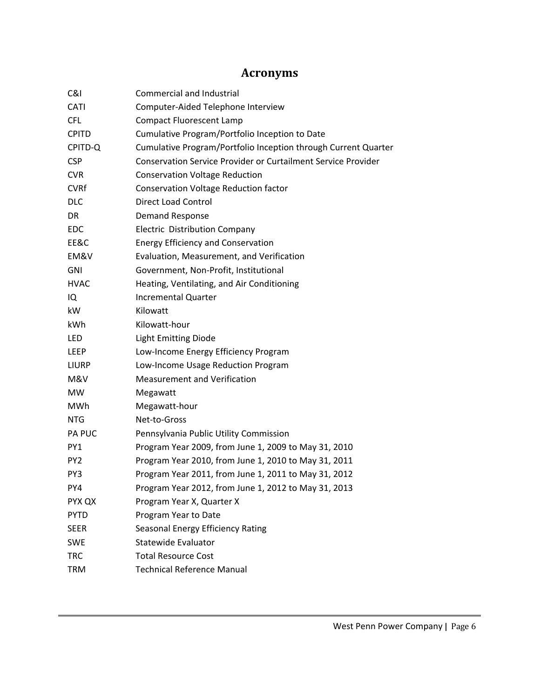# **Acronyms**

<span id="page-8-0"></span>

| C&I             | Commercial and Industrial                                            |
|-----------------|----------------------------------------------------------------------|
| <b>CATI</b>     | Computer-Aided Telephone Interview                                   |
| <b>CFL</b>      | <b>Compact Fluorescent Lamp</b>                                      |
| <b>CPITD</b>    | Cumulative Program/Portfolio Inception to Date                       |
| CPITD-Q         | Cumulative Program/Portfolio Inception through Current Quarter       |
| <b>CSP</b>      | <b>Conservation Service Provider or Curtailment Service Provider</b> |
| <b>CVR</b>      | <b>Conservation Voltage Reduction</b>                                |
| <b>CVRf</b>     | Conservation Voltage Reduction factor                                |
| <b>DLC</b>      | <b>Direct Load Control</b>                                           |
| DR              | Demand Response                                                      |
| <b>EDC</b>      | Electric Distribution Company                                        |
| EE&C            | <b>Energy Efficiency and Conservation</b>                            |
| EM&V            | Evaluation, Measurement, and Verification                            |
| <b>GNI</b>      | Government, Non-Profit, Institutional                                |
| <b>HVAC</b>     | Heating, Ventilating, and Air Conditioning                           |
| IQ              | <b>Incremental Quarter</b>                                           |
| kW              | Kilowatt                                                             |
| kWh             | Kilowatt-hour                                                        |
| <b>LED</b>      | <b>Light Emitting Diode</b>                                          |
| <b>LEEP</b>     | Low-Income Energy Efficiency Program                                 |
| <b>LIURP</b>    | Low-Income Usage Reduction Program                                   |
| M&V             | <b>Measurement and Verification</b>                                  |
| <b>MW</b>       | Megawatt                                                             |
| MWh             | Megawatt-hour                                                        |
| NTG             | Net-to-Gross                                                         |
| <b>PA PUC</b>   | Pennsylvania Public Utility Commission                               |
| PY1             | Program Year 2009, from June 1, 2009 to May 31, 2010                 |
| PY <sub>2</sub> | Program Year 2010, from June 1, 2010 to May 31, 2011                 |
| PY3             | Program Year 2011, from June 1, 2011 to May 31, 2012                 |
| PY4             | Program Year 2012, from June 1, 2012 to May 31, 2013                 |
| PYX QX          | Program Year X, Quarter X                                            |
| <b>PYTD</b>     | Program Year to Date                                                 |
| <b>SEER</b>     | Seasonal Energy Efficiency Rating                                    |
| <b>SWE</b>      | <b>Statewide Evaluator</b>                                           |
| <b>TRC</b>      | <b>Total Resource Cost</b>                                           |
| <b>TRM</b>      | <b>Technical Reference Manual</b>                                    |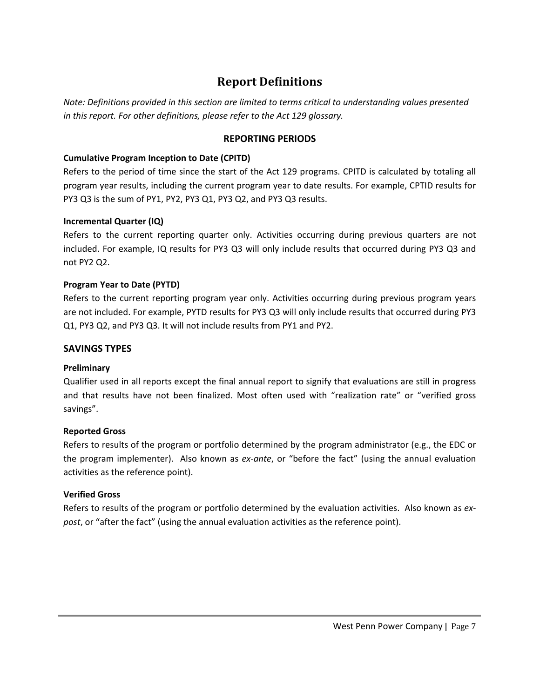# **Report Definitions**

<span id="page-9-0"></span>*Note: Definitions provided in this section are limited to terms critical to understanding values presented in this report. For other definitions, please refer to the Act 129 glossary.*

#### **REPORTING PERIODS**

#### **Cumulative Program Inception to Date (CPITD)**

Refers to the period of time since the start of the Act 129 programs. CPITD is calculated by totaling all program year results, including the current program year to date results. For example, CPTID results for PY3 Q3 is the sum of PY1, PY2, PY3 Q1, PY3 Q2, and PY3 Q3 results.

#### **Incremental Quarter (IQ)**

Refers to the current reporting quarter only. Activities occurring during previous quarters are not included. For example, IQ results for PY3 Q3 will only include results that occurred during PY3 Q3 and not PY2 Q2.

#### **Program Year to Date (PYTD)**

Refers to the current reporting program year only. Activities occurring during previous program years are not included. For example, PYTD results for PY3 Q3 will only include results that occurred during PY3 Q1, PY3 Q2, and PY3 Q3. It will not include results from PY1 and PY2.

### **SAVINGS TYPES**

#### **Preliminary**

Qualifier used in all reports except the final annual report to signify that evaluations are still in progress and that results have not been finalized. Most often used with "realization rate" or "verified gross savings".

#### **Reported Gross**

Refers to results of the program or portfolio determined by the program administrator (e.g., the EDC or the program implementer). Also known as *ex‐ante*, or "before the fact" (using the annual evaluation activities as the reference point).

## **Verified Gross**

Refers to results of the program or portfolio determined by the evaluation activities. Also known as *ex‐ post*, or "after the fact" (using the annual evaluation activities as the reference point).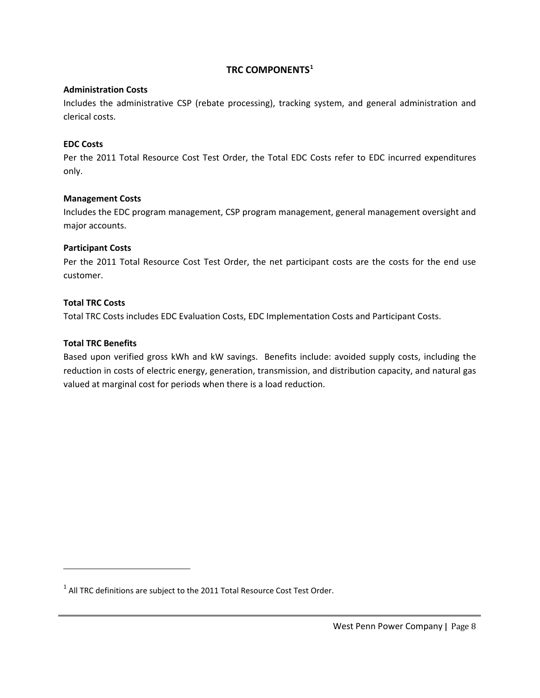## **TRC COMPONENTS[1](#page-10-0)**

#### **Administration Costs**

Includes the administrative CSP (rebate processing), tracking system, and general administration and clerical costs.

#### **EDC Costs**

Per the 2011 Total Resource Cost Test Order, the Total EDC Costs refer to EDC incurred expenditures only.

#### **Management Costs**

Includes the EDC program management, CSP program management, general management oversight and major accounts.

#### **Participant Costs**

Per the 2011 Total Resource Cost Test Order, the net participant costs are the costs for the end use customer.

#### **Total TRC Costs**

Total TRC Costs includes EDC Evaluation Costs, EDC Implementation Costs and Participant Costs.

#### **Total TRC Benefits**

Based upon verified gross kWh and kW savings. Benefits include: avoided supply costs, including the reduction in costs of electric energy, generation, transmission, and distribution capacity, and natural gas valued at marginal cost for periods when there is a load reduction.

<span id="page-10-0"></span> $1$  All TRC definitions are subject to the 2011 Total Resource Cost Test Order.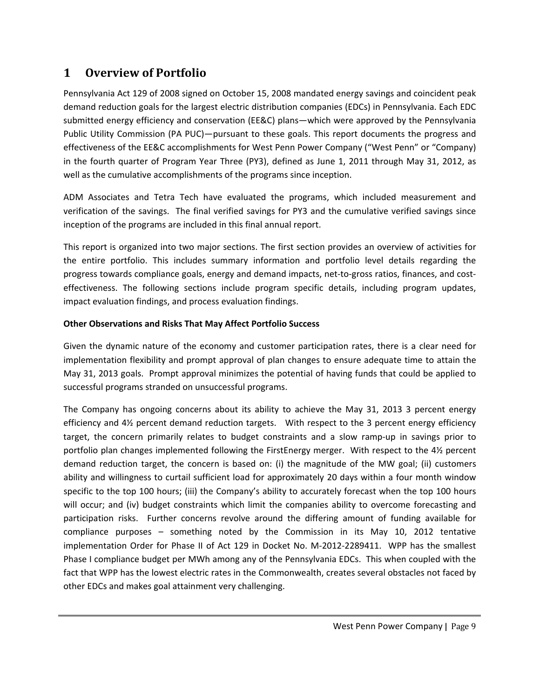# <span id="page-11-0"></span>**1 Overview of Portfolio**

Pennsylvania Act 129 of 2008 signed on October 15, 2008 mandated energy savings and coincident peak demand reduction goals for the largest electric distribution companies (EDCs) in Pennsylvania. Each EDC submitted energy efficiency and conservation (EE&C) plans—which were approved by the Pennsylvania Public Utility Commission (PA PUC)—pursuant to these goals. This report documents the progress and effectiveness of the EE&C accomplishments for West Penn Power Company ("West Penn" or "Company) in the fourth quarter of Program Year Three (PY3), defined as June 1, 2011 through May 31, 2012, as well as the cumulative accomplishments of the programs since inception.

ADM Associates and Tetra Tech have evaluated the programs, which included measurement and verification of the savings. The final verified savings for PY3 and the cumulative verified savings since inception of the programs are included in this final annual report.

This report is organized into two major sections. The first section provides an overview of activities for the entire portfolio. This includes summary information and portfolio level details regarding the progress towards compliance goals, energy and demand impacts, net‐to‐gross ratios, finances, and cost‐ effectiveness. The following sections include program specific details, including program updates, impact evaluation findings, and process evaluation findings.

#### **Other Observations and Risks That May Affect Portfolio Success**

Given the dynamic nature of the economy and customer participation rates, there is a clear need for implementation flexibility and prompt approval of plan changes to ensure adequate time to attain the May 31, 2013 goals. Prompt approval minimizes the potential of having funds that could be applied to successful programs stranded on unsuccessful programs.

The Company has ongoing concerns about its ability to achieve the May 31, 2013 3 percent energy efficiency and 4½ percent demand reduction targets. With respect to the 3 percent energy efficiency target, the concern primarily relates to budget constraints and a slow ramp‐up in savings prior to portfolio plan changes implemented following the FirstEnergy merger. With respect to the 4½ percent demand reduction target, the concern is based on: (i) the magnitude of the MW goal; (ii) customers ability and willingness to curtail sufficient load for approximately 20 days within a four month window specific to the top 100 hours; (iii) the Company's ability to accurately forecast when the top 100 hours will occur; and (iv) budget constraints which limit the companies ability to overcome forecasting and participation risks. Further concerns revolve around the differing amount of funding available for compliance purposes – something noted by the Commission in its May 10, 2012 tentative implementation Order for Phase II of Act 129 in Docket No. M‐2012‐2289411. WPP has the smallest Phase I compliance budget per MWh among any of the Pennsylvania EDCs. This when coupled with the fact that WPP has the lowest electric rates in the Commonwealth, creates several obstacles not faced by other EDCs and makes goal attainment very challenging.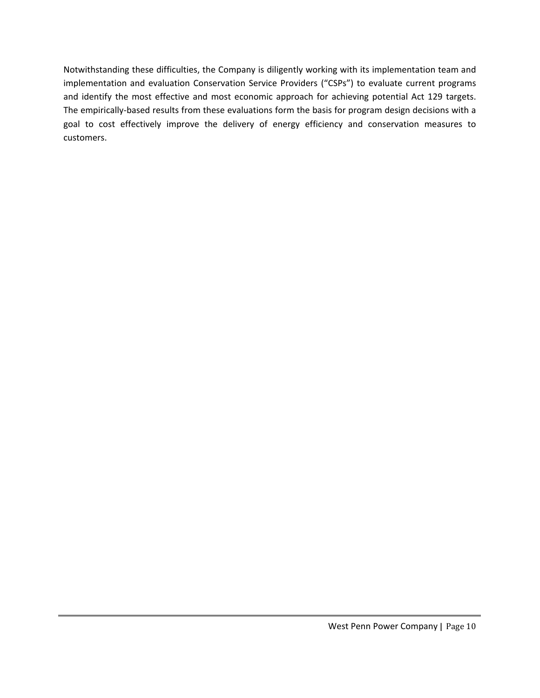Notwithstanding these difficulties, the Company is diligently working with its implementation team and implementation and evaluation Conservation Service Providers ("CSPs") to evaluate current programs and identify the most effective and most economic approach for achieving potential Act 129 targets. The empirically‐based results from these evaluations form the basis for program design decisions with a goal to cost effectively improve the delivery of energy efficiency and conservation measures to customers.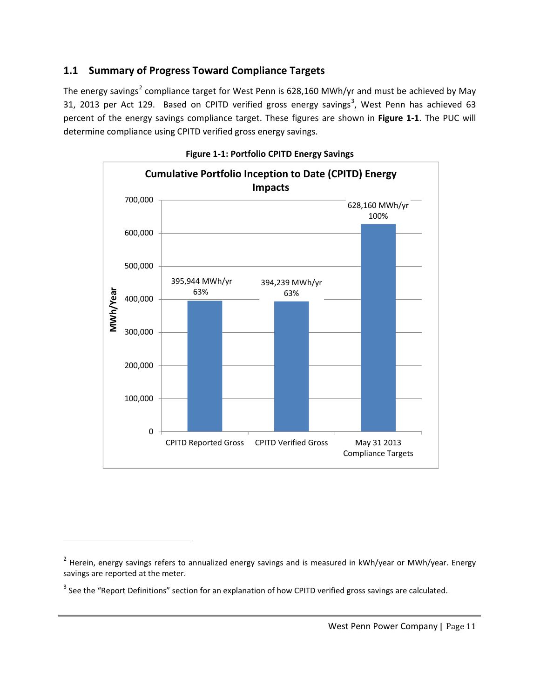## <span id="page-13-0"></span>**1.1 Summary of Progress Toward Compliance Targets**

The energy savings<sup>[2](#page-13-1)</sup> compliance target for West Penn is 628,160 MWh/yr and must be achieved by May [3](#page-13-2)1, 2013 per Act 129. Based on CPITD verified gross energy savings<sup>3</sup>, West Penn has achieved 63 percent of the energy savings compliance target. These figures are shown in **Figure 1‐1**. The PUC will determine compliance using CPITD verified gross energy savings.



**Figure 1‐1: Portfolio CPITD Energy Savings**

<span id="page-13-1"></span><sup>&</sup>lt;sup>2</sup> Herein, energy savings refers to annualized energy savings and is measured in kWh/year or MWh/year. Energy savings are reported at the meter.

<span id="page-13-2"></span><sup>&</sup>lt;sup>3</sup> See the "Report Definitions" section for an explanation of how CPITD verified gross savings are calculated.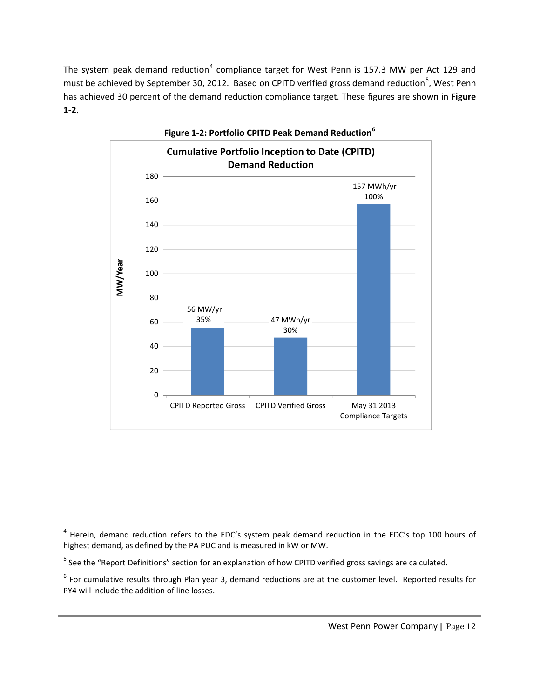The system peak demand reduction<sup>[4](#page-14-0)</sup> compliance target for West Penn is 157.3 MW per Act 129 and must be achieved by September 30, 2012. Based on CPITD verified gross demand reduction<sup>[5](#page-14-1)</sup>, West Penn has achieved 30 percent of the demand reduction compliance target. These figures are shown in **Figure 1‐2**.



<span id="page-14-0"></span><sup>4</sup> Herein, demand reduction refers to the EDC's system peak demand reduction in the EDC's top 100 hours of highest demand, as defined by the PA PUC and is measured in kW or MW.

<span id="page-14-1"></span><sup>&</sup>lt;sup>5</sup> See the "Report Definitions" section for an explanation of how CPITD verified gross savings are calculated.

<span id="page-14-2"></span> $6$  For cumulative results through Plan year 3, demand reductions are at the customer level. Reported results for PY4 will include the addition of line losses.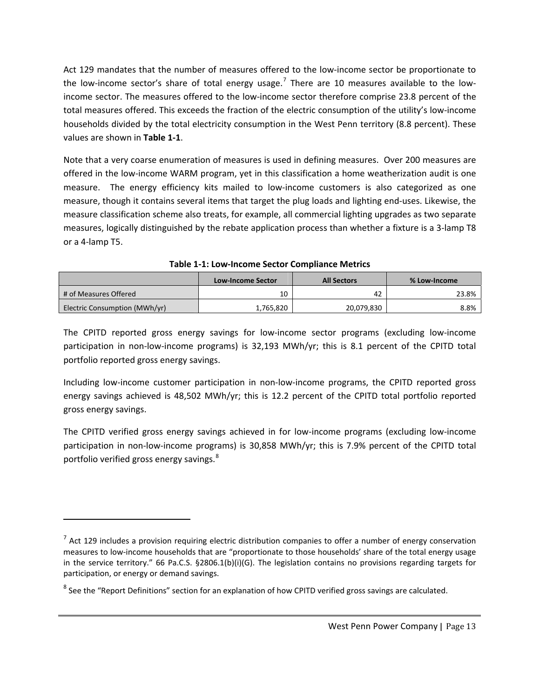Act 129 mandates that the number of measures offered to the low-income sector be proportionate to the low-income sector's share of total energy usage.<sup>[7](#page-15-0)</sup> There are 10 measures available to the lowincome sector. The measures offered to the low-income sector therefore comprise 23.8 percent of the total measures offered. This exceeds the fraction of the electric consumption of the utility's low‐income households divided by the total electricity consumption in the West Penn territory (8.8 percent). These values are shown in **[Table](#page-15-1) 1‐1**.

Note that a very coarse enumeration of measures is used in defining measures. Over 200 measures are offered in the low‐income WARM program, yet in this classification a home weatherization audit is one measure. The energy efficiency kits mailed to low-income customers is also categorized as one measure, though it contains several items that target the plug loads and lighting end‐uses. Likewise, the measure classification scheme also treats, for example, all commercial lighting upgrades as two separate measures, logically distinguished by the rebate application process than whether a fixture is a 3‐lamp T8 or a 4‐lamp T5.

<span id="page-15-1"></span>

|                               | Low-Income Sector | <b>All Sectors</b> | % Low-Income |
|-------------------------------|-------------------|--------------------|--------------|
| # of Measures Offered         | 10                | 42                 | 23.8%        |
| Electric Consumption (MWh/yr) | 1,765,820         | 20,079,830         | 8.8%         |

**Table 1‐1: Low‐Income Sector Compliance Metrics**

The CPITD reported gross energy savings for low-income sector programs (excluding low-income participation in non-low-income programs) is 32,193 MWh/yr; this is 8.1 percent of the CPITD total portfolio reported gross energy savings.

Including low‐income customer participation in non‐low‐income programs, the CPITD reported gross energy savings achieved is 48,502 MWh/yr; this is 12.2 percent of the CPITD total portfolio reported gross energy savings.

The CPITD verified gross energy savings achieved in for low‐income programs (excluding low‐income participation in non-low-income programs) is 30,858 MWh/yr; this is 7.9% percent of the CPITD total portfolio verified gross energy savings.<sup>[8](#page-15-2)</sup>

<span id="page-15-0"></span> $<sup>7</sup>$  Act 129 includes a provision requiring electric distribution companies to offer a number of energy conservation</sup> measures to low‐income households that are "proportionate to those households' share of the total energy usage in the service territory." 66 Pa.C.S. §2806.1(b)(i)(G). The legislation contains no provisions regarding targets for participation, or energy or demand savings.

<span id="page-15-2"></span><sup>&</sup>lt;sup>8</sup> See the "Report Definitions" section for an explanation of how CPITD verified gross savings are calculated.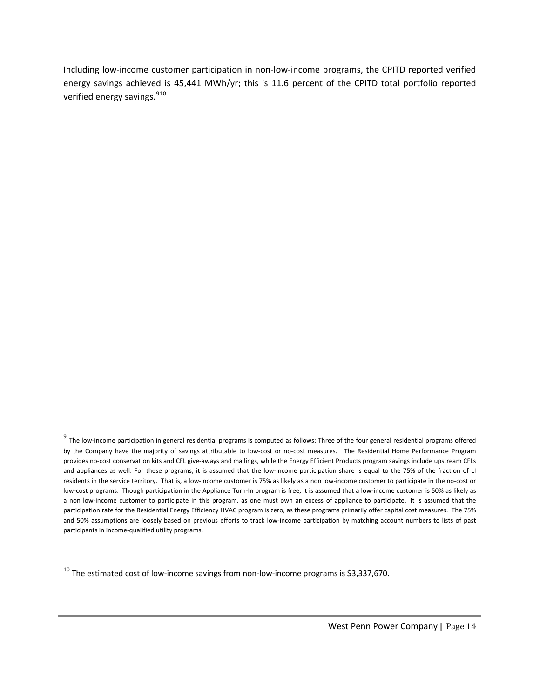Including low‐income customer participation in non‐low‐income programs, the CPITD reported verified energy savings achieved is 45,441 MWh/yr; this is 11.6 percent of the CPITD total portfolio reported verified energy savings.<sup>[9](#page-16-0)[10](#page-16-1)</sup>

<span id="page-16-1"></span> $10$  The estimated cost of low-income savings from non-low-income programs is \$3,337,670.

<span id="page-16-0"></span> $9$  The low-income participation in general residential programs is computed as follows: Three of the four general residential programs offered by the Company have the majority of savings attributable to low-cost or no-cost measures. The Residential Home Performance Program provides no‐cost conservation kits and CFL give‐aways and mailings, while the Energy Efficient Products program savings include upstream CFLs and appliances as well. For these programs, it is assumed that the low-income participation share is equal to the 75% of the fraction of LI residents in the service territory. That is, a low‐income customer is 75% as likely as a non low‐income customer to participate in the no‐cost or low-cost programs. Though participation in the Appliance Turn-In program is free, it is assumed that a low-income customer is 50% as likely as a non low-income customer to participate in this program, as one must own an excess of appliance to participate. It is assumed that the participation rate for the Residential Energy Efficiency HVAC program is zero, as these programs primarily offer capital cost measures. The 75% and 50% assumptions are loosely based on previous efforts to track low‐income participation by matching account numbers to lists of past participants in income‐qualified utility programs.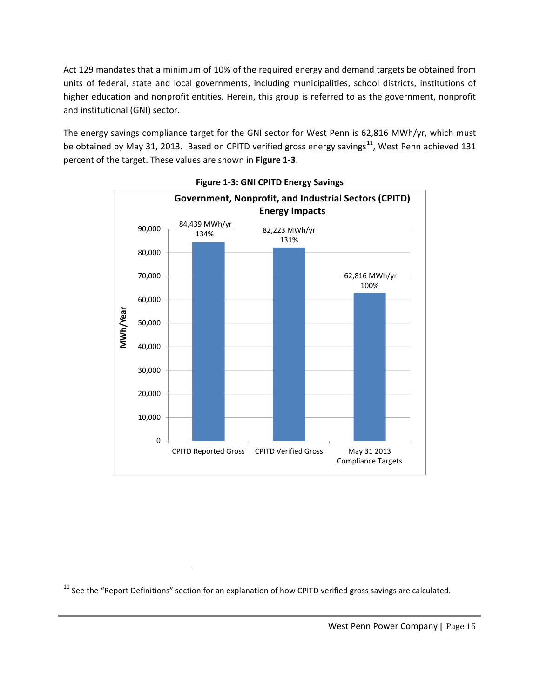Act 129 mandates that a minimum of 10% of the required energy and demand targets be obtained from units of federal, state and local governments, including municipalities, school districts, institutions of higher education and nonprofit entities. Herein, this group is referred to as the government, nonprofit and institutional (GNI) sector.

<span id="page-17-1"></span>The energy savings compliance target for the GNI sector for West Penn is 62,816 MWh/yr, which must be obtained by May 31, 2013. Based on CPITD verified gross energy savings<sup>[11](#page-17-0)</sup>, West Penn achieved 131 percent of the target. These values are shown in **[Figure](#page-17-1) 1‐3**.



**Figure 1‐3: GNI CPITD Energy Savings**

<span id="page-17-0"></span><sup>&</sup>lt;sup>11</sup> See the "Report Definitions" section for an explanation of how CPITD verified gross savings are calculated.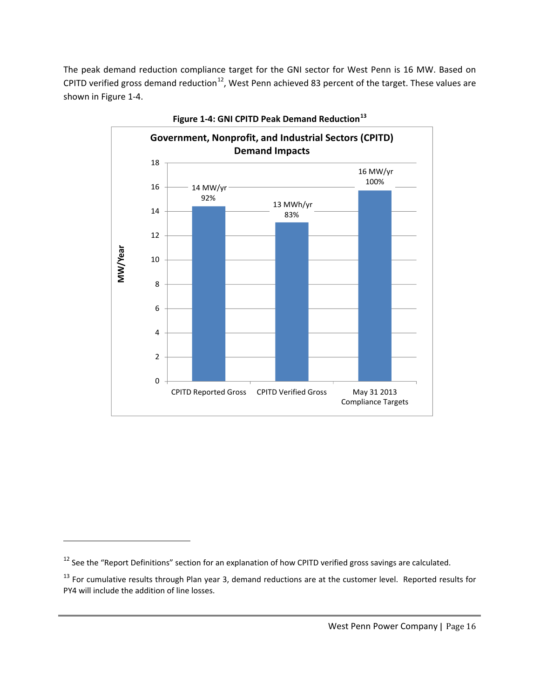<span id="page-18-1"></span>The peak demand reduction compliance target for the GNI sector for West Penn is 16 MW. Based on CPITD verified gross demand reduction<sup>12</sup>, West Penn achieved 83 percent of the target. These values are shown in [Figure](#page-18-1) 1‐4.





<span id="page-18-0"></span><sup>&</sup>lt;sup>12</sup> See the "Report Definitions" section for an explanation of how CPITD verified gross savings are calculated.

<span id="page-18-2"></span> $13$  For cumulative results through Plan year 3, demand reductions are at the customer level. Reported results for PY4 will include the addition of line losses.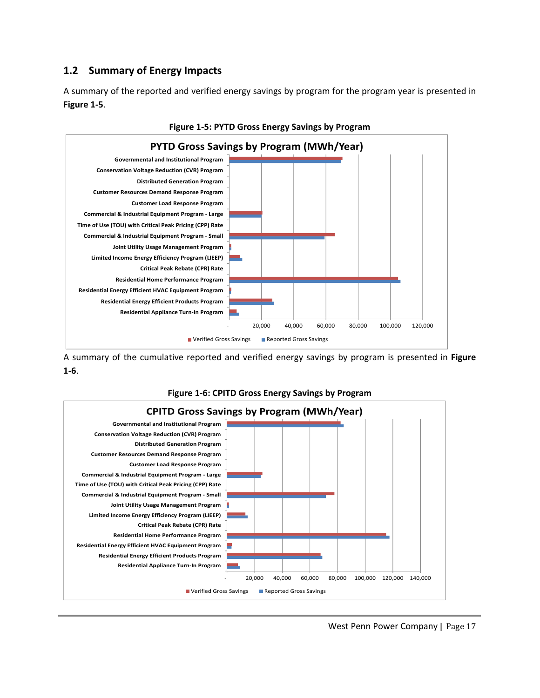## <span id="page-19-0"></span>**1.2 Summary of Energy Impacts**

A summary of the reported and verified energy savings by program for the program year is presented in **[Figure](#page-19-1) 1‐5**.

<span id="page-19-1"></span>

A summary of the cumulative reported and verified energy savings by program is presented in **[Figure](#page-19-2) 1‐[6](#page-19-2)**.

<span id="page-19-2"></span>

**Figure 1‐6: CPITD Gross Energy Savings by Program**

West Penn Power Company | Page 17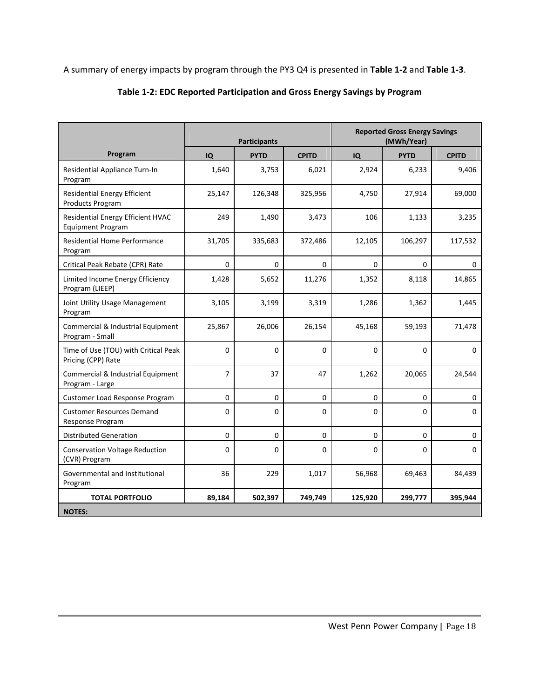A summary of energy impacts by program through the PY3 Q4 is presented in **[Table](#page-20-0) 1‐2** and **[Table](#page-21-1) 1‐3**.

## **Table 1‐2: EDC Reported Participation and Gross Energy Savings by Program**

<span id="page-20-0"></span>

|                                                               | <b>Participants</b> |                |              | <b>Reported Gross Energy Savings</b><br>(MWh/Year) |             |              |  |  |
|---------------------------------------------------------------|---------------------|----------------|--------------|----------------------------------------------------|-------------|--------------|--|--|
| Program                                                       | IQ                  | <b>PYTD</b>    | <b>CPITD</b> | IQ                                                 | <b>PYTD</b> | <b>CPITD</b> |  |  |
| Residential Appliance Turn-In<br>Program                      | 1,640               | 3,753          | 6,021        | 2,924                                              | 6,233       | 9,406        |  |  |
| <b>Residential Energy Efficient</b><br>Products Program       | 25,147              | 126,348        | 325,956      | 4,750                                              | 27,914      | 69,000       |  |  |
| <b>Residential Energy Efficient HVAC</b><br>Equipment Program | 249                 | 1,490          | 3,473        | 106                                                | 1,133       | 3,235        |  |  |
| <b>Residential Home Performance</b><br>Program                | 31,705              | 335,683        | 372,486      | 12,105                                             | 106,297     | 117,532      |  |  |
| Critical Peak Rebate (CPR) Rate                               | 0                   | $\Omega$       | $\Omega$     | 0                                                  | $\Omega$    | 0            |  |  |
| Limited Income Energy Efficiency<br>Program (LIEEP)           | 1,428               | 5,652          | 11,276       | 1,352                                              | 8,118       | 14,865       |  |  |
| Joint Utility Usage Management<br>Program                     | 3,105               | 3,199          | 3,319        | 1,286                                              | 1,362       | 1,445        |  |  |
| Commercial & Industrial Equipment<br>Program - Small          | 25,867              | 26,006         | 26,154       | 45,168                                             | 59,193      | 71,478       |  |  |
| Time of Use (TOU) with Critical Peak<br>Pricing (CPP) Rate    | $\Omega$            | $\Omega$       | $\Omega$     | 0                                                  | $\Omega$    | $\Omega$     |  |  |
| Commercial & Industrial Equipment<br>Program - Large          | $\overline{7}$      | 37             | 47           | 1,262                                              | 20,065      | 24,544       |  |  |
| Customer Load Response Program                                | $\Omega$            | $\Omega$       | $\Omega$     | $\Omega$                                           | $\Omega$    | $\mathbf 0$  |  |  |
| <b>Customer Resources Demand</b><br>Response Program          | $\Omega$            | $\overline{0}$ | 0            | $\Omega$                                           | $\Omega$    | $\Omega$     |  |  |
| <b>Distributed Generation</b>                                 | 0                   | 0              | 0            | 0                                                  | 0           | 0            |  |  |
| <b>Conservation Voltage Reduction</b><br>(CVR) Program        | 0                   | 0              | 0            | 0                                                  | $\mathbf 0$ | $\mathbf{0}$ |  |  |
| Governmental and Institutional<br>Program                     | 36                  | 229            | 1,017        | 56,968                                             | 69,463      | 84,439       |  |  |
| <b>TOTAL PORTFOLIO</b>                                        | 89,184              | 502,397        | 749,749      | 125,920                                            | 299,777     | 395,944      |  |  |
| <b>NOTES:</b>                                                 |                     |                |              |                                                    |             |              |  |  |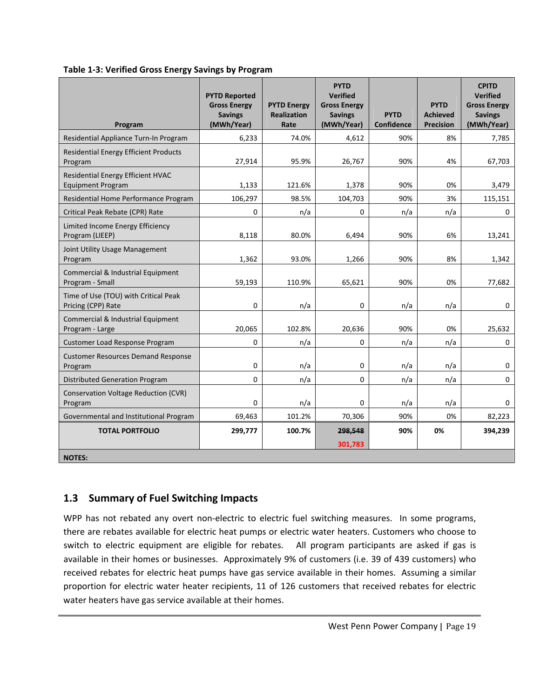<span id="page-21-1"></span>

| Program                                                       | <b>PYTD Reported</b><br><b>Gross Energy</b><br><b>Savings</b><br>(MWh/Year) | <b>PYTD Energy</b><br><b>Realization</b><br>Rate | <b>PYTD</b><br><b>Verified</b><br><b>Gross Energy</b><br><b>Savings</b><br>(MWh/Year) | <b>PYTD</b><br>Confidence | <b>PYTD</b><br><b>Achieved</b><br><b>Precision</b> | <b>CPITD</b><br><b>Verified</b><br><b>Gross Energy</b><br><b>Savings</b><br>(MWh/Year) |
|---------------------------------------------------------------|-----------------------------------------------------------------------------|--------------------------------------------------|---------------------------------------------------------------------------------------|---------------------------|----------------------------------------------------|----------------------------------------------------------------------------------------|
| Residential Appliance Turn-In Program                         | 6,233                                                                       | 74.0%                                            | 4,612                                                                                 | 90%                       | 8%                                                 | 7,785                                                                                  |
| <b>Residential Energy Efficient Products</b><br>Program       | 27,914                                                                      | 95.9%                                            | 26,767                                                                                | 90%                       | 4%                                                 | 67,703                                                                                 |
| Residential Energy Efficient HVAC<br><b>Equipment Program</b> | 1,133                                                                       | 121.6%                                           | 1,378                                                                                 | 90%                       | 0%                                                 | 3,479                                                                                  |
| Residential Home Performance Program                          | 106,297                                                                     | 98.5%                                            | 104,703                                                                               | 90%                       | 3%                                                 | 115,151                                                                                |
| Critical Peak Rebate (CPR) Rate                               | 0                                                                           | n/a                                              | 0                                                                                     | n/a                       | n/a                                                | 0                                                                                      |
| Limited Income Energy Efficiency<br>Program (LIEEP)           | 8,118                                                                       | 80.0%                                            | 6,494                                                                                 | 90%                       | 6%                                                 | 13,241                                                                                 |
| Joint Utility Usage Management<br>Program                     | 1,362                                                                       | 93.0%                                            | 1,266                                                                                 | 90%                       | 8%                                                 | 1,342                                                                                  |
| Commercial & Industrial Equipment<br>Program - Small          | 59,193                                                                      | 110.9%                                           | 65,621                                                                                | 90%                       | 0%                                                 | 77,682                                                                                 |
| Time of Use (TOU) with Critical Peak<br>Pricing (CPP) Rate    | 0                                                                           | n/a                                              | $\mathbf 0$                                                                           | n/a                       | n/a                                                | 0                                                                                      |
| Commercial & Industrial Equipment<br>Program - Large          | 20,065                                                                      | 102.8%                                           | 20,636                                                                                | 90%                       | 0%                                                 | 25,632                                                                                 |
| Customer Load Response Program                                | 0                                                                           | n/a                                              | 0                                                                                     | n/a                       | n/a                                                | 0                                                                                      |
| <b>Customer Resources Demand Response</b><br>Program          | 0                                                                           | n/a                                              | 0                                                                                     | n/a                       | n/a                                                | 0                                                                                      |
| <b>Distributed Generation Program</b>                         | 0                                                                           | n/a                                              | 0                                                                                     | n/a                       | n/a                                                | 0                                                                                      |
| Conservation Voltage Reduction (CVR)<br>Program               | 0                                                                           | n/a                                              | 0                                                                                     | n/a                       | n/a                                                | 0                                                                                      |
| Governmental and Institutional Program                        | 69,463                                                                      | 101.2%                                           | 70,306                                                                                | 90%                       | 0%                                                 | 82,223                                                                                 |
| <b>TOTAL PORTFOLIO</b>                                        | 299,777                                                                     | 100.7%                                           | 298,548<br>301,783                                                                    | 90%                       | 0%                                                 | 394,239                                                                                |
| <b>NOTES:</b>                                                 |                                                                             |                                                  |                                                                                       |                           |                                                    |                                                                                        |

| Table 1-3: Verified Gross Energy Savings by Program |  |  |  |  |  |  |  |
|-----------------------------------------------------|--|--|--|--|--|--|--|
|-----------------------------------------------------|--|--|--|--|--|--|--|

## <span id="page-21-0"></span>**1.3 Summary of Fuel Switching Impacts**

WPP has not rebated any overt non-electric to electric fuel switching measures. In some programs, there are rebates available for electric heat pumps or electric water heaters. Customers who choose to switch to electric equipment are eligible for rebates. All program participants are asked if gas is available in their homes or businesses. Approximately 9% of customers (i.e. 39 of 439 customers) who received rebates for electric heat pumps have gas service available in their homes. Assuming a similar proportion for electric water heater recipients, 11 of 126 customers that received rebates for electric water heaters have gas service available at their homes.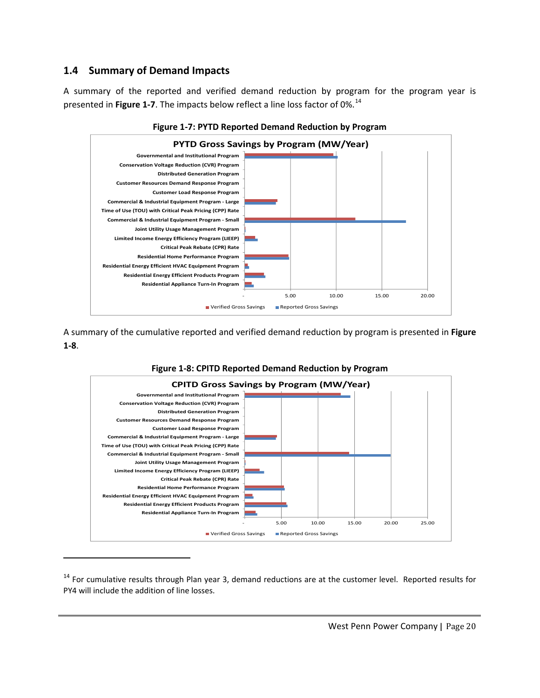## <span id="page-22-0"></span>**1.4 Summary of Demand Impacts**

<span id="page-22-1"></span>A summary of the reported and verified demand reduction by program for the program year is presented in **[Figure](#page-22-1) 1‐7**. The impacts below reflect a line loss factor of 0%.[14](#page-22-2)



<span id="page-22-3"></span>A summary of the cumulative reported and verified demand reduction by program is presented in **[Figure](#page-22-3) [1](#page-22-3)‐8**.





<span id="page-22-2"></span> $14$  For cumulative results through Plan year 3, demand reductions are at the customer level. Reported results for PY4 will include the addition of line losses.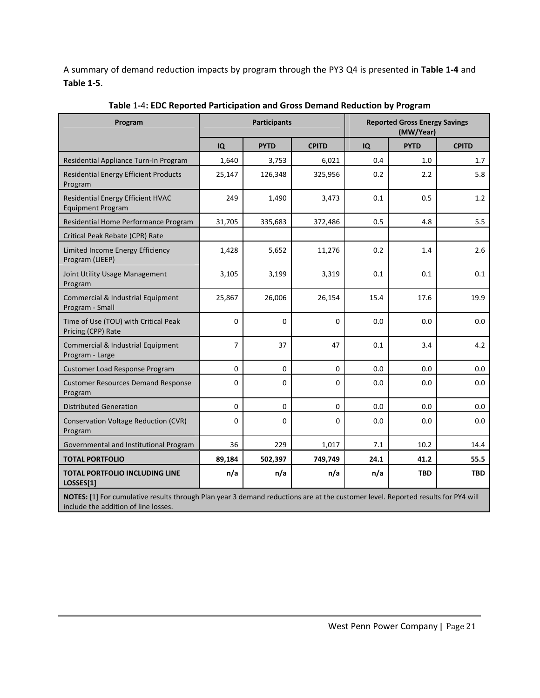A summary of demand reduction impacts by program through the PY3 Q4 is presented in **[Table](#page-23-0) 1‐4** and **[Table](#page-24-1) 1‐5**.

<span id="page-23-0"></span>

| Program                                                                                                                                                                  | <b>Participants</b> |             |              | <b>Reported Gross Energy Savings</b><br>(MW/Year) |             |              |  |
|--------------------------------------------------------------------------------------------------------------------------------------------------------------------------|---------------------|-------------|--------------|---------------------------------------------------|-------------|--------------|--|
|                                                                                                                                                                          | IQ                  | <b>PYTD</b> | <b>CPITD</b> | IQ                                                | <b>PYTD</b> | <b>CPITD</b> |  |
| Residential Appliance Turn-In Program                                                                                                                                    | 1,640               | 3,753       | 6,021        | 0.4                                               | $1.0\,$     | 1.7          |  |
| <b>Residential Energy Efficient Products</b><br>Program                                                                                                                  | 25,147              | 126,348     | 325,956      | 0.2                                               | 2.2         | 5.8          |  |
| <b>Residential Energy Efficient HVAC</b><br><b>Equipment Program</b>                                                                                                     | 249                 | 1,490       | 3,473        | 0.1                                               | 0.5         | 1.2          |  |
| Residential Home Performance Program                                                                                                                                     | 31,705              | 335,683     | 372,486      | 0.5                                               | 4.8         | 5.5          |  |
| Critical Peak Rebate (CPR) Rate                                                                                                                                          |                     |             |              |                                                   |             |              |  |
| Limited Income Energy Efficiency<br>Program (LIEEP)                                                                                                                      | 1,428               | 5,652       | 11,276       | 0.2                                               | 1.4         | 2.6          |  |
| Joint Utility Usage Management<br>Program                                                                                                                                | 3,105               | 3,199       | 3,319        | 0.1                                               | 0.1         | 0.1          |  |
| Commercial & Industrial Equipment<br>Program - Small                                                                                                                     | 25,867              | 26,006      | 26,154       | 15.4                                              | 17.6        | 19.9         |  |
| Time of Use (TOU) with Critical Peak<br>Pricing (CPP) Rate                                                                                                               | $\Omega$            | $\Omega$    | $\Omega$     | 0.0                                               | 0.0         | 0.0          |  |
| Commercial & Industrial Equipment<br>Program - Large                                                                                                                     | 7                   | 37          | 47           | 0.1                                               | 3.4         | 4.2          |  |
| Customer Load Response Program                                                                                                                                           | 0                   | $\Omega$    | $\Omega$     | 0.0                                               | 0.0         | 0.0          |  |
| <b>Customer Resources Demand Response</b><br>Program                                                                                                                     | 0                   | 0           | 0            | 0.0                                               | 0.0         | 0.0          |  |
| <b>Distributed Generation</b>                                                                                                                                            | 0                   | 0           | 0            | 0.0                                               | 0.0         | 0.0          |  |
| Conservation Voltage Reduction (CVR)<br>Program                                                                                                                          | 0                   | 0           | 0            | 0.0                                               | 0.0         | 0.0          |  |
| Governmental and Institutional Program                                                                                                                                   | 36                  | 229         | 1,017        | 7.1                                               | 10.2        | 14.4         |  |
| <b>TOTAL PORTFOLIO</b>                                                                                                                                                   | 89,184              | 502,397     | 749,749      | 24.1                                              | 41.2        | 55.5         |  |
| <b>TOTAL PORTFOLIO INCLUDING LINE</b><br>LOSSES[1]                                                                                                                       | n/a                 | n/a         | n/a          | n/a                                               | <b>TBD</b>  | <b>TBD</b>   |  |
| NOTES: [1] For cumulative results through Plan year 3 demand reductions are at the customer level. Reported results for PY4 will<br>include the addition of line losses. |                     |             |              |                                                   |             |              |  |

**Table** 1**‐**4**: EDC Reported Participation and Gross Demand Reduction by Program**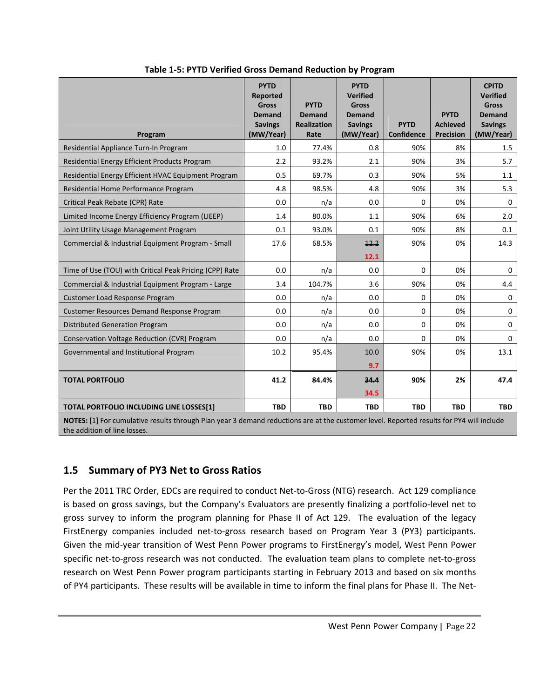<span id="page-24-1"></span>

| Program                                                 | <b>PYTD</b><br><b>Reported</b><br><b>Gross</b><br><b>Demand</b><br><b>Savings</b><br>(MW/Year) | <b>PYTD</b><br><b>Demand</b><br><b>Realization</b><br>Rate | <b>PYTD</b><br><b>Verified</b><br><b>Gross</b><br><b>Demand</b><br><b>Savings</b><br>(MW/Year) | <b>PYTD</b><br>Confidence | <b>PYTD</b><br><b>Achieved</b><br><b>Precision</b> | <b>CPITD</b><br><b>Verified</b><br><b>Gross</b><br>Demand<br><b>Savings</b><br>(MW/Year) |
|---------------------------------------------------------|------------------------------------------------------------------------------------------------|------------------------------------------------------------|------------------------------------------------------------------------------------------------|---------------------------|----------------------------------------------------|------------------------------------------------------------------------------------------|
| Residential Appliance Turn-In Program                   | 1.0                                                                                            | 77.4%                                                      | 0.8                                                                                            | 90%                       | 8%                                                 | $1.5\,$                                                                                  |
| Residential Energy Efficient Products Program           | 2.2                                                                                            | 93.2%                                                      | 2.1                                                                                            | 90%                       | 3%                                                 | 5.7                                                                                      |
| Residential Energy Efficient HVAC Equipment Program     | 0.5                                                                                            | 69.7%                                                      | 0.3                                                                                            | 90%                       | 5%                                                 | 1.1                                                                                      |
| Residential Home Performance Program                    | 4.8                                                                                            | 98.5%                                                      | 4.8                                                                                            | 90%                       | 3%                                                 | 5.3                                                                                      |
| Critical Peak Rebate (CPR) Rate                         | 0.0                                                                                            | n/a                                                        | 0.0                                                                                            | $\Omega$                  | 0%                                                 | $\mathbf{0}$                                                                             |
| Limited Income Energy Efficiency Program (LIEEP)        | 1.4                                                                                            | 80.0%                                                      | 1.1                                                                                            | 90%                       | 6%                                                 | 2.0                                                                                      |
| Joint Utility Usage Management Program                  | 0.1                                                                                            | 93.0%                                                      | 0.1                                                                                            | 90%                       | 8%                                                 | 0.1                                                                                      |
| Commercial & Industrial Equipment Program - Small       | 17.6                                                                                           | 68.5%                                                      | 12.2<br>12.1                                                                                   | 90%                       | 0%                                                 | 14.3                                                                                     |
| Time of Use (TOU) with Critical Peak Pricing (CPP) Rate | 0.0                                                                                            | n/a                                                        | 0.0                                                                                            | $\Omega$                  | 0%                                                 | $\mathbf 0$                                                                              |
| Commercial & Industrial Equipment Program - Large       | 3.4                                                                                            | 104.7%                                                     | 3.6                                                                                            | 90%                       | 0%                                                 | 4.4                                                                                      |
| <b>Customer Load Response Program</b>                   | 0.0                                                                                            | n/a                                                        | 0.0                                                                                            | 0                         | 0%                                                 | $\mathbf 0$                                                                              |
| <b>Customer Resources Demand Response Program</b>       | 0.0                                                                                            | n/a                                                        | 0.0                                                                                            | $\mathbf{0}$              | 0%                                                 | 0                                                                                        |
| <b>Distributed Generation Program</b>                   | 0.0                                                                                            | n/a                                                        | 0.0                                                                                            | 0                         | 0%                                                 | $\mathbf 0$                                                                              |
| Conservation Voltage Reduction (CVR) Program            | 0.0                                                                                            | n/a                                                        | 0.0                                                                                            | 0                         | 0%                                                 | 0                                                                                        |
| Governmental and Institutional Program                  | 10.2                                                                                           | 95.4%                                                      | 40.0                                                                                           | 90%                       | 0%                                                 | 13.1                                                                                     |
|                                                         |                                                                                                |                                                            | 9.7                                                                                            |                           |                                                    |                                                                                          |
| <b>TOTAL PORTFOLIO</b>                                  | 41.2                                                                                           | 84.4%                                                      | 34.4<br>34.5                                                                                   | 90%                       | 2%                                                 | 47.4                                                                                     |
| <b>TOTAL PORTFOLIO INCLUDING LINE LOSSES[1]</b>         | <b>TBD</b>                                                                                     | <b>TBD</b>                                                 | <b>TBD</b>                                                                                     | <b>TBD</b>                | <b>TBD</b>                                         | <b>TBD</b>                                                                               |

**Table 1‐5: PYTD Verified Gross Demand Reduction by Program**

**NOTES:** [1] For cumulative results through Plan year 3 demand reductions are at the customer level. Reported results for PY4 will include the addition of line losses.

## <span id="page-24-0"></span>**1.5 Summary of PY3 Net to Gross Ratios**

Per the 2011 TRC Order, EDCs are required to conduct Net‐to‐Gross (NTG) research. Act 129 compliance is based on gross savings, but the Company's Evaluators are presently finalizing a portfolio‐level net to gross survey to inform the program planning for Phase II of Act 129. The evaluation of the legacy FirstEnergy companies included net-to-gross research based on Program Year 3 (PY3) participants. Given the mid‐year transition of West Penn Power programs to FirstEnergy's model, West Penn Power specific net-to-gross research was not conducted. The evaluation team plans to complete net-to-gross research on West Penn Power program participants starting in February 2013 and based on six months of PY4 participants. These results will be available in time to inform the final plans for Phase II. The Net‐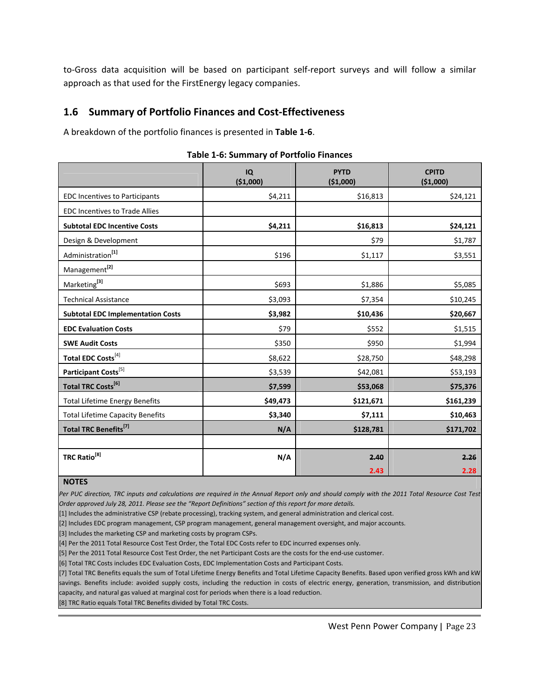to-Gross data acquisition will be based on participant self-report surveys and will follow a similar approach as that used for the FirstEnergy legacy companies.

## <span id="page-25-0"></span>**1.6 Summary of Portfolio Finances and Cost‐Effectiveness**

A breakdown of the portfolio finances is presented in **[Table](#page-25-1) 1‐6**.

<span id="page-25-1"></span>

|                                          | IQ<br>(\$1,000) | <b>PYTD</b><br>(\$1,000) | <b>CPITD</b><br>(\$1,000) |
|------------------------------------------|-----------------|--------------------------|---------------------------|
| <b>EDC Incentives to Participants</b>    | \$4,211         | \$16,813                 | \$24,121                  |
| <b>EDC Incentives to Trade Allies</b>    |                 |                          |                           |
| <b>Subtotal EDC Incentive Costs</b>      | \$4,211         | \$16,813                 | \$24,121                  |
| Design & Development                     |                 | \$79                     | \$1,787                   |
| Administration <sup>[1]</sup>            | \$196           | \$1,117                  | \$3,551                   |
| Management <sup>[2]</sup>                |                 |                          |                           |
| Marketing <sup>[3]</sup>                 | \$693           | \$1,886                  | \$5,085                   |
| <b>Technical Assistance</b>              | \$3,093         | \$7,354                  | \$10,245                  |
| <b>Subtotal EDC Implementation Costs</b> | \$3,982         | \$10,436                 | \$20,667                  |
| <b>EDC Evaluation Costs</b>              | \$79            | \$552                    | \$1,515                   |
| <b>SWE Audit Costs</b>                   | \$350           | \$950                    | \$1,994                   |
| Total EDC Costs[4]                       | \$8,622         | \$28,750                 | \$48,298                  |
| Participant Costs[5]                     | \$3,539         | \$42,081                 | \$53,193                  |
| Total TRC Costs[6]                       | \$7,599         | \$53,068                 | \$75,376                  |
| <b>Total Lifetime Energy Benefits</b>    | \$49,473        | \$121,671                | \$161,239                 |
| <b>Total Lifetime Capacity Benefits</b>  | \$3,340         | \$7,111                  | \$10,463                  |
| Total TRC Benefits <sup>[7]</sup>        | N/A             | \$128,781                | \$171,702                 |
|                                          |                 |                          |                           |
| TRC Ratio <sup>[8]</sup>                 | N/A             | 2.40                     | 2,26                      |
|                                          |                 | 2.43                     | 2.28                      |

| Table 1-6: Summary of Portfolio Finances |  |
|------------------------------------------|--|
|------------------------------------------|--|

#### **NOTES**

Per PUC direction, TRC inputs and calculations are required in the Annual Report only and should comply with the 2011 Total Resource Cost Test Order approved July 28, 2011. Please see the "Report Definitions" section of this report for more details.

[1] Includes the administrative CSP (rebate processing), tracking system, and general administration and clerical cost.

[2] Includes EDC program management, CSP program management, general management oversight, and major accounts.

[3] Includes the marketing CSP and marketing costs by program CSPs.

[4] Per the 2011 Total Resource Cost Test Order, the Total EDC Costs refer to EDC incurred expenses only.

[5] Per the 2011 Total Resource Cost Test Order, the net Participant Costs are the costs for the end‐use customer.

[6] Total TRC Costs includes EDC Evaluation Costs, EDC Implementation Costs and Participant Costs.

[7] Total TRC Benefits equals the sum of Total Lifetime Energy Benefits and Total Lifetime Capacity Benefits. Based upon verified gross kWh and kW savings. Benefits include: avoided supply costs, including the reduction in costs of electric energy, generation, transmission, and distribution capacity, and natural gas valued at marginal cost for periods when there is a load reduction.

[8] TRC Ratio equals Total TRC Benefits divided by Total TRC Costs.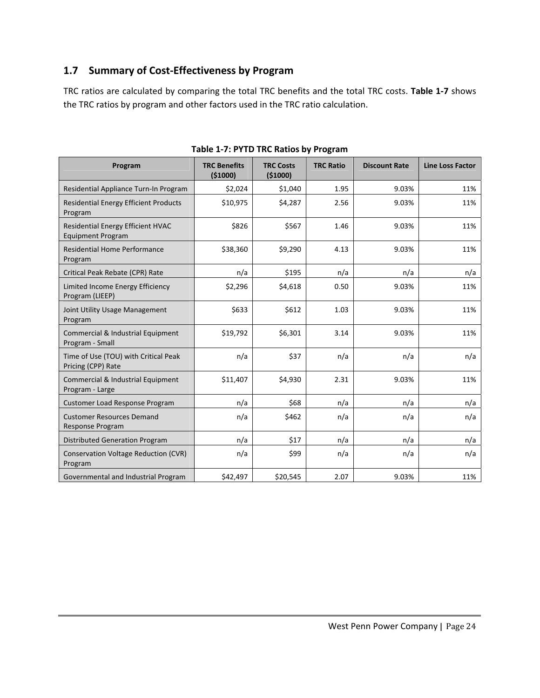## <span id="page-26-0"></span>**1.7 Summary of Cost‐Effectiveness by Program**

TRC ratios are calculated by comparing the total TRC benefits and the total TRC costs. **[Table](#page-26-1) 1‐7** shows the TRC ratios by program and other factors used in the TRC ratio calculation.

<span id="page-26-1"></span>

| Program                                                       | <b>TRC Benefits</b><br>(\$1000) | <b>TRC Costs</b><br>(\$1000) | <b>TRC Ratio</b> | <b>Discount Rate</b> | <b>Line Loss Factor</b> |
|---------------------------------------------------------------|---------------------------------|------------------------------|------------------|----------------------|-------------------------|
| Residential Appliance Turn-In Program                         | \$2,024                         | \$1,040                      | 1.95             | 9.03%                | 11%                     |
| <b>Residential Energy Efficient Products</b><br>Program       | \$10,975                        | \$4,287                      | 2.56             | 9.03%                | 11%                     |
| Residential Energy Efficient HVAC<br><b>Equipment Program</b> | \$826                           | \$567                        | 1.46             | 9.03%                | 11%                     |
| <b>Residential Home Performance</b><br>Program                | \$38,360                        | \$9,290                      | 4.13             | 9.03%                | 11%                     |
| Critical Peak Rebate (CPR) Rate                               | n/a                             | \$195                        | n/a              | n/a                  | n/a                     |
| Limited Income Energy Efficiency<br>Program (LIEEP)           | \$2,296                         | \$4,618                      | 0.50             | 9.03%                | 11%                     |
| Joint Utility Usage Management<br>Program                     | \$633                           | \$612                        | 1.03             | 9.03%                | 11%                     |
| Commercial & Industrial Equipment<br>Program - Small          | \$19,792                        | \$6,301                      | 3.14             | 9.03%                | 11%                     |
| Time of Use (TOU) with Critical Peak<br>Pricing (CPP) Rate    | n/a                             | \$37                         | n/a              | n/a                  | n/a                     |
| Commercial & Industrial Equipment<br>Program - Large          | \$11,407                        | \$4,930                      | 2.31             | 9.03%                | 11%                     |
| Customer Load Response Program                                | n/a                             | \$68                         | n/a              | n/a                  | n/a                     |
| <b>Customer Resources Demand</b><br>Response Program          | n/a                             | \$462                        | n/a              | n/a                  | n/a                     |
| <b>Distributed Generation Program</b>                         | n/a                             | \$17                         | n/a              | n/a                  | n/a                     |
| Conservation Voltage Reduction (CVR)<br>Program               | n/a                             | \$99                         | n/a              | n/a                  | n/a                     |
| Governmental and Industrial Program                           | \$42,497                        | \$20,545                     | 2.07             | 9.03%                | 11%                     |

**Table 1‐7: PYTD TRC Ratios by Program**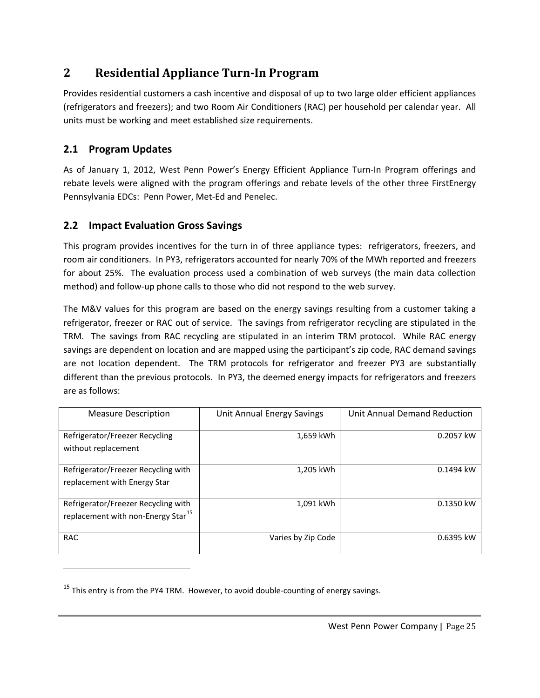# <span id="page-27-0"></span>**2 Residential Appliance Turn‐In Program**

Provides residential customers a cash incentive and disposal of up to two large older efficient appliances (refrigerators and freezers); and two Room Air Conditioners (RAC) per household per calendar year. All units must be working and meet established size requirements.

## <span id="page-27-1"></span>**2.1 Program Updates**

As of January 1, 2012, West Penn Power's Energy Efficient Appliance Turn-In Program offerings and rebate levels were aligned with the program offerings and rebate levels of the other three FirstEnergy Pennsylvania EDCs: Penn Power, Met‐Ed and Penelec.

## <span id="page-27-2"></span>**2.2 Impact Evaluation Gross Savings**

This program provides incentives for the turn in of three appliance types: refrigerators, freezers, and room air conditioners. In PY3, refrigerators accounted for nearly 70% of the MWh reported and freezers for about 25%. The evaluation process used a combination of web surveys (the main data collection method) and follow‐up phone calls to those who did not respond to the web survey.

The M&V values for this program are based on the energy savings resulting from a customer taking a refrigerator, freezer or RAC out of service. The savings from refrigerator recycling are stipulated in the TRM. The savings from RAC recycling are stipulated in an interim TRM protocol. While RAC energy savings are dependent on location and are mapped using the participant's zip code, RAC demand savings are not location dependent. The TRM protocols for refrigerator and freezer PY3 are substantially different than the previous protocols. In PY3, the deemed energy impacts for refrigerators and freezers are as follows:

| <b>Measure Description</b>                                                            | Unit Annual Energy Savings | Unit Annual Demand Reduction |
|---------------------------------------------------------------------------------------|----------------------------|------------------------------|
| Refrigerator/Freezer Recycling<br>without replacement                                 | 1,659 kWh                  | 0.2057 kW                    |
| Refrigerator/Freezer Recycling with<br>replacement with Energy Star                   | 1,205 kWh                  | 0.1494 kW                    |
| Refrigerator/Freezer Recycling with<br>replacement with non-Energy Star <sup>15</sup> | 1,091 kWh                  | 0.1350 kW                    |
| <b>RAC</b>                                                                            | Varies by Zip Code         | 0.6395 kW                    |

<span id="page-27-3"></span><sup>&</sup>lt;sup>15</sup> This entry is from the PY4 TRM. However, to avoid double-counting of energy savings.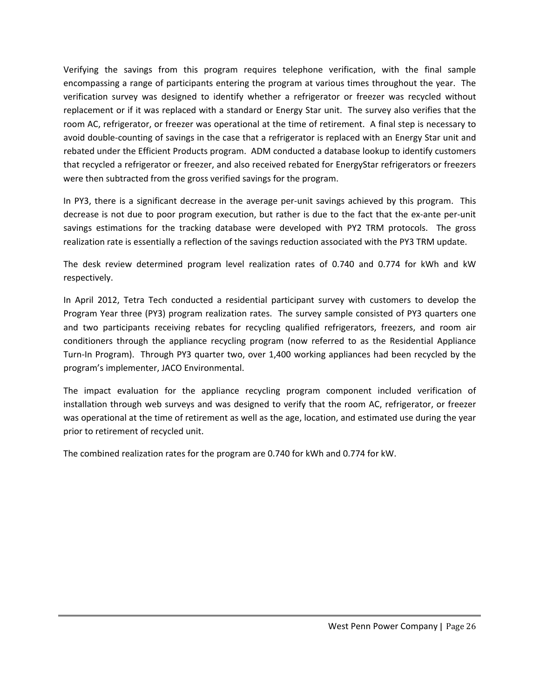Verifying the savings from this program requires telephone verification, with the final sample encompassing a range of participants entering the program at various times throughout the year. The verification survey was designed to identify whether a refrigerator or freezer was recycled without replacement or if it was replaced with a standard or Energy Star unit. The survey also verifies that the room AC, refrigerator, or freezer was operational at the time of retirement. A final step is necessary to avoid double‐counting of savings in the case that a refrigerator is replaced with an Energy Star unit and rebated under the Efficient Products program. ADM conducted a database lookup to identify customers that recycled a refrigerator or freezer, and also received rebated for EnergyStar refrigerators or freezers were then subtracted from the gross verified savings for the program.

In PY3, there is a significant decrease in the average per-unit savings achieved by this program. This decrease is not due to poor program execution, but rather is due to the fact that the ex‐ante per‐unit savings estimations for the tracking database were developed with PY2 TRM protocols. The gross realization rate is essentially a reflection of the savings reduction associated with the PY3 TRM update.

The desk review determined program level realization rates of 0.740 and 0.774 for kWh and kW respectively.

In April 2012, Tetra Tech conducted a residential participant survey with customers to develop the Program Year three (PY3) program realization rates. The survey sample consisted of PY3 quarters one and two participants receiving rebates for recycling qualified refrigerators, freezers, and room air conditioners through the appliance recycling program (now referred to as the Residential Appliance Turn‐In Program). Through PY3 quarter two, over 1,400 working appliances had been recycled by the program's implementer, JACO Environmental.

The impact evaluation for the appliance recycling program component included verification of installation through web surveys and was designed to verify that the room AC, refrigerator, or freezer was operational at the time of retirement as well as the age, location, and estimated use during the year prior to retirement of recycled unit.

The combined realization rates for the program are 0.740 for kWh and 0.774 for kW.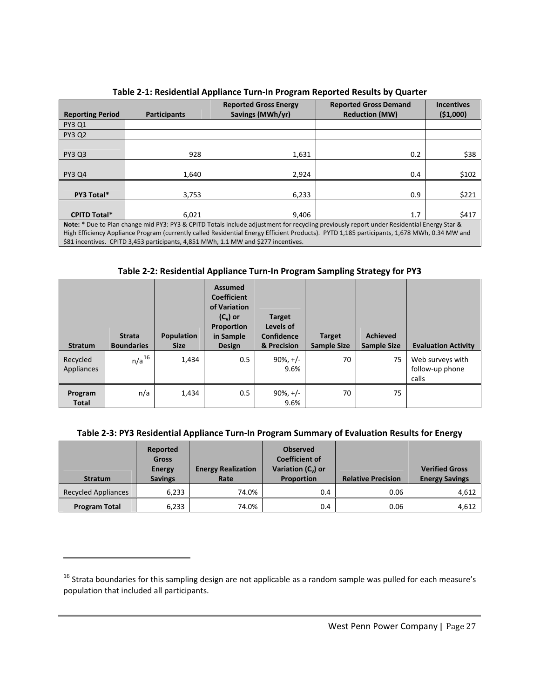|                                                                                                                                             |                     | <b>Reported Gross Energy</b> | <b>Reported Gross Demand</b> | <b>Incentives</b> |  |
|---------------------------------------------------------------------------------------------------------------------------------------------|---------------------|------------------------------|------------------------------|-------------------|--|
| <b>Reporting Period</b>                                                                                                                     | <b>Participants</b> | Savings (MWh/yr)             | <b>Reduction (MW)</b>        | (51,000)          |  |
| <b>PY3 Q1</b>                                                                                                                               |                     |                              |                              |                   |  |
| <b>PY3 Q2</b>                                                                                                                               |                     |                              |                              |                   |  |
| <b>PY3 Q3</b>                                                                                                                               | 928                 | 1,631                        | 0.2                          | \$38              |  |
| <b>PY3 Q4</b>                                                                                                                               | 1,640               | 2,924                        | 0.4                          | \$102             |  |
| PY3 Total*                                                                                                                                  | 3,753               | 6,233                        | 0.9                          | \$221             |  |
| <b>CPITD Total*</b>                                                                                                                         | 6.021               | 9,406                        | 1.7                          | \$417             |  |
| Note: * Due to Plan change mid PY3: PY3 & CPITD Totals include adjustment for recycling previously report under Residential Energy Star &   |                     |                              |                              |                   |  |
| High Efficiency Appliance Program (currently called Residential Energy Efficient Products). PYTD 1,185 participants, 1,678 MWh, 0.34 MW and |                     |                              |                              |                   |  |
| \$81 incentives. CPITD 3,453 participants, 4,851 MWh, 1.1 MW and \$277 incentives.                                                          |                     |                              |                              |                   |  |

#### **Table 2‐1: Residential Appliance Turn‐In Program Reported Results by Quarter**

**Table 2‐2: Residential Appliance Turn‐In Program Sampling Strategy for PY3**

| <b>Stratum</b>          | <b>Strata</b><br><b>Boundaries</b> | <b>Population</b><br><b>Size</b> | <b>Assumed</b><br><b>Coefficient</b><br>of Variation<br>$(C_v)$ or<br>Proportion<br>in Sample<br><b>Design</b> | <b>Target</b><br>Levels of<br><b>Confidence</b><br>& Precision | <b>Target</b><br><b>Sample Size</b> | <b>Achieved</b><br><b>Sample Size</b> | <b>Evaluation Activity</b>                   |
|-------------------------|------------------------------------|----------------------------------|----------------------------------------------------------------------------------------------------------------|----------------------------------------------------------------|-------------------------------------|---------------------------------------|----------------------------------------------|
| Recycled<br>Appliances  | $n/a^{16}$                         | 1,434                            | 0.5                                                                                                            | $90\%, +/-$<br>9.6%                                            | 70                                  | 75                                    | Web surveys with<br>follow-up phone<br>calls |
| Program<br><b>Total</b> | n/a                                | 1,434                            | 0.5                                                                                                            | $90\%, +/-$<br>9.6%                                            | 70                                  | 75                                    |                                              |

#### **Table 2‐3: PY3 Residential Appliance Turn‐In Program Summary of Evaluation Results for Energy**

| <b>Stratum</b>       | Reported<br><b>Gross</b><br><b>Energy</b><br><b>Savings</b> | <b>Energy Realization</b><br>Rate | <b>Observed</b><br><b>Coefficient of</b><br>Variation $(C_v)$ or<br>Proportion | <b>Relative Precision</b> | <b>Verified Gross</b><br><b>Energy Savings</b> |
|----------------------|-------------------------------------------------------------|-----------------------------------|--------------------------------------------------------------------------------|---------------------------|------------------------------------------------|
| Recycled Appliances  | 6,233                                                       | 74.0%                             | 0.4                                                                            | 0.06                      | 4,612                                          |
| <b>Program Total</b> | 6,233                                                       | 74.0%                             | 0.4                                                                            | 0.06                      | 4,612                                          |

<span id="page-29-0"></span><sup>&</sup>lt;sup>16</sup> Strata boundaries for this sampling design are not applicable as a random sample was pulled for each measure's population that included all participants.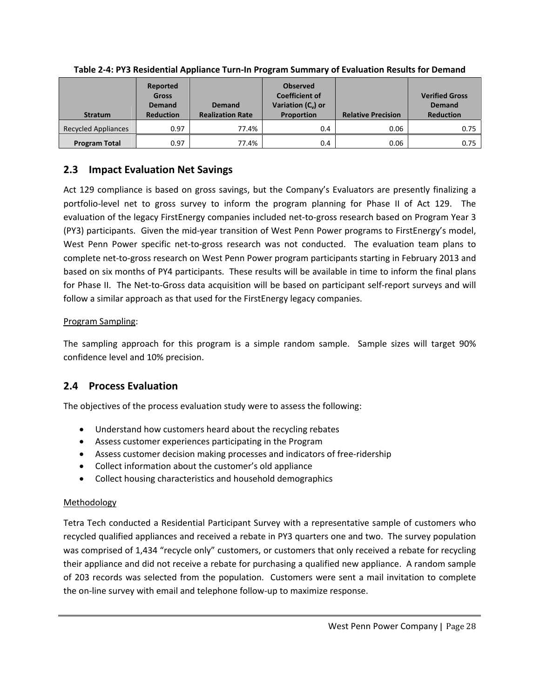| <b>Stratum</b>             | Reported<br><b>Gross</b><br><b>Demand</b><br><b>Reduction</b> | Demand<br><b>Realization Rate</b> | <b>Observed</b><br><b>Coefficient of</b><br>Variation $(C_v)$ or<br><b>Proportion</b> | <b>Relative Precision</b> | <b>Verified Gross</b><br><b>Demand</b><br><b>Reduction</b> |
|----------------------------|---------------------------------------------------------------|-----------------------------------|---------------------------------------------------------------------------------------|---------------------------|------------------------------------------------------------|
| <b>Recycled Appliances</b> | 0.97                                                          | 77.4%                             | 0.4                                                                                   | 0.06                      | 0.75                                                       |
| <b>Program Total</b>       | 0.97                                                          | 77.4%                             | 0.4                                                                                   | 0.06                      | 0.75                                                       |

#### **Table 2‐4: PY3 Residential Appliance Turn‐In Program Summary of Evaluation Results for Demand**

## <span id="page-30-0"></span>**2.3 Impact Evaluation Net Savings**

Act 129 compliance is based on gross savings, but the Company's Evaluators are presently finalizing a portfolio-level net to gross survey to inform the program planning for Phase II of Act 129. The evaluation of the legacy FirstEnergy companies included net-to-gross research based on Program Year 3 (PY3) participants. Given the mid‐year transition of West Penn Power programs to FirstEnergy's model, West Penn Power specific net-to-gross research was not conducted. The evaluation team plans to complete net‐to‐gross research on West Penn Power program participants starting in February 2013 and based on six months of PY4 participants. These results will be available in time to inform the final plans for Phase II. The Net-to-Gross data acquisition will be based on participant self-report surveys and will follow a similar approach as that used for the FirstEnergy legacy companies.

## Program Sampling:

The sampling approach for this program is a simple random sample. Sample sizes will target 90% confidence level and 10% precision.

## <span id="page-30-1"></span>**2.4 Process Evaluation**

The objectives of the process evaluation study were to assess the following:

- Understand how customers heard about the recycling rebates
- Assess customer experiences participating in the Program
- Assess customer decision making processes and indicators of free-ridership
- Collect information about the customer's old appliance
- Collect housing characteristics and household demographics

## Methodology

Tetra Tech conducted a Residential Participant Survey with a representative sample of customers who recycled qualified appliances and received a rebate in PY3 quarters one and two. The survey population was comprised of 1,434 "recycle only" customers, or customers that only received a rebate for recycling their appliance and did not receive a rebate for purchasing a qualified new appliance. A random sample of 203 records was selected from the population. Customers were sent a mail invitation to complete the on‐line survey with email and telephone follow‐up to maximize response.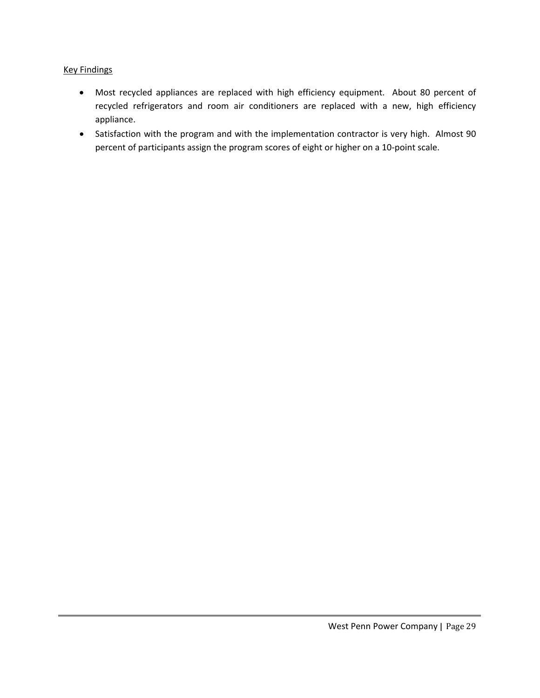#### Key Findings

- Most recycled appliances are replaced with high efficiency equipment. About 80 percent of recycled refrigerators and room air conditioners are replaced with a new, high efficiency appliance.
- Satisfaction with the program and with the implementation contractor is very high. Almost 90 percent of participants assign the program scores of eight or higher on a 10‐point scale.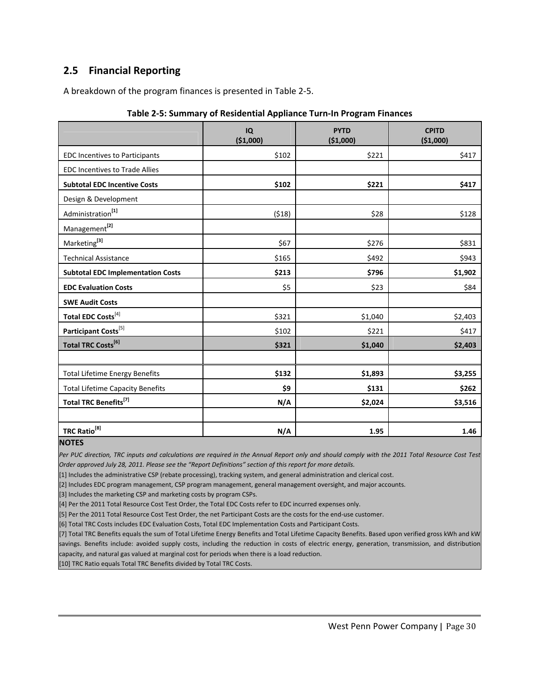## <span id="page-32-0"></span>**2.5 Financial Reporting**

A breakdown of the program finances is presented in Table 2‐5.

|                                          | IQ<br>(\$1,000) | <b>PYTD</b><br>(\$1,000) | <b>CPITD</b><br>(\$1,000) |
|------------------------------------------|-----------------|--------------------------|---------------------------|
| <b>EDC Incentives to Participants</b>    | \$102           | \$221                    | \$417                     |
| <b>EDC Incentives to Trade Allies</b>    |                 |                          |                           |
| <b>Subtotal EDC Incentive Costs</b>      | \$102           | \$221                    | \$417                     |
| Design & Development                     |                 |                          |                           |
| Administration <sup>[1]</sup>            | (518)           | \$28                     | \$128                     |
| Management <sup>[2]</sup>                |                 |                          |                           |
| Marketing <sup>[3]</sup>                 | \$67            | \$276                    | \$831                     |
| <b>Technical Assistance</b>              | \$165           | \$492                    | \$943                     |
| <b>Subtotal EDC Implementation Costs</b> | \$213           | \$796                    | \$1,902                   |
| <b>EDC Evaluation Costs</b>              | \$5             | \$23                     | \$84                      |
| <b>SWE Audit Costs</b>                   |                 |                          |                           |
| Total EDC Costs[4]                       | \$321           | \$1,040                  | \$2,403                   |
| Participant Costs[5]                     | \$102           | \$221                    | \$417                     |
| <b>Total TRC Costs</b> <sup>[6]</sup>    | \$321           | \$1,040                  | \$2,403                   |
|                                          |                 |                          |                           |
| <b>Total Lifetime Energy Benefits</b>    | \$132           | \$1,893                  | \$3,255                   |
| <b>Total Lifetime Capacity Benefits</b>  | \$9             | \$131                    | \$262                     |
| Total TRC Benefits <sup>[7]</sup>        | N/A             | \$2,024                  | \$3,516                   |
|                                          |                 |                          |                           |
| TRC Ratio <sup>[8]</sup>                 | N/A             | 1.95                     | 1.46                      |

**Table 2‐5: Summary of Residential Appliance Turn‐In Program Finances**

#### **NOTES**

Per PUC direction, TRC inputs and calculations are required in the Annual Report only and should comply with the 2011 Total Resource Cost Test Order approved July 28, 2011. Please see the "Report Definitions" section of this report for more details.

[1] Includes the administrative CSP (rebate processing), tracking system, and general administration and clerical cost.

[2] Includes EDC program management, CSP program management, general management oversight, and major accounts.

[3] Includes the marketing CSP and marketing costs by program CSPs.

[4] Per the 2011 Total Resource Cost Test Order, the Total EDC Costs refer to EDC incurred expenses only.

[5] Per the 2011 Total Resource Cost Test Order, the net Participant Costs are the costs for the end‐use customer.

[6] Total TRC Costs includes EDC Evaluation Costs, Total EDC Implementation Costs and Participant Costs.

[7] Total TRC Benefits equals the sum of Total Lifetime Energy Benefits and Total Lifetime Capacity Benefits. Based upon verified gross kWh and kW savings. Benefits include: avoided supply costs, including the reduction in costs of electric energy, generation, transmission, and distribution capacity, and natural gas valued at marginal cost for periods when there is a load reduction.

[10] TRC Ratio equals Total TRC Benefits divided by Total TRC Costs.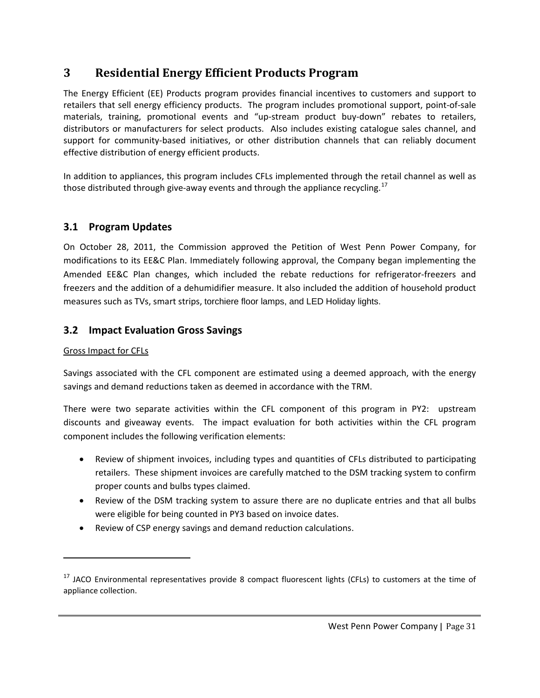# <span id="page-33-0"></span>**3 Residential Energy Efficient Products Program**

The Energy Efficient (EE) Products program provides financial incentives to customers and support to retailers that sell energy efficiency products. The program includes promotional support, point‐of‐sale materials, training, promotional events and "up-stream product buy-down" rebates to retailers, distributors or manufacturers for select products. Also includes existing catalogue sales channel, and support for community-based initiatives, or other distribution channels that can reliably document effective distribution of energy efficient products.

In addition to appliances, this program includes CFLs implemented through the retail channel as well as those distributed through give-away events and through the appliance recycling.<sup>[17](#page-33-3)</sup>

## <span id="page-33-1"></span>**3.1 Program Updates**

On October 28, 2011, the Commission approved the Petition of West Penn Power Company, for modifications to its EE&C Plan. Immediately following approval, the Company began implementing the Amended EE&C Plan changes, which included the rebate reductions for refrigerator‐freezers and freezers and the addition of a dehumidifier measure. It also included the addition of household product measures such as TVs, smart strips, torchiere floor lamps, and LED Holiday lights.

## <span id="page-33-2"></span>**3.2 Impact Evaluation Gross Savings**

#### Gross Impact for CFLs

Savings associated with the CFL component are estimated using a deemed approach, with the energy savings and demand reductions taken as deemed in accordance with the TRM.

There were two separate activities within the CFL component of this program in PY2: upstream discounts and giveaway events. The impact evaluation for both activities within the CFL program component includes the following verification elements:

- Review of shipment invoices, including types and quantities of CFLs distributed to participating retailers. These shipment invoices are carefully matched to the DSM tracking system to confirm proper counts and bulbs types claimed.
- Review of the DSM tracking system to assure there are no duplicate entries and that all bulbs were eligible for being counted in PY3 based on invoice dates.
- Review of CSP energy savings and demand reduction calculations.

<span id="page-33-3"></span><sup>&</sup>lt;sup>17</sup> JACO Environmental representatives provide 8 compact fluorescent lights (CFLs) to customers at the time of appliance collection.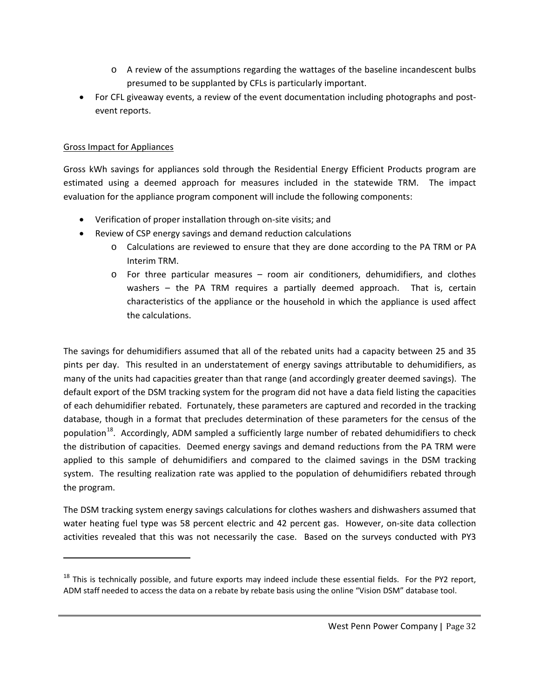- $\circ$  A review of the assumptions regarding the wattages of the baseline incandescent bulbs presumed to be supplanted by CFLs is particularly important.
- For CFL giveaway events, a review of the event documentation including photographs and postevent reports.

### Gross Impact for Appliances

Gross kWh savings for appliances sold through the Residential Energy Efficient Products program are estimated using a deemed approach for measures included in the statewide TRM. The impact evaluation for the appliance program component will include the following components:

- Verification of proper installation through on‐site visits; and
- Review of CSP energy savings and demand reduction calculations
	- o Calculations are reviewed to ensure that they are done according to the PA TRM or PA Interim TRM.
	- o For three particular measures room air conditioners, dehumidifiers, and clothes washers – the PA TRM requires a partially deemed approach. That is, certain characteristics of the appliance or the household in which the appliance is used affect the calculations.

The savings for dehumidifiers assumed that all of the rebated units had a capacity between 25 and 35 pints per day. This resulted in an understatement of energy savings attributable to dehumidifiers, as many of the units had capacities greater than that range (and accordingly greater deemed savings). The default export of the DSM tracking system for the program did not have a data field listing the capacities of each dehumidifier rebated. Fortunately, these parameters are captured and recorded in the tracking database, though in a format that precludes determination of these parameters for the census of the population<sup>[18](#page-34-0)</sup>. Accordingly, ADM sampled a sufficiently large number of rebated dehumidifiers to check the distribution of capacities. Deemed energy savings and demand reductions from the PA TRM were applied to this sample of dehumidifiers and compared to the claimed savings in the DSM tracking system. The resulting realization rate was applied to the population of dehumidifiers rebated through the program.

The DSM tracking system energy savings calculations for clothes washers and dishwashers assumed that water heating fuel type was 58 percent electric and 42 percent gas. However, on-site data collection activities revealed that this was not necessarily the case. Based on the surveys conducted with PY3

<span id="page-34-0"></span> $18$  This is technically possible, and future exports may indeed include these essential fields. For the PY2 report, ADM staff needed to access the data on a rebate by rebate basis using the online "Vision DSM" database tool.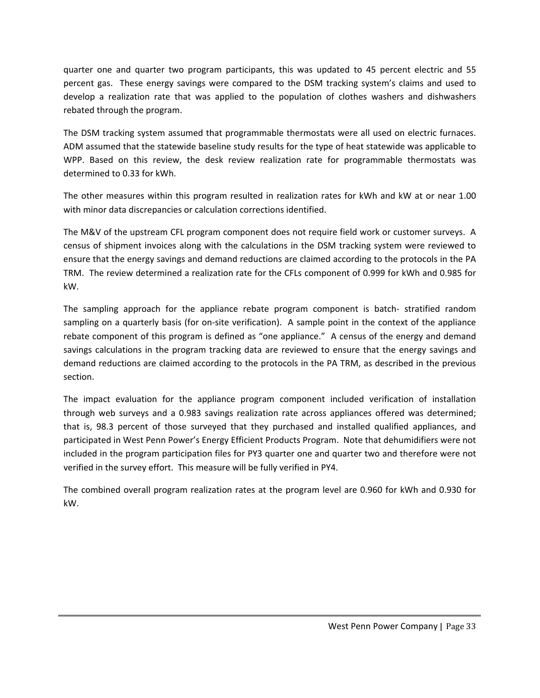quarter one and quarter two program participants, this was updated to 45 percent electric and 55 percent gas. These energy savings were compared to the DSM tracking system's claims and used to develop a realization rate that was applied to the population of clothes washers and dishwashers rebated through the program.

The DSM tracking system assumed that programmable thermostats were all used on electric furnaces. ADM assumed that the statewide baseline study results for the type of heat statewide was applicable to WPP. Based on this review, the desk review realization rate for programmable thermostats was determined to 0.33 for kWh.

The other measures within this program resulted in realization rates for kWh and kW at or near 1.00 with minor data discrepancies or calculation corrections identified.

The M&V of the upstream CFL program component does not require field work or customer surveys. A census of shipment invoices along with the calculations in the DSM tracking system were reviewed to ensure that the energy savings and demand reductions are claimed according to the protocols in the PA TRM. The review determined a realization rate for the CFLs component of 0.999 for kWh and 0.985 for kW.

The sampling approach for the appliance rebate program component is batch- stratified random sampling on a quarterly basis (for on-site verification). A sample point in the context of the appliance rebate component of this program is defined as "one appliance." A census of the energy and demand savings calculations in the program tracking data are reviewed to ensure that the energy savings and demand reductions are claimed according to the protocols in the PA TRM, as described in the previous section.

The impact evaluation for the appliance program component included verification of installation through web surveys and a 0.983 savings realization rate across appliances offered was determined; that is, 98.3 percent of those surveyed that they purchased and installed qualified appliances, and participated in West Penn Power's Energy Efficient Products Program. Note that dehumidifiers were not included in the program participation files for PY3 quarter one and quarter two and therefore were not verified in the survey effort. This measure will be fully verified in PY4.

The combined overall program realization rates at the program level are 0.960 for kWh and 0.930 for kW.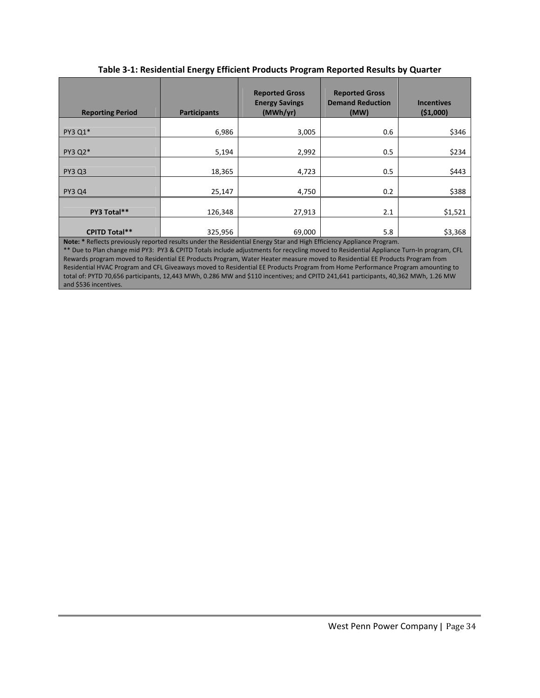| <b>Reporting Period</b> | <b>Participants</b> | <b>Reported Gross</b><br><b>Energy Savings</b><br>(MWh/yr) | <b>Reported Gross</b><br><b>Demand Reduction</b><br>(MW) | <b>Incentives</b><br>(\$1,000) |
|-------------------------|---------------------|------------------------------------------------------------|----------------------------------------------------------|--------------------------------|
| PY3 Q1*                 | 6,986               | 3,005                                                      | 0.6                                                      | \$346                          |
| PY3 Q2*                 | 5,194               | 2,992                                                      | 0.5                                                      | \$234                          |
| <b>PY3 Q3</b>           | 18,365              | 4,723                                                      | 0.5                                                      | \$443                          |
| <b>PY3 Q4</b>           | 25,147              | 4,750                                                      | 0.2                                                      | \$388                          |
| PY3 Total**             | 126,348             | 27,913                                                     | 2.1                                                      | \$1,521                        |
| <b>CPITD Total**</b>    | 325,956             | 69,000                                                     | 5.8                                                      | \$3,368                        |

#### **Table 3‐1: Residential Energy Efficient Products Program Reported Results by Quarter**

**Note: \*** Reflects previously reported results under the Residential Energy Star and High Efficiency Appliance Program.

\*\* Due to Plan change mid PY3: PY3 & CPITD Totals include adjustments for recycling moved to Residential Appliance Turn‐In program, CFL Rewards program moved to Residential EE Products Program, Water Heater measure moved to Residential EE Products Program from Residential HVAC Program and CFL Giveaways moved to Residential EE Products Program from Home Performance Program amounting to total of: PYTD 70,656 participants, 12,443 MWh, 0.286 MW and \$110 incentives; and CPITD 241,641 participants, 40,362 MWh, 1.26 MW and \$536 incentives.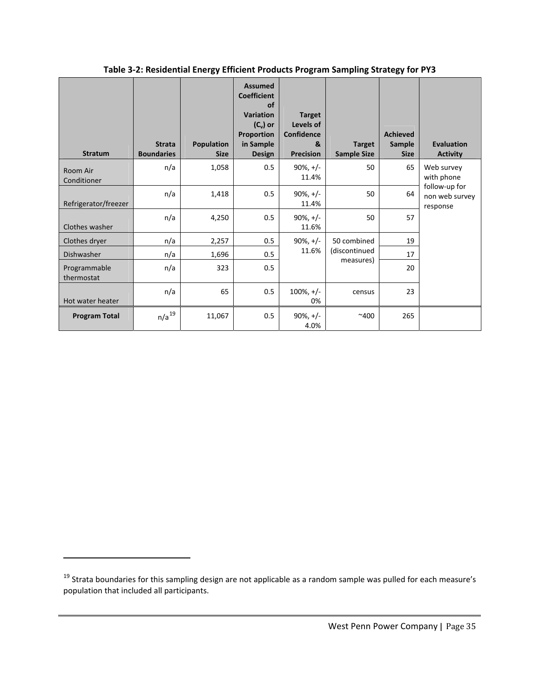| <b>Stratum</b>             | <b>Strata</b><br><b>Boundaries</b> | <b>Population</b><br><b>Size</b> | <b>Assumed</b><br><b>Coefficient</b><br>of<br><b>Variation</b><br>$(C_v)$ or<br>Proportion<br>in Sample<br><b>Design</b> | <b>Target</b><br>Levels of<br>Confidence<br>&<br><b>Precision</b> | <b>Target</b><br><b>Sample Size</b> | <b>Achieved</b><br>Sample<br><b>Size</b> | <b>Evaluation</b><br><b>Activity</b>        |
|----------------------------|------------------------------------|----------------------------------|--------------------------------------------------------------------------------------------------------------------------|-------------------------------------------------------------------|-------------------------------------|------------------------------------------|---------------------------------------------|
| Room Air<br>Conditioner    | n/a                                | 1,058                            | 0.5                                                                                                                      | $90\%, +/-$<br>11.4%                                              | 50                                  | 65                                       | Web survey<br>with phone                    |
| Refrigerator/freezer       | n/a                                | 1,418                            | 0.5                                                                                                                      | $90\%, +/-$<br>11.4%                                              | 50                                  | 64                                       | follow-up for<br>non web survey<br>response |
| Clothes washer             | n/a                                | 4,250                            | 0.5                                                                                                                      | $90\%, +/-$<br>11.6%                                              | 50                                  | 57                                       |                                             |
| Clothes dryer              | n/a                                | 2,257                            | 0.5                                                                                                                      | $90\%, +/-$                                                       | 50 combined                         | 19                                       |                                             |
| Dishwasher                 | n/a                                | 1,696                            | 0.5                                                                                                                      | 11.6%                                                             | (discontinued                       | 17                                       |                                             |
| Programmable<br>thermostat | n/a                                | 323                              | 0.5                                                                                                                      |                                                                   | measures)                           | 20                                       |                                             |
| Hot water heater           | n/a                                | 65                               | 0.5                                                                                                                      | $100\%, +/-$<br>0%                                                | census                              | 23                                       |                                             |
| <b>Program Total</b>       | $n/a^{19}$                         | 11,067                           | 0.5                                                                                                                      | $90\%, +/-$<br>4.0%                                               | ~1400                               | 265                                      |                                             |

## **Table 3‐2: Residential Energy Efficient Products Program Sampling Strategy for PY3**

 $\overline{\phantom{a}}$ 

<span id="page-37-0"></span> $19$  Strata boundaries for this sampling design are not applicable as a random sample was pulled for each measure's population that included all participants.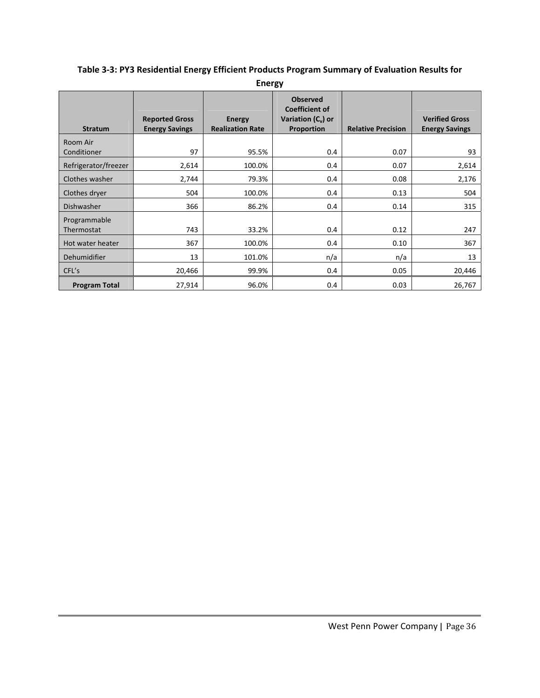# **Table 3‐3: PY3 Residential Energy Efficient Products Program Summary of Evaluation Results for**

| יסי                  |                                                |                                          |                                                                                |                           |                                                |  |  |
|----------------------|------------------------------------------------|------------------------------------------|--------------------------------------------------------------------------------|---------------------------|------------------------------------------------|--|--|
| <b>Stratum</b>       | <b>Reported Gross</b><br><b>Energy Savings</b> | <b>Energy</b><br><b>Realization Rate</b> | <b>Observed</b><br><b>Coefficient of</b><br>Variation $(C_v)$ or<br>Proportion | <b>Relative Precision</b> | <b>Verified Gross</b><br><b>Energy Savings</b> |  |  |
| Room Air             |                                                |                                          |                                                                                |                           |                                                |  |  |
| Conditioner          | 97                                             | 95.5%                                    | 0.4                                                                            | 0.07                      | 93                                             |  |  |
| Refrigerator/freezer | 2,614                                          | 100.0%                                   | 0.4                                                                            | 0.07                      | 2,614                                          |  |  |
| Clothes washer       | 2,744                                          | 79.3%                                    | 0.4                                                                            | 0.08                      | 2,176                                          |  |  |
| Clothes dryer        | 504                                            | 100.0%                                   | 0.4                                                                            | 0.13                      | 504                                            |  |  |
| Dishwasher           | 366                                            | 86.2%                                    | 0.4                                                                            | 0.14                      | 315                                            |  |  |
| Programmable         |                                                |                                          |                                                                                |                           |                                                |  |  |
| Thermostat           | 743                                            | 33.2%                                    | 0.4                                                                            | 0.12                      | 247                                            |  |  |
| Hot water heater     | 367                                            | 100.0%                                   | 0.4                                                                            | 0.10                      | 367                                            |  |  |
| Dehumidifier         | 13                                             | 101.0%                                   | n/a                                                                            | n/a                       | 13                                             |  |  |
| CFL's                | 20,466                                         | 99.9%                                    | 0.4                                                                            | 0.05                      | 20,446                                         |  |  |
| <b>Program Total</b> | 27,914                                         | 96.0%                                    | 0.4                                                                            | 0.03                      | 26,767                                         |  |  |

**Energy**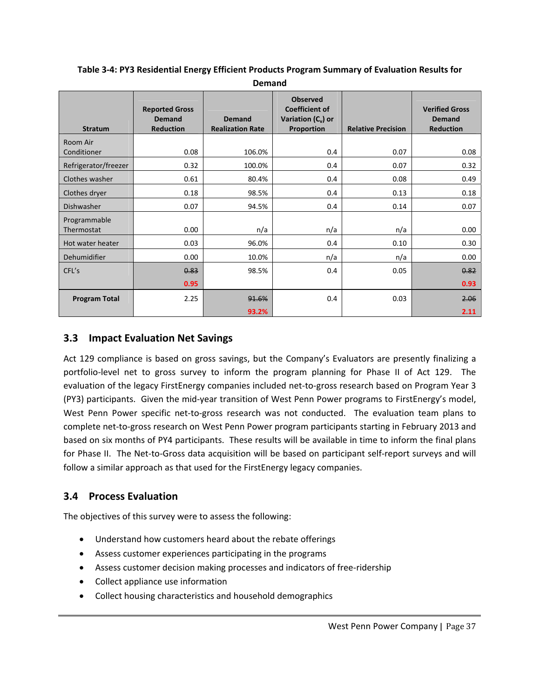| <b>Stratum</b>             | <b>Reported Gross</b><br><b>Demand</b><br><b>Reduction</b> | Demand<br><b>Realization Rate</b> | <b>Observed</b><br><b>Coefficient of</b><br>Variation $(C_v)$ or<br><b>Proportion</b> | <b>Relative Precision</b> | <b>Verified Gross</b><br><b>Demand</b><br><b>Reduction</b> |
|----------------------------|------------------------------------------------------------|-----------------------------------|---------------------------------------------------------------------------------------|---------------------------|------------------------------------------------------------|
| Room Air                   |                                                            |                                   |                                                                                       |                           |                                                            |
| Conditioner                | 0.08                                                       | 106.0%                            | 0.4                                                                                   | 0.07                      | 0.08                                                       |
| Refrigerator/freezer       | 0.32                                                       | 100.0%                            | 0.4                                                                                   | 0.07                      | 0.32                                                       |
| Clothes washer             | 0.61                                                       | 80.4%                             | 0.4                                                                                   | 0.08                      | 0.49                                                       |
| Clothes dryer              | 0.18                                                       | 98.5%                             | 0.4                                                                                   | 0.13                      | 0.18                                                       |
| Dishwasher                 | 0.07                                                       | 94.5%                             | 0.4                                                                                   | 0.14                      | 0.07                                                       |
| Programmable<br>Thermostat | 0.00                                                       | n/a                               | n/a                                                                                   | n/a                       | 0.00                                                       |
| Hot water heater           | 0.03                                                       | 96.0%                             | 0.4                                                                                   | 0.10                      | 0.30                                                       |
| Dehumidifier               | 0.00                                                       | 10.0%                             | n/a                                                                                   | n/a                       | 0.00                                                       |
| CFL's                      | 0.83                                                       | 98.5%                             | 0.4                                                                                   | 0.05                      | 0.82                                                       |
|                            | 0.95                                                       |                                   |                                                                                       |                           | 0.93                                                       |
| <b>Program Total</b>       | 2.25                                                       | 91.6%                             | 0.4                                                                                   | 0.03                      | 2.06                                                       |
|                            |                                                            | 93.2%                             |                                                                                       |                           | 2.11                                                       |

### **Table 3‐4: PY3 Residential Energy Efficient Products Program Summary of Evaluation Results for Demand**

## **3.3 Impact Evaluation Net Savings**

Act 129 compliance is based on gross savings, but the Company's Evaluators are presently finalizing a portfolio-level net to gross survey to inform the program planning for Phase II of Act 129. The evaluation of the legacy FirstEnergy companies included net-to-gross research based on Program Year 3 (PY3) participants. Given the mid‐year transition of West Penn Power programs to FirstEnergy's model, West Penn Power specific net-to-gross research was not conducted. The evaluation team plans to complete net-to-gross research on West Penn Power program participants starting in February 2013 and based on six months of PY4 participants. These results will be available in time to inform the final plans for Phase II. The Net-to-Gross data acquisition will be based on participant self-report surveys and will follow a similar approach as that used for the FirstEnergy legacy companies.

## **3.4 Process Evaluation**

The objectives of this survey were to assess the following:

- Understand how customers heard about the rebate offerings
- Assess customer experiences participating in the programs
- Assess customer decision making processes and indicators of free‐ridership
- Collect appliance use information
- Collect housing characteristics and household demographics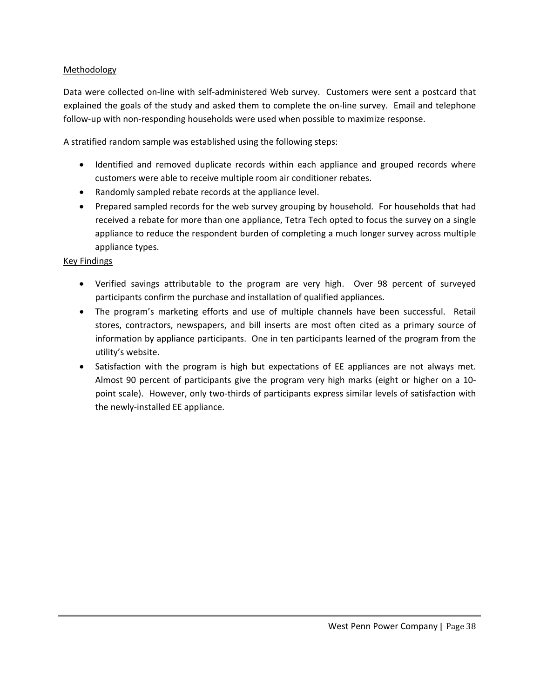### Methodology

Data were collected on-line with self-administered Web survey. Customers were sent a postcard that explained the goals of the study and asked them to complete the on-line survey. Email and telephone follow‐up with non‐responding households were used when possible to maximize response.

A stratified random sample was established using the following steps:

- Identified and removed duplicate records within each appliance and grouped records where customers were able to receive multiple room air conditioner rebates.
- Randomly sampled rebate records at the appliance level.
- Prepared sampled records for the web survey grouping by household. For households that had received a rebate for more than one appliance, Tetra Tech opted to focus the survey on a single appliance to reduce the respondent burden of completing a much longer survey across multiple appliance types.

### Key Findings

- Verified savings attributable to the program are very high. Over 98 percent of surveyed participants confirm the purchase and installation of qualified appliances.
- The program's marketing efforts and use of multiple channels have been successful. Retail stores, contractors, newspapers, and bill inserts are most often cited as a primary source of information by appliance participants. One in ten participants learned of the program from the utility's website.
- Satisfaction with the program is high but expectations of EE appliances are not always met. Almost 90 percent of participants give the program very high marks (eight or higher on a 10‐ point scale). However, only two-thirds of participants express similar levels of satisfaction with the newly‐installed EE appliance.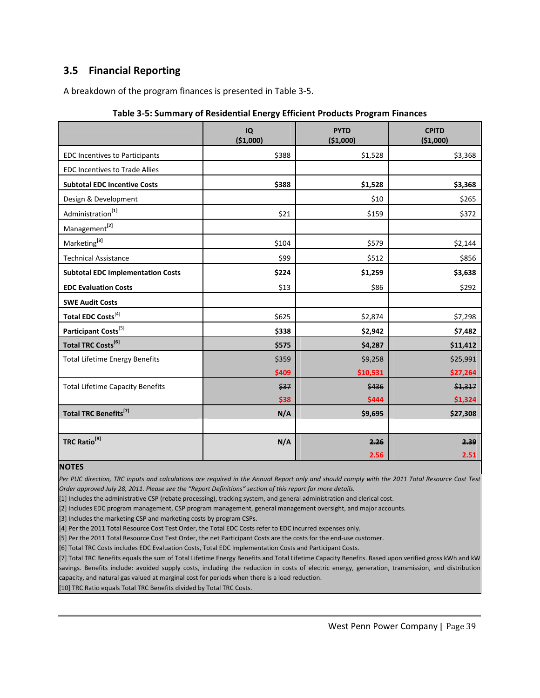## **3.5 Financial Reporting**

A breakdown of the program finances is presented in Table 3‐5.

|                                          | IQ<br>(\$1,000) | <b>PYTD</b><br>( \$1,000) | <b>CPITD</b><br>(\$1,000) |
|------------------------------------------|-----------------|---------------------------|---------------------------|
| <b>EDC Incentives to Participants</b>    | \$388           | \$1,528                   | \$3,368                   |
| <b>EDC Incentives to Trade Allies</b>    |                 |                           |                           |
| <b>Subtotal EDC Incentive Costs</b>      | \$388           | \$1,528                   | \$3,368                   |
| Design & Development                     |                 | \$10                      | \$265                     |
| Administration <sup>[1]</sup>            | \$21            | \$159                     | \$372                     |
| Management <sup>[2]</sup>                |                 |                           |                           |
| Marketing <sup>[3]</sup>                 | \$104           | \$579                     | \$2,144                   |
| <b>Technical Assistance</b>              | \$99            | \$512                     | \$856                     |
| <b>Subtotal EDC Implementation Costs</b> | \$224           | \$1,259                   | \$3,638                   |
| <b>EDC Evaluation Costs</b>              | \$13            | \$86                      | \$292                     |
| <b>SWE Audit Costs</b>                   |                 |                           |                           |
| Total EDC Costs[4]                       | \$625           | \$2,874                   | \$7,298                   |
| Participant Costs[5]                     | \$338           | \$2,942                   | \$7,482                   |
| Total TRC Costs[6]                       | \$575           | \$4,287                   | \$11,412                  |
| <b>Total Lifetime Energy Benefits</b>    | \$359           | \$9,258                   | \$25,991                  |
|                                          | \$409           | \$10,531                  | \$27,264                  |
| <b>Total Lifetime Capacity Benefits</b>  | \$37            | \$436                     | \$1,317                   |
|                                          | \$38            | \$444                     | \$1,324                   |
| <b>Total TRC Benefits</b> <sup>[7]</sup> | N/A             | \$9,695                   | \$27,308                  |
|                                          |                 |                           |                           |
| TRC Ratio <sup>[8]</sup>                 | N/A             | 2,26                      | 2.39                      |
|                                          |                 | 2.56                      | 2.51                      |

**Table 3‐5: Summary of Residential Energy Efficient Products Program Finances**

### **NOTES**

Per PUC direction, TRC inputs and calculations are required in the Annual Report only and should comply with the 2011 Total Resource Cost Test Order approved July 28, 2011. Please see the "Report Definitions" section of this report for more details.

[1] Includes the administrative CSP (rebate processing), tracking system, and general administration and clerical cost.

[2] Includes EDC program management, CSP program management, general management oversight, and major accounts.

[3] Includes the marketing CSP and marketing costs by program CSPs.

[4] Per the 2011 Total Resource Cost Test Order, the Total EDC Costs refer to EDC incurred expenses only.

[5] Per the 2011 Total Resource Cost Test Order, the net Participant Costs are the costs for the end‐use customer.

[6] Total TRC Costs includes EDC Evaluation Costs, Total EDC Implementation Costs and Participant Costs.

[7] Total TRC Benefits equals the sum of Total Lifetime Energy Benefits and Total Lifetime Capacity Benefits. Based upon verified gross kWh and kW savings. Benefits include: avoided supply costs, including the reduction in costs of electric energy, generation, transmission, and distribution capacity, and natural gas valued at marginal cost for periods when there is a load reduction.

[10] TRC Ratio equals Total TRC Benefits divided by Total TRC Costs.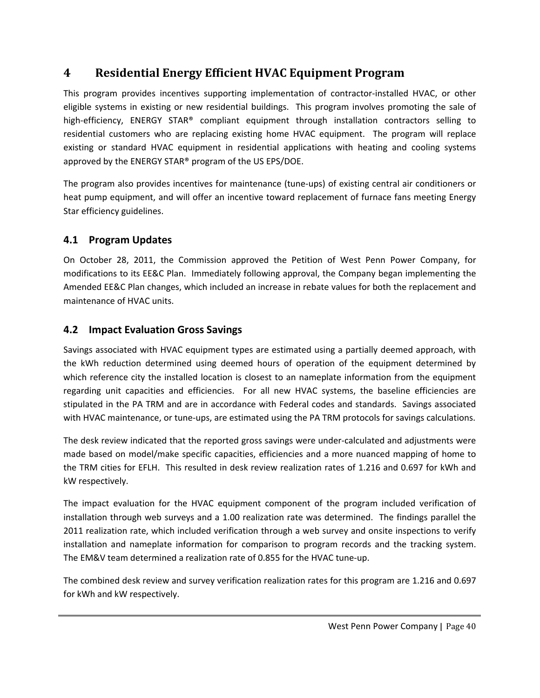# **4 Residential Energy Efficient HVAC Equipment Program**

This program provides incentives supporting implementation of contractor-installed HVAC, or other eligible systems in existing or new residential buildings. This program involves promoting the sale of high-efficiency, ENERGY STAR® compliant equipment through installation contractors selling to residential customers who are replacing existing home HVAC equipment. The program will replace existing or standard HVAC equipment in residential applications with heating and cooling systems approved by the ENERGY STAR® program of the US EPS/DOE.

The program also provides incentives for maintenance (tune‐ups) of existing central air conditioners or heat pump equipment, and will offer an incentive toward replacement of furnace fans meeting Energy Star efficiency guidelines.

## **4.1 Program Updates**

On October 28, 2011, the Commission approved the Petition of West Penn Power Company, for modifications to its EE&C Plan. Immediately following approval, the Company began implementing the Amended EE&C Plan changes, which included an increase in rebate values for both the replacement and maintenance of HVAC units.

## **4.2 Impact Evaluation Gross Savings**

Savings associated with HVAC equipment types are estimated using a partially deemed approach, with the kWh reduction determined using deemed hours of operation of the equipment determined by which reference city the installed location is closest to an nameplate information from the equipment regarding unit capacities and efficiencies. For all new HVAC systems, the baseline efficiencies are stipulated in the PA TRM and are in accordance with Federal codes and standards. Savings associated with HVAC maintenance, or tune-ups, are estimated using the PA TRM protocols for savings calculations.

The desk review indicated that the reported gross savings were under‐calculated and adjustments were made based on model/make specific capacities, efficiencies and a more nuanced mapping of home to the TRM cities for EFLH. This resulted in desk review realization rates of 1.216 and 0.697 for kWh and kW respectively.

The impact evaluation for the HVAC equipment component of the program included verification of installation through web surveys and a 1.00 realization rate was determined. The findings parallel the 2011 realization rate, which included verification through a web survey and onsite inspections to verify installation and nameplate information for comparison to program records and the tracking system. The EM&V team determined a realization rate of 0.855 for the HVAC tune‐up.

The combined desk review and survey verification realization rates for this program are 1.216 and 0.697 for kWh and kW respectively.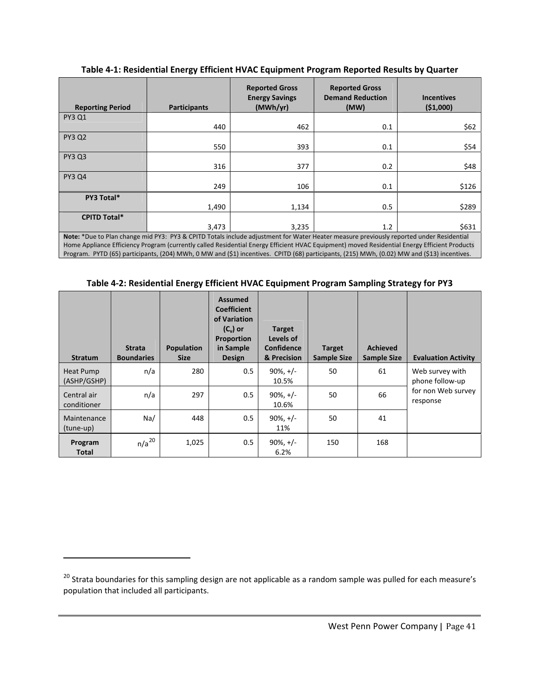| <b>Reporting Period</b>                                                                                                                 | <b>Participants</b> | <b>Reported Gross</b><br><b>Energy Savings</b><br>(MWh/yr) | <b>Reported Gross</b><br><b>Demand Reduction</b><br>(MW) | <b>Incentives</b><br>(51,000) |
|-----------------------------------------------------------------------------------------------------------------------------------------|---------------------|------------------------------------------------------------|----------------------------------------------------------|-------------------------------|
| <b>PY3 Q1</b>                                                                                                                           |                     |                                                            |                                                          |                               |
|                                                                                                                                         | 440                 | 462                                                        | 0.1                                                      | \$62                          |
| <b>PY3 Q2</b>                                                                                                                           |                     |                                                            |                                                          |                               |
|                                                                                                                                         | 550                 | 393                                                        | 0.1                                                      | \$54                          |
| <b>PY3 Q3</b>                                                                                                                           |                     |                                                            |                                                          |                               |
|                                                                                                                                         | 316                 | 377                                                        | 0.2                                                      | \$48                          |
| <b>PY3 Q4</b>                                                                                                                           |                     |                                                            |                                                          |                               |
|                                                                                                                                         | 249                 | 106                                                        | 0.1                                                      | \$126                         |
| PY3 Total*                                                                                                                              |                     |                                                            |                                                          |                               |
|                                                                                                                                         | 1,490               | 1,134                                                      | 0.5                                                      | \$289                         |
| <b>CPITD Total*</b>                                                                                                                     |                     |                                                            |                                                          |                               |
|                                                                                                                                         | 3,473               | 3,235                                                      | 1.2                                                      | \$631                         |
| Note: *Due to Plan change mid PY3: PY3 & CPITD Totals include adjustment for Water Heater measure previously reported under Residential |                     |                                                            |                                                          |                               |

**Table 4‐1: Residential Energy Efficient HVAC Equipment Program Reported Results by Quarter**

Home Appliance Efficiency Program (currently called Residential Energy Efficient HVAC Equipment) moved Residential Energy Efficient Products Program. PYTD (65) participants, (204) MWh, 0 MW and (\$1) incentives. CPITD (68) participants, (215) MWh, (0.02) MW and (\$13) incentives.

**Table 4‐2: Residential Energy Efficient HVAC Equipment Program Sampling Strategy for PY3**

| <b>Stratum</b>             | <b>Strata</b><br><b>Boundaries</b> | <b>Population</b><br><b>Size</b> | <b>Assumed</b><br><b>Coefficient</b><br>of Variation<br>$(C_{\nu})$ or<br>Proportion<br>in Sample<br><b>Design</b> | <b>Target</b><br>Levels of<br>Confidence<br>& Precision | <b>Target</b><br><b>Sample Size</b> | <b>Achieved</b><br><b>Sample Size</b> | <b>Evaluation Activity</b>         |
|----------------------------|------------------------------------|----------------------------------|--------------------------------------------------------------------------------------------------------------------|---------------------------------------------------------|-------------------------------------|---------------------------------------|------------------------------------|
| Heat Pump<br>(ASHP/GSHP)   | n/a                                | 280                              | 0.5                                                                                                                | $90\%$ , +/-<br>10.5%                                   | 50                                  | 61                                    | Web survey with<br>phone follow-up |
| Central air<br>conditioner | n/a                                | 297                              | 0.5                                                                                                                | $90\%, +/-$<br>10.6%                                    | 50                                  | 66                                    | for non Web survey<br>response     |
| Maintenance<br>(tune-up)   | Na/                                | 448                              | 0.5                                                                                                                | $90\%$ , +/-<br>11%                                     | 50                                  | 41                                    |                                    |
| Program<br><b>Total</b>    | $n/a^{20}$                         | 1,025                            | 0.5                                                                                                                | $90\%, +/-$<br>6.2%                                     | 150                                 | 168                                   |                                    |

<span id="page-43-0"></span><sup>&</sup>lt;sup>20</sup> Strata boundaries for this sampling design are not applicable as a random sample was pulled for each measure's population that included all participants.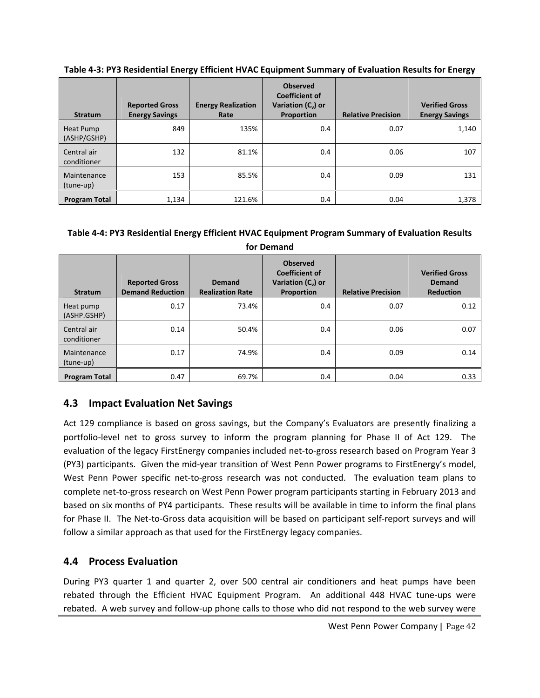| <b>Stratum</b>             | <b>Reported Gross</b><br><b>Energy Savings</b> | <b>Energy Realization</b><br>Rate | <b>Observed</b><br><b>Coefficient of</b><br>Variation $(C_v)$ or<br>Proportion | <b>Relative Precision</b> | <b>Verified Gross</b><br><b>Energy Savings</b> |
|----------------------------|------------------------------------------------|-----------------------------------|--------------------------------------------------------------------------------|---------------------------|------------------------------------------------|
| Heat Pump<br>(ASHP/GSHP)   | 849                                            | 135%                              | 0.4                                                                            | 0.07                      | 1,140                                          |
| Central air<br>conditioner | 132                                            | 81.1%                             | 0.4                                                                            | 0.06                      | 107                                            |
| Maintenance<br>(tune-up)   | 153                                            | 85.5%                             | 0.4                                                                            | 0.09                      | 131                                            |
| <b>Program Total</b>       | 1,134                                          | 121.6%                            | 0.4                                                                            | 0.04                      | 1,378                                          |

**Table 4‐3: PY3 Residential Energy Efficient HVAC Equipment Summary of Evaluation Results for Energy**

### **Table 4‐4: PY3 Residential Energy Efficient HVAC Equipment Program Summary of Evaluation Results for Demand**

| <b>Stratum</b>             | <b>Reported Gross</b><br><b>Demand Reduction</b> | <b>Demand</b><br><b>Realization Rate</b> | <b>Observed</b><br><b>Coefficient of</b><br>Variation $(C_v)$ or<br>Proportion | <b>Relative Precision</b> | <b>Verified Gross</b><br>Demand<br><b>Reduction</b> |
|----------------------------|--------------------------------------------------|------------------------------------------|--------------------------------------------------------------------------------|---------------------------|-----------------------------------------------------|
| Heat pump<br>(ASHP.GSHP)   | 0.17                                             | 73.4%                                    | 0.4                                                                            | 0.07                      | 0.12                                                |
| Central air<br>conditioner | 0.14                                             | 50.4%                                    | 0.4                                                                            | 0.06                      | 0.07                                                |
| Maintenance<br>(tune-up)   | 0.17                                             | 74.9%                                    | 0.4                                                                            | 0.09                      | 0.14                                                |
| <b>Program Total</b>       | 0.47                                             | 69.7%                                    | 0.4                                                                            | 0.04                      | 0.33                                                |

## **4.3 Impact Evaluation Net Savings**

Act 129 compliance is based on gross savings, but the Company's Evaluators are presently finalizing a portfolio-level net to gross survey to inform the program planning for Phase II of Act 129. The evaluation of the legacy FirstEnergy companies included net‐to‐gross research based on Program Year 3 (PY3) participants. Given the mid‐year transition of West Penn Power programs to FirstEnergy's model, West Penn Power specific net-to-gross research was not conducted. The evaluation team plans to complete net-to-gross research on West Penn Power program participants starting in February 2013 and based on six months of PY4 participants. These results will be available in time to inform the final plans for Phase II. The Net-to-Gross data acquisition will be based on participant self-report surveys and will follow a similar approach as that used for the FirstEnergy legacy companies.

## **4.4 Process Evaluation**

During PY3 quarter 1 and quarter 2, over 500 central air conditioners and heat pumps have been rebated through the Efficient HVAC Equipment Program. An additional 448 HVAC tune-ups were rebated. A web survey and follow-up phone calls to those who did not respond to the web survey were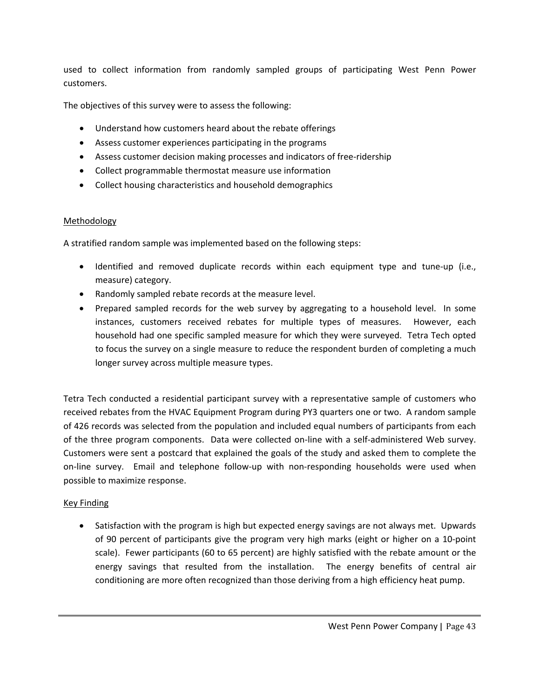used to collect information from randomly sampled groups of participating West Penn Power customers.

The objectives of this survey were to assess the following:

- Understand how customers heard about the rebate offerings
- Assess customer experiences participating in the programs
- Assess customer decision making processes and indicators of free-ridership
- Collect programmable thermostat measure use information
- Collect housing characteristics and household demographics

## Methodology

A stratified random sample was implemented based on the following steps:

- Identified and removed duplicate records within each equipment type and tune-up (i.e., measure) category.
- Randomly sampled rebate records at the measure level.
- Prepared sampled records for the web survey by aggregating to a household level. In some instances, customers received rebates for multiple types of measures. However, each household had one specific sampled measure for which they were surveyed. Tetra Tech opted to focus the survey on a single measure to reduce the respondent burden of completing a much longer survey across multiple measure types.

Tetra Tech conducted a residential participant survey with a representative sample of customers who received rebates from the HVAC Equipment Program during PY3 quarters one or two. A random sample of 426 records was selected from the population and included equal numbers of participants from each of the three program components. Data were collected on‐line with a self‐administered Web survey. Customers were sent a postcard that explained the goals of the study and asked them to complete the on-line survey. Email and telephone follow-up with non-responding households were used when possible to maximize response.

## Key Finding

• Satisfaction with the program is high but expected energy savings are not always met. Upwards of 90 percent of participants give the program very high marks (eight or higher on a 10‐point scale). Fewer participants (60 to 65 percent) are highly satisfied with the rebate amount or the energy savings that resulted from the installation. The energy benefits of central air conditioning are more often recognized than those deriving from a high efficiency heat pump.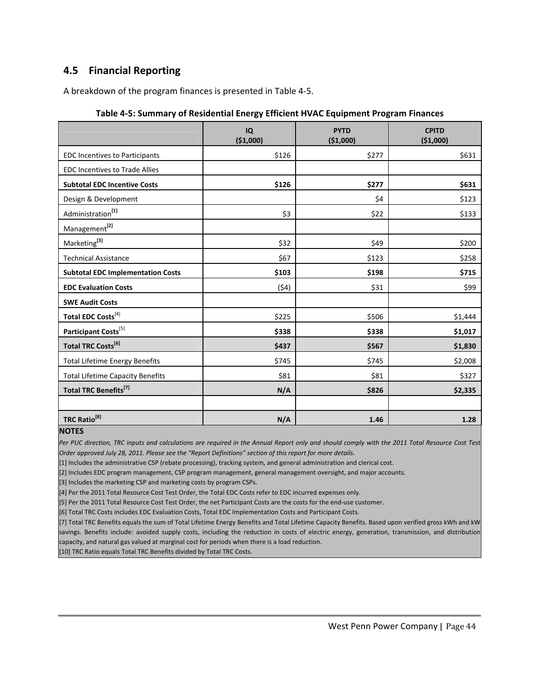## **4.5 Financial Reporting**

A breakdown of the program finances is presented in Table 4‐5.

|                                          | IQ<br>(\$1,000) | <b>PYTD</b><br>(\$1,000) | <b>CPITD</b><br>(\$1,000) |
|------------------------------------------|-----------------|--------------------------|---------------------------|
| <b>EDC Incentives to Participants</b>    | \$126           | \$277                    | \$631                     |
| <b>EDC Incentives to Trade Allies</b>    |                 |                          |                           |
| <b>Subtotal EDC Incentive Costs</b>      | \$126           | \$277                    | \$631                     |
| Design & Development                     |                 | \$4                      | \$123                     |
| Administration <sup>[1]</sup>            | \$3             | \$22                     | \$133                     |
| Management <sup>[2]</sup>                |                 |                          |                           |
| Marketing <sup>[3]</sup>                 | \$32            | \$49                     | \$200                     |
| <b>Technical Assistance</b>              | \$67            | \$123                    | \$258                     |
| <b>Subtotal EDC Implementation Costs</b> | \$103           | \$198                    | \$715                     |
| <b>EDC Evaluation Costs</b>              | (54)            | \$31                     | \$99                      |
| <b>SWE Audit Costs</b>                   |                 |                          |                           |
| Total EDC Costs[4]                       | \$225           | \$506                    | \$1,444                   |
| Participant Costs[5]                     | \$338           | \$338                    | \$1,017                   |
| Total TRC Costs[6]                       | \$437           | \$567                    | \$1,830                   |
| <b>Total Lifetime Energy Benefits</b>    | \$745           | \$745                    | \$2,008                   |
| <b>Total Lifetime Capacity Benefits</b>  | \$81            | \$81                     | \$327                     |
| <b>Total TRC Benefits</b> <sup>[7]</sup> | N/A             | \$826                    | \$2,335                   |
|                                          |                 |                          |                           |
| TRC Ratio <sup>[8]</sup>                 | N/A             | 1.46                     | 1.28                      |

**Table 4‐5: Summary of Residential Energy Efficient HVAC Equipment Program Finances**

**NOTES** 

Per PUC direction, TRC inputs and calculations are required in the Annual Report only and should comply with the 2011 Total Resource Cost Test Order approved July 28, 2011. Please see the "Report Definitions" section of this report for more details.

[1] Includes the administrative CSP (rebate processing), tracking system, and general administration and clerical cost.

[2] Includes EDC program management, CSP program management, general management oversight, and major accounts.

[3] Includes the marketing CSP and marketing costs by program CSPs.

[4] Per the 2011 Total Resource Cost Test Order, the Total EDC Costs refer to EDC incurred expenses only.

[5] Per the 2011 Total Resource Cost Test Order, the net Participant Costs are the costs for the end‐use customer.

[6] Total TRC Costs includes EDC Evaluation Costs, Total EDC Implementation Costs and Participant Costs.

[7] Total TRC Benefits equals the sum of Total Lifetime Energy Benefits and Total Lifetime Capacity Benefits. Based upon verified gross kWh and kW savings. Benefits include: avoided supply costs, including the reduction in costs of electric energy, generation, transmission, and distribution capacity, and natural gas valued at marginal cost for periods when there is a load reduction.

[10] TRC Ratio equals Total TRC Benefits divided by Total TRC Costs.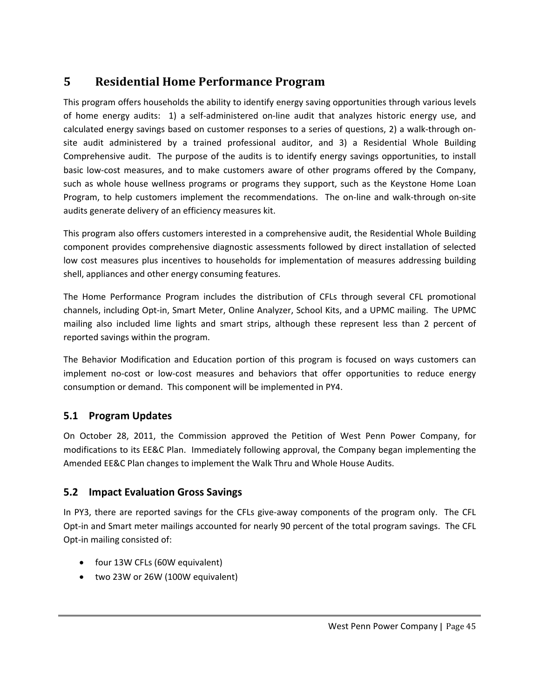# **5 Residential Home Performance Program**

This program offers households the ability to identify energy saving opportunities through various levels of home energy audits: 1) a self‐administered on‐line audit that analyzes historic energy use, and calculated energy savings based on customer responses to a series of questions, 2) a walk‐through on‐ site audit administered by a trained professional auditor, and 3) a Residential Whole Building Comprehensive audit. The purpose of the audits is to identify energy savings opportunities, to install basic low-cost measures, and to make customers aware of other programs offered by the Company, such as whole house wellness programs or programs they support, such as the Keystone Home Loan Program, to help customers implement the recommendations. The on-line and walk-through on-site audits generate delivery of an efficiency measures kit.

This program also offers customers interested in a comprehensive audit, the Residential Whole Building component provides comprehensive diagnostic assessments followed by direct installation of selected low cost measures plus incentives to households for implementation of measures addressing building shell, appliances and other energy consuming features.

The Home Performance Program includes the distribution of CFLs through several CFL promotional channels, including Opt‐in, Smart Meter, Online Analyzer, School Kits, and a UPMC mailing. The UPMC mailing also included lime lights and smart strips, although these represent less than 2 percent of reported savings within the program.

The Behavior Modification and Education portion of this program is focused on ways customers can implement no-cost or low-cost measures and behaviors that offer opportunities to reduce energy consumption or demand. This component will be implemented in PY4.

# **5.1 Program Updates**

On October 28, 2011, the Commission approved the Petition of West Penn Power Company, for modifications to its EE&C Plan. Immediately following approval, the Company began implementing the Amended EE&C Plan changes to implement the Walk Thru and Whole House Audits.

# **5.2 Impact Evaluation Gross Savings**

In PY3, there are reported savings for the CFLs give-away components of the program only. The CFL Opt‐in and Smart meter mailings accounted for nearly 90 percent of the total program savings. The CFL Opt‐in mailing consisted of:

- four 13W CFLs (60W equivalent)
- two 23W or 26W (100W equivalent)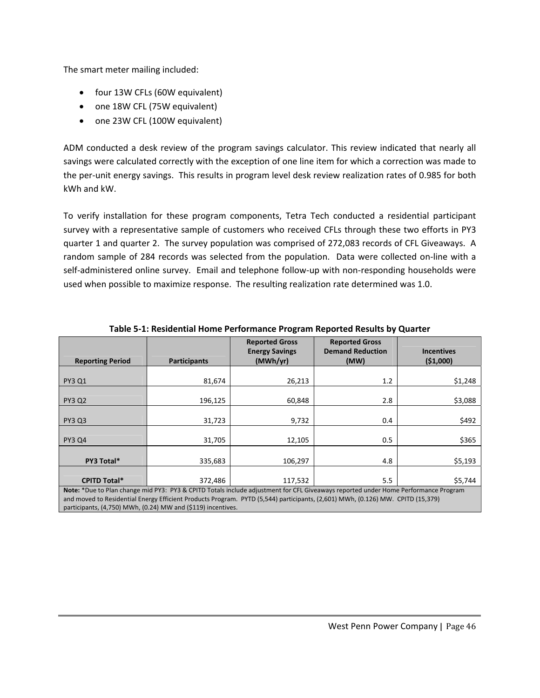The smart meter mailing included:

- four 13W CFLs (60W equivalent)
- one 18W CFL (75W equivalent)
- one 23W CFL (100W equivalent)

ADM conducted a desk review of the program savings calculator. This review indicated that nearly all savings were calculated correctly with the exception of one line item for which a correction was made to the per-unit energy savings. This results in program level desk review realization rates of 0.985 for both kWh and kW.

To verify installation for these program components, Tetra Tech conducted a residential participant survey with a representative sample of customers who received CFLs through these two efforts in PY3 quarter 1 and quarter 2. The survey population was comprised of 272,083 records of CFL Giveaways. A random sample of 284 records was selected from the population. Data were collected on-line with a self-administered online survey. Email and telephone follow-up with non-responding households were used when possible to maximize response. The resulting realization rate determined was 1.0.

| <b>Reporting Period</b> | <b>Participants</b>                                                                                                                | <b>Reported Gross</b><br><b>Energy Savings</b><br>(MWh/yr) | <b>Reported Gross</b><br><b>Demand Reduction</b><br>(MW) | <b>Incentives</b><br>(51,000) |  |  |  |  |
|-------------------------|------------------------------------------------------------------------------------------------------------------------------------|------------------------------------------------------------|----------------------------------------------------------|-------------------------------|--|--|--|--|
|                         |                                                                                                                                    |                                                            |                                                          |                               |  |  |  |  |
| <b>PY3 Q1</b>           | 81,674                                                                                                                             | 26,213                                                     | 1.2                                                      | \$1,248                       |  |  |  |  |
| <b>PY3 Q2</b>           | 196,125                                                                                                                            | 60,848                                                     | 2.8                                                      | \$3,088                       |  |  |  |  |
| <b>PY3 Q3</b>           | 31,723                                                                                                                             | 9,732                                                      | 0.4                                                      | \$492                         |  |  |  |  |
| <b>PY3 Q4</b>           | 31,705                                                                                                                             | 12,105                                                     | 0.5                                                      | \$365                         |  |  |  |  |
| PY3 Total*              | 335,683                                                                                                                            | 106,297                                                    | 4.8                                                      | \$5,193                       |  |  |  |  |
| <b>CPITD Total*</b>     | 372,486                                                                                                                            | 117,532                                                    | 5.5                                                      | \$5,744                       |  |  |  |  |
|                         | Note: *Due to Plan change mid PY3: PY3 & CPITD Totals include adjustment for CFL Giveaways reported under Home Performance Program |                                                            |                                                          |                               |  |  |  |  |
|                         | and moved to Residential Energy Efficient Products Program. PYTD (5,544) participants, (2,601) MWh, (0.126) MW. CPITD (15,379)     |                                                            |                                                          |                               |  |  |  |  |
|                         | participants, (4,750) MWh, (0.24) MW and (\$119) incentives.                                                                       |                                                            |                                                          |                               |  |  |  |  |

#### **Table 5‐1: Residential Home Performance Program Reported Results by Quarter**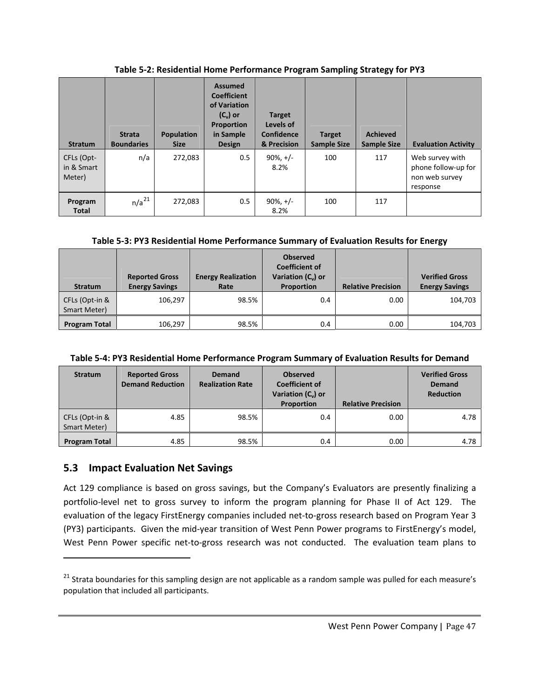| <b>Stratum</b>                     | <b>Strata</b><br><b>Boundaries</b> | <b>Population</b><br><b>Size</b> | <b>Assumed</b><br><b>Coefficient</b><br>of Variation<br>$(C_{\nu})$ or<br>Proportion<br>in Sample<br><b>Design</b> | <b>Target</b><br>Levels of<br>Confidence<br>& Precision | <b>Target</b><br><b>Sample Size</b> | <b>Achieved</b><br><b>Sample Size</b> | <b>Evaluation Activity</b>                                           |
|------------------------------------|------------------------------------|----------------------------------|--------------------------------------------------------------------------------------------------------------------|---------------------------------------------------------|-------------------------------------|---------------------------------------|----------------------------------------------------------------------|
| CFLs (Opt-<br>in & Smart<br>Meter) | n/a                                | 272,083                          | 0.5                                                                                                                | $90\%, +/-$<br>8.2%                                     | 100                                 | 117                                   | Web survey with<br>phone follow-up for<br>non web survey<br>response |
| Program<br><b>Total</b>            | $n/a^{21}$                         | 272,083                          | 0.5                                                                                                                | $90\%, +/-$<br>8.2%                                     | 100                                 | 117                                   |                                                                      |

**Table 5‐2: Residential Home Performance Program Sampling Strategy for PY3**

### **Table 5‐3: PY3 Residential Home Performance Summary of Evaluation Results for Energy**

| <b>Stratum</b>                 | <b>Reported Gross</b><br><b>Energy Savings</b> | <b>Energy Realization</b><br>Rate | <b>Observed</b><br><b>Coefficient of</b><br>Variation $(C_v)$ or<br>Proportion | <b>Relative Precision</b> | <b>Verified Gross</b><br><b>Energy Savings</b> |
|--------------------------------|------------------------------------------------|-----------------------------------|--------------------------------------------------------------------------------|---------------------------|------------------------------------------------|
| CFLs (Opt-in &<br>Smart Meter) | 106,297                                        | 98.5%                             | 0.4                                                                            | 0.00                      | 104,703                                        |
| <b>Program Total</b>           | 106,297                                        | 98.5%                             | 0.4                                                                            | 0.00                      | 104,703                                        |

| <b>Stratum</b>                 | <b>Reported Gross</b><br><b>Demand Reduction</b> | <b>Demand</b><br><b>Realization Rate</b> | <b>Observed</b><br><b>Coefficient of</b><br>Variation $(C_v)$ or<br>Proportion | <b>Relative Precision</b> | <b>Verified Gross</b><br><b>Demand</b><br><b>Reduction</b> |
|--------------------------------|--------------------------------------------------|------------------------------------------|--------------------------------------------------------------------------------|---------------------------|------------------------------------------------------------|
| CFLs (Opt-in &<br>Smart Meter) | 4.85                                             | 98.5%                                    | 0.4                                                                            | 0.00                      | 4.78                                                       |
| <b>Program Total</b>           | 4.85                                             | 98.5%                                    | 0.4                                                                            | 0.00                      | 4.78                                                       |

## **5.3 Impact Evaluation Net Savings**

Act 129 compliance is based on gross savings, but the Company's Evaluators are presently finalizing a portfolio-level net to gross survey to inform the program planning for Phase II of Act 129. The evaluation of the legacy FirstEnergy companies included net-to-gross research based on Program Year 3 (PY3) participants. Given the mid‐year transition of West Penn Power programs to FirstEnergy's model, West Penn Power specific net-to-gross research was not conducted. The evaluation team plans to

<span id="page-49-0"></span> $21$  Strata boundaries for this sampling design are not applicable as a random sample was pulled for each measure's population that included all participants.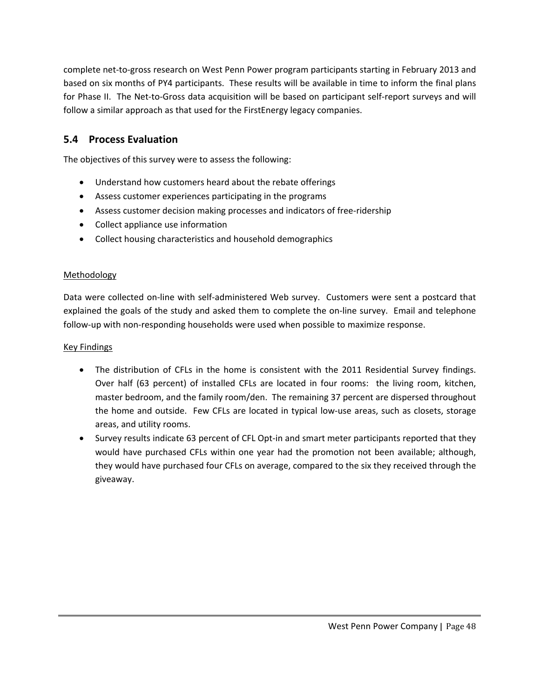complete net‐to‐gross research on West Penn Power program participants starting in February 2013 and based on six months of PY4 participants. These results will be available in time to inform the final plans for Phase II. The Net-to-Gross data acquisition will be based on participant self-report surveys and will follow a similar approach as that used for the FirstEnergy legacy companies.

## **5.4 Process Evaluation**

The objectives of this survey were to assess the following:

- Understand how customers heard about the rebate offerings
- Assess customer experiences participating in the programs
- Assess customer decision making processes and indicators of free‐ridership
- Collect appliance use information
- Collect housing characteristics and household demographics

### **Methodology**

Data were collected on-line with self-administered Web survey. Customers were sent a postcard that explained the goals of the study and asked them to complete the on-line survey. Email and telephone follow‐up with non‐responding households were used when possible to maximize response.

### Key Findings

- The distribution of CFLs in the home is consistent with the 2011 Residential Survey findings. Over half (63 percent) of installed CFLs are located in four rooms: the living room, kitchen, master bedroom, and the family room/den. The remaining 37 percent are dispersed throughout the home and outside. Few CFLs are located in typical low‐use areas, such as closets, storage areas, and utility rooms.
- Survey results indicate 63 percent of CFL Opt-in and smart meter participants reported that they would have purchased CFLs within one year had the promotion not been available; although, they would have purchased four CFLs on average, compared to the six they received through the giveaway.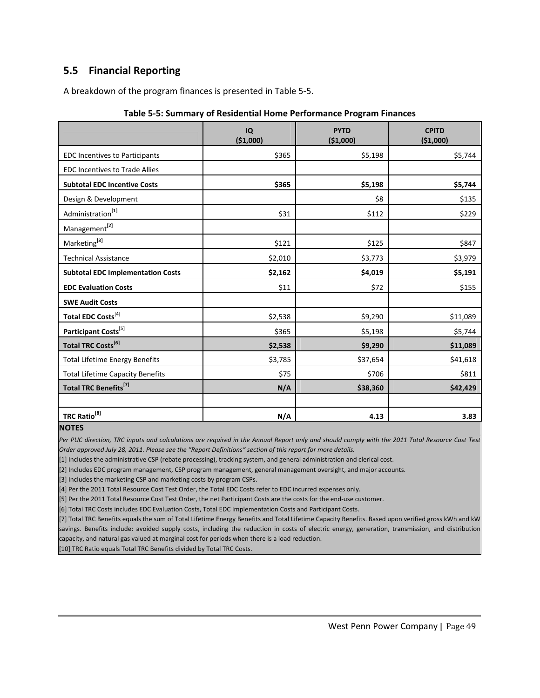## **5.5 Financial Reporting**

A breakdown of the program finances is presented in Table 5‐5.

|                                          | IQ<br>(\$1,000) | <b>PYTD</b><br>(\$1,000) | <b>CPITD</b><br>(\$1,000) |
|------------------------------------------|-----------------|--------------------------|---------------------------|
| <b>EDC Incentives to Participants</b>    | \$365           | \$5,198                  | \$5,744                   |
| <b>EDC Incentives to Trade Allies</b>    |                 |                          |                           |
| <b>Subtotal EDC Incentive Costs</b>      | \$365           | \$5,198                  | \$5,744                   |
| Design & Development                     |                 | \$8                      | \$135                     |
| Administration <sup>[1]</sup>            | \$31            | \$112                    | \$229                     |
| Management <sup>[2]</sup>                |                 |                          |                           |
| Marketing <sup>[3]</sup>                 | \$121           | \$125                    | \$847                     |
| <b>Technical Assistance</b>              | \$2,010         | \$3,773                  | \$3,979                   |
| <b>Subtotal EDC Implementation Costs</b> | \$2,162         | \$4,019                  | \$5,191                   |
| <b>EDC Evaluation Costs</b>              | \$11            | \$72                     | \$155                     |
| <b>SWE Audit Costs</b>                   |                 |                          |                           |
| Total EDC Costs[4]                       | \$2,538         | \$9,290                  | \$11,089                  |
| Participant Costs[5]                     | \$365           | \$5,198                  | \$5,744                   |
| Total TRC Costs[6]                       | \$2,538         | \$9,290                  | \$11,089                  |
| <b>Total Lifetime Energy Benefits</b>    | \$3,785         | \$37,654                 | \$41,618                  |
| <b>Total Lifetime Capacity Benefits</b>  | \$75            | \$706                    | \$811                     |
| <b>Total TRC Benefits</b> <sup>[7]</sup> | N/A             | \$38,360                 | \$42,429                  |
|                                          |                 |                          |                           |
| TRC Ratio <sup>[8]</sup>                 | N/A             | 4.13                     | 3.83                      |

**Table 5‐5: Summary of Residential Home Performance Program Finances**

**NOTES** 

Per PUC direction, TRC inputs and calculations are required in the Annual Report only and should comply with the 2011 Total Resource Cost Test Order approved July 28, 2011. Please see the "Report Definitions" section of this report for more details.

[1] Includes the administrative CSP (rebate processing), tracking system, and general administration and clerical cost.

[2] Includes EDC program management, CSP program management, general management oversight, and major accounts.

[3] Includes the marketing CSP and marketing costs by program CSPs.

[4] Per the 2011 Total Resource Cost Test Order, the Total EDC Costs refer to EDC incurred expenses only.

[5] Per the 2011 Total Resource Cost Test Order, the net Participant Costs are the costs for the end‐use customer.

[6] Total TRC Costs includes EDC Evaluation Costs, Total EDC Implementation Costs and Participant Costs.

[7] Total TRC Benefits equals the sum of Total Lifetime Energy Benefits and Total Lifetime Capacity Benefits. Based upon verified gross kWh and kW savings. Benefits include: avoided supply costs, including the reduction in costs of electric energy, generation, transmission, and distribution capacity, and natural gas valued at marginal cost for periods when there is a load reduction.

[10] TRC Ratio equals Total TRC Benefits divided by Total TRC Costs.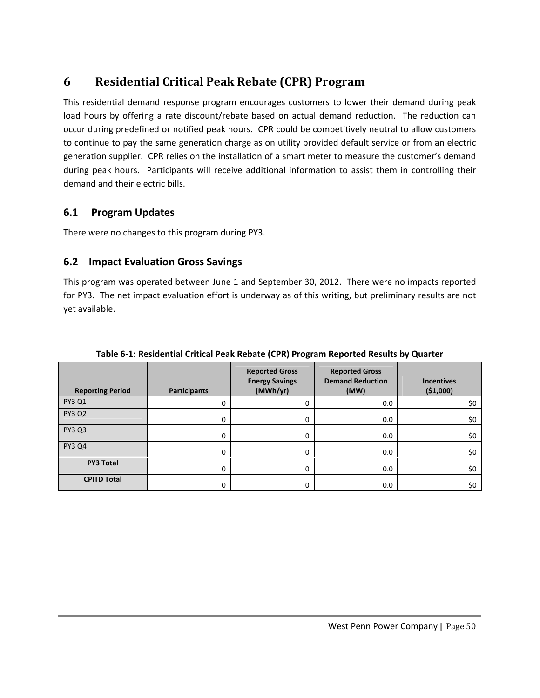# **6 Residential Critical Peak Rebate (CPR) Program**

This residential demand response program encourages customers to lower their demand during peak load hours by offering a rate discount/rebate based on actual demand reduction. The reduction can occur during predefined or notified peak hours. CPR could be competitively neutral to allow customers to continue to pay the same generation charge as on utility provided default service or from an electric generation supplier. CPR relies on the installation of a smart meter to measure the customer's demand during peak hours. Participants will receive additional information to assist them in controlling their demand and their electric bills.

## **6.1 Program Updates**

There were no changes to this program during PY3.

# **6.2 Impact Evaluation Gross Savings**

This program was operated between June 1 and September 30, 2012. There were no impacts reported for PY3. The net impact evaluation effort is underway as of this writing, but preliminary results are not yet available.

| <b>Reporting Period</b> | <b>Participants</b> | <b>Reported Gross</b><br><b>Energy Savings</b><br>(MWh/yr) | <b>Reported Gross</b><br><b>Demand Reduction</b><br>(MW) | <b>Incentives</b><br>(\$1,000) |
|-------------------------|---------------------|------------------------------------------------------------|----------------------------------------------------------|--------------------------------|
| <b>PY3 Q1</b>           |                     | 0                                                          | 0.0                                                      | \$0                            |
| <b>PY3 Q2</b>           | 0                   | 0                                                          | 0.0                                                      | \$0                            |
| <b>PY3 Q3</b>           | 0                   | 0                                                          | 0.0                                                      | \$0                            |
| <b>PY3 Q4</b>           | O                   | 0                                                          | 0.0                                                      | \$0\$                          |
| <b>PY3 Total</b>        | 0                   | 0                                                          | 0.0                                                      | \$0                            |
| <b>CPITD Total</b>      | 0                   | 0                                                          | 0.0                                                      | \$0                            |

**Table 6‐1: Residential Critical Peak Rebate (CPR) Program Reported Results by Quarter**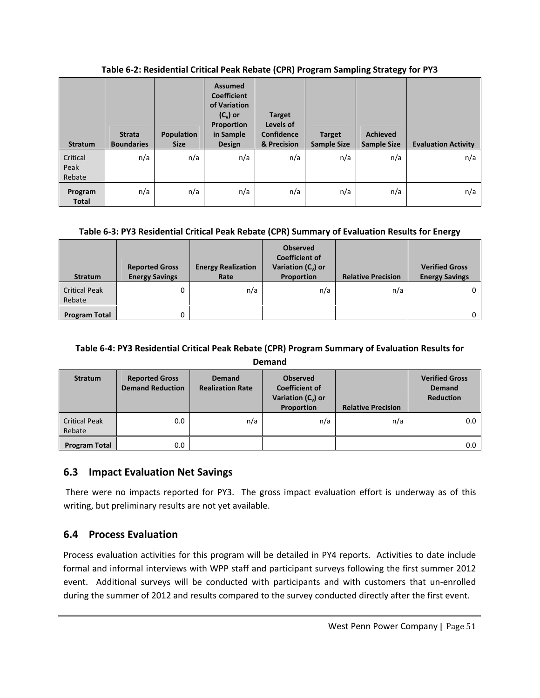| <b>Stratum</b>             | <b>Strata</b><br><b>Boundaries</b> | Population<br><b>Size</b> | <b>Assumed</b><br><b>Coefficient</b><br>of Variation<br>$(C_v)$ or<br>Proportion<br>in Sample<br><b>Design</b> | <b>Target</b><br>Levels of<br><b>Confidence</b><br>& Precision | <b>Target</b><br><b>Sample Size</b> | <b>Achieved</b><br><b>Sample Size</b> | <b>Evaluation Activity</b> |
|----------------------------|------------------------------------|---------------------------|----------------------------------------------------------------------------------------------------------------|----------------------------------------------------------------|-------------------------------------|---------------------------------------|----------------------------|
| Critical<br>Peak<br>Rebate | n/a                                | n/a                       | n/a                                                                                                            | n/a                                                            | n/a                                 | n/a                                   | n/a                        |
| Program<br><b>Total</b>    | n/a                                | n/a                       | n/a                                                                                                            | n/a                                                            | n/a                                 | n/a                                   | n/a                        |

### **Table 6‐2: Residential Critical Peak Rebate (CPR) Program Sampling Strategy for PY3**

### **Table 6‐3: PY3 Residential Critical Peak Rebate (CPR) Summary of Evaluation Results for Energy**

| <b>Stratum</b>                 | <b>Reported Gross</b><br><b>Energy Savings</b> | <b>Energy Realization</b><br>Rate | <b>Observed</b><br><b>Coefficient of</b><br>Variation $(C_v)$ or<br>Proportion | <b>Relative Precision</b> | <b>Verified Gross</b><br><b>Energy Savings</b> |
|--------------------------------|------------------------------------------------|-----------------------------------|--------------------------------------------------------------------------------|---------------------------|------------------------------------------------|
| <b>Critical Peak</b><br>Rebate | 0                                              | n/a                               | n/a                                                                            | n/a                       |                                                |
| <b>Program Total</b>           | 0                                              |                                   |                                                                                |                           |                                                |

### **Table 6‐4: PY3 Residential Critical Peak Rebate (CPR) Program Summary of Evaluation Results for Demand**

| <b>Stratum</b>                 | <b>Reported Gross</b><br><b>Demand Reduction</b> | <b>Demand</b><br><b>Realization Rate</b> | <b>Observed</b><br><b>Coefficient of</b><br>Variation $(C_v)$ or<br>Proportion | <b>Relative Precision</b> | <b>Verified Gross</b><br><b>Demand</b><br><b>Reduction</b> |
|--------------------------------|--------------------------------------------------|------------------------------------------|--------------------------------------------------------------------------------|---------------------------|------------------------------------------------------------|
| <b>Critical Peak</b><br>Rebate | $0.0\,$                                          | n/a                                      | n/a                                                                            | n/a                       | 0.0                                                        |
| <b>Program Total</b>           | $0.0\,$                                          |                                          |                                                                                |                           | $0.0\,$                                                    |

## **6.3 Impact Evaluation Net Savings**

There were no impacts reported for PY3. The gross impact evaluation effort is underway as of this writing, but preliminary results are not yet available.

## **6.4 Process Evaluation**

Process evaluation activities for this program will be detailed in PY4 reports. Activities to date include formal and informal interviews with WPP staff and participant surveys following the first summer 2012 event. Additional surveys will be conducted with participants and with customers that un-enrolled during the summer of 2012 and results compared to the survey conducted directly after the first event.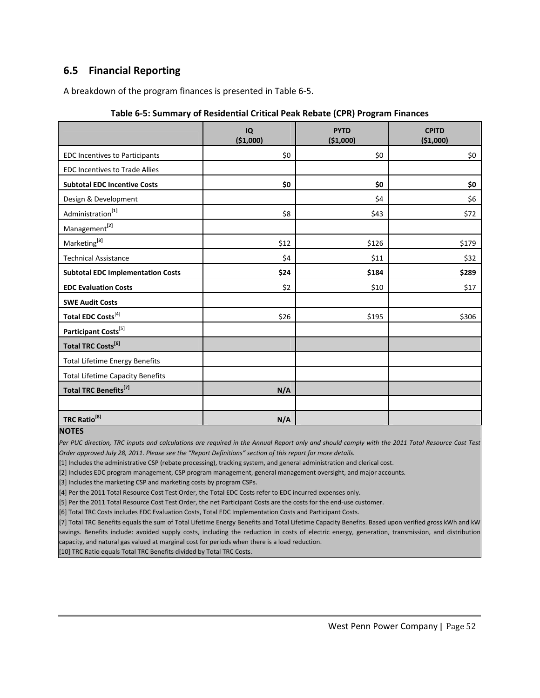## **6.5 Financial Reporting**

A breakdown of the program finances is presented in Table 6‐5.

|                                          | IQ<br>(\$1,000) | <b>PYTD</b><br>(\$1,000) | <b>CPITD</b><br>(\$1,000) |
|------------------------------------------|-----------------|--------------------------|---------------------------|
| <b>EDC Incentives to Participants</b>    | \$0             | \$0                      | \$0                       |
| <b>EDC Incentives to Trade Allies</b>    |                 |                          |                           |
| <b>Subtotal EDC Incentive Costs</b>      | \$0             | \$0                      | \$0                       |
| Design & Development                     |                 | \$4                      | \$6                       |
| Administration <sup>[1]</sup>            | \$8             | \$43                     | \$72                      |
| Management <sup>[2]</sup>                |                 |                          |                           |
| Marketing <sup>[3]</sup>                 | \$12            | \$126                    | \$179                     |
| <b>Technical Assistance</b>              | \$4             | \$11                     | \$32                      |
| <b>Subtotal EDC Implementation Costs</b> | \$24            | \$184                    | \$289                     |
| <b>EDC Evaluation Costs</b>              | \$2             | \$10                     | \$17                      |
| <b>SWE Audit Costs</b>                   |                 |                          |                           |
| Total EDC Costs[4]                       | \$26            | \$195                    | \$306                     |
| Participant Costs[5]                     |                 |                          |                           |
| Total TRC Costs[6]                       |                 |                          |                           |
| <b>Total Lifetime Energy Benefits</b>    |                 |                          |                           |
| <b>Total Lifetime Capacity Benefits</b>  |                 |                          |                           |
| <b>Total TRC Benefits</b> <sup>[7]</sup> | N/A             |                          |                           |
|                                          |                 |                          |                           |
| TRC Ratio <sup>[8]</sup>                 | N/A             |                          |                           |

**Table 6‐5: Summary of Residential Critical Peak Rebate (CPR) Program Finances**

**NOTES** 

Per PUC direction, TRC inputs and calculations are required in the Annual Report only and should comply with the 2011 Total Resource Cost Test Order approved July 28, 2011. Please see the "Report Definitions" section of this report for more details.

[1] Includes the administrative CSP (rebate processing), tracking system, and general administration and clerical cost.

[2] Includes EDC program management, CSP program management, general management oversight, and major accounts.

[3] Includes the marketing CSP and marketing costs by program CSPs.

[4] Per the 2011 Total Resource Cost Test Order, the Total EDC Costs refer to EDC incurred expenses only.

[5] Per the 2011 Total Resource Cost Test Order, the net Participant Costs are the costs for the end‐use customer.

[6] Total TRC Costs includes EDC Evaluation Costs, Total EDC Implementation Costs and Participant Costs.

[7] Total TRC Benefits equals the sum of Total Lifetime Energy Benefits and Total Lifetime Capacity Benefits. Based upon verified gross kWh and kW savings. Benefits include: avoided supply costs, including the reduction in costs of electric energy, generation, transmission, and distribution capacity, and natural gas valued at marginal cost for periods when there is a load reduction.

[10] TRC Ratio equals Total TRC Benefits divided by Total TRC Costs.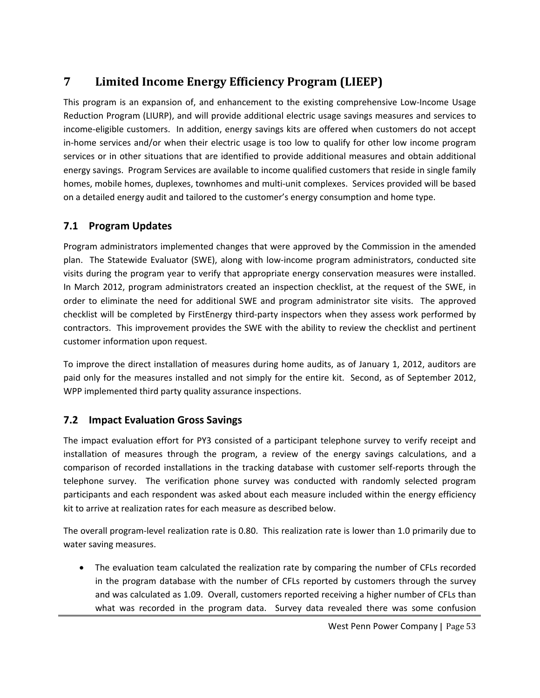# **7 Limited Income Energy Efficiency Program (LIEEP)**

This program is an expansion of, and enhancement to the existing comprehensive Low‐Income Usage Reduction Program (LIURP), and will provide additional electric usage savings measures and services to income-eligible customers. In addition, energy savings kits are offered when customers do not accept in-home services and/or when their electric usage is too low to qualify for other low income program services or in other situations that are identified to provide additional measures and obtain additional energy savings. Program Services are available to income qualified customers that reside in single family homes, mobile homes, duplexes, townhomes and multi-unit complexes. Services provided will be based on a detailed energy audit and tailored to the customer's energy consumption and home type.

# **7.1 Program Updates**

Program administrators implemented changes that were approved by the Commission in the amended plan. The Statewide Evaluator (SWE), along with low‐income program administrators, conducted site visits during the program year to verify that appropriate energy conservation measures were installed. In March 2012, program administrators created an inspection checklist, at the request of the SWE, in order to eliminate the need for additional SWE and program administrator site visits. The approved checklist will be completed by FirstEnergy third‐party inspectors when they assess work performed by contractors. This improvement provides the SWE with the ability to review the checklist and pertinent customer information upon request.

To improve the direct installation of measures during home audits, as of January 1, 2012, auditors are paid only for the measures installed and not simply for the entire kit. Second, as of September 2012, WPP implemented third party quality assurance inspections.

# **7.2 Impact Evaluation Gross Savings**

The impact evaluation effort for PY3 consisted of a participant telephone survey to verify receipt and installation of measures through the program, a review of the energy savings calculations, and a comparison of recorded installations in the tracking database with customer self‐reports through the telephone survey. The verification phone survey was conducted with randomly selected program participants and each respondent was asked about each measure included within the energy efficiency kit to arrive at realization rates for each measure as described below.

The overall program‐level realization rate is 0.80. This realization rate is lower than 1.0 primarily due to water saving measures.

 The evaluation team calculated the realization rate by comparing the number of CFLs recorded in the program database with the number of CFLs reported by customers through the survey and was calculated as 1.09. Overall, customers reported receiving a higher number of CFLs than what was recorded in the program data. Survey data revealed there was some confusion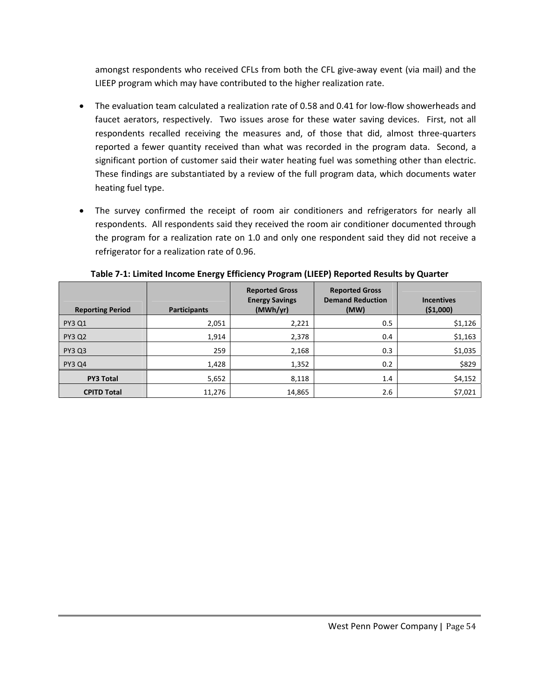amongst respondents who received CFLs from both the CFL give‐away event (via mail) and the LIEEP program which may have contributed to the higher realization rate.

- The evaluation team calculated a realization rate of 0.58 and 0.41 for low‐flow showerheads and faucet aerators, respectively. Two issues arose for these water saving devices. First, not all respondents recalled receiving the measures and, of those that did, almost three‐quarters reported a fewer quantity received than what was recorded in the program data. Second, a significant portion of customer said their water heating fuel was something other than electric. These findings are substantiated by a review of the full program data, which documents water heating fuel type.
- The survey confirmed the receipt of room air conditioners and refrigerators for nearly all respondents. All respondents said they received the room air conditioner documented through the program for a realization rate on 1.0 and only one respondent said they did not receive a refrigerator for a realization rate of 0.96.

| <b>Reporting Period</b> | <b>Participants</b> | <b>Reported Gross</b><br><b>Energy Savings</b><br>(MWh/yr) | <b>Reported Gross</b><br><b>Demand Reduction</b><br>(MW) | <b>Incentives</b><br>(51,000) |
|-------------------------|---------------------|------------------------------------------------------------|----------------------------------------------------------|-------------------------------|
| <b>PY3 Q1</b>           | 2,051               | 2,221                                                      | 0.5                                                      | \$1,126                       |
| <b>PY3 Q2</b>           | 1,914               | 2,378                                                      | 0.4                                                      | \$1,163                       |
| <b>PY3 Q3</b>           | 259                 | 2,168                                                      | 0.3                                                      | \$1,035                       |
| <b>PY3 Q4</b>           | 1,428               | 1,352                                                      | 0.2                                                      | \$829                         |
| <b>PY3 Total</b>        | 5,652               | 8,118                                                      | 1.4                                                      | \$4,152                       |
| <b>CPITD Total</b>      | 11,276              | 14,865                                                     | 2.6                                                      | \$7,021                       |

**Table 7‐1: Limited Income Energy Efficiency Program (LIEEP) Reported Results by Quarter**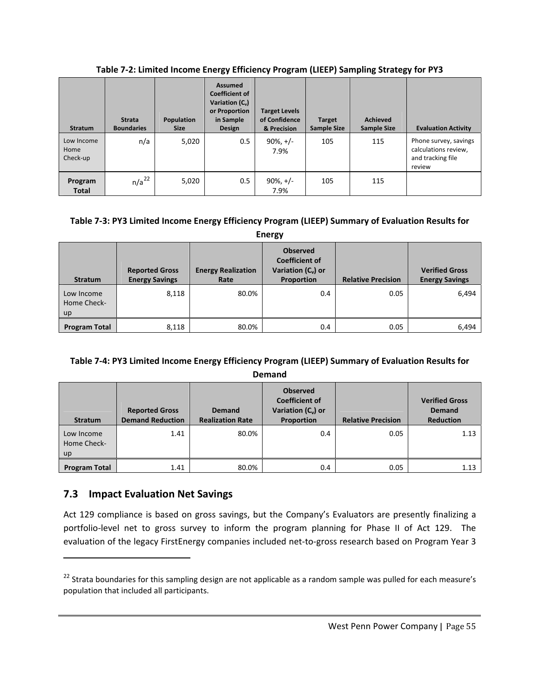| <b>Stratum</b>                 | <b>Strata</b><br><b>Boundaries</b> | <b>Population</b><br><b>Size</b> | <b>Assumed</b><br><b>Coefficient of</b><br>Variation (C <sub>v</sub> )<br>or Proportion<br>in Sample<br><b>Design</b> | <b>Target Levels</b><br>of Confidence<br>& Precision | <b>Target</b><br><b>Sample Size</b> | <b>Achieved</b><br><b>Sample Size</b> | <b>Evaluation Activity</b>                                                   |
|--------------------------------|------------------------------------|----------------------------------|-----------------------------------------------------------------------------------------------------------------------|------------------------------------------------------|-------------------------------------|---------------------------------------|------------------------------------------------------------------------------|
| Low Income<br>Home<br>Check-up | n/a                                | 5,020                            | 0.5                                                                                                                   | $90\%$ , +/-<br>7.9%                                 | 105                                 | 115                                   | Phone survey, savings<br>calculations review,<br>and tracking file<br>review |
| Program<br><b>Total</b>        | $n/a^{22}$                         | 5,020                            | 0.5                                                                                                                   | $90\%, +/-$<br>7.9%                                  | 105                                 | 115                                   |                                                                              |

**Table 7‐2: Limited Income Energy Efficiency Program (LIEEP) Sampling Strategy for PY3**

#### **Table 7‐3: PY3 Limited Income Energy Efficiency Program (LIEEP) Summary of Evaluation Results for Energy**

| <b>ENGLEY</b>                   |                                                |                                   |                                                                                |                           |                                                |  |  |  |
|---------------------------------|------------------------------------------------|-----------------------------------|--------------------------------------------------------------------------------|---------------------------|------------------------------------------------|--|--|--|
| <b>Stratum</b>                  | <b>Reported Gross</b><br><b>Energy Savings</b> | <b>Energy Realization</b><br>Rate | <b>Observed</b><br><b>Coefficient of</b><br>Variation $(C_v)$ or<br>Proportion | <b>Relative Precision</b> | <b>Verified Gross</b><br><b>Energy Savings</b> |  |  |  |
| Low Income<br>Home Check-<br>up | 8,118                                          | 80.0%                             | 0.4                                                                            | 0.05                      | 6,494                                          |  |  |  |
| <b>Program Total</b>            | 8,118                                          | 80.0%                             | 0.4                                                                            | 0.05                      | 6,494                                          |  |  |  |

## **Table 7‐4: PY3 Limited Income Energy Efficiency Program (LIEEP) Summary of Evaluation Results for Demand**

| <b>Stratum</b>                         | <b>Reported Gross</b><br><b>Demand Reduction</b> | <b>Demand</b><br><b>Realization Rate</b> | <b>Observed</b><br><b>Coefficient of</b><br>Variation $(C_v)$ or<br>Proportion | <b>Relative Precision</b> | <b>Verified Gross</b><br><b>Demand</b><br><b>Reduction</b> |
|----------------------------------------|--------------------------------------------------|------------------------------------------|--------------------------------------------------------------------------------|---------------------------|------------------------------------------------------------|
| Low Income<br>Home Check-<br><b>up</b> | 1.41                                             | 80.0%                                    | 0.4                                                                            | 0.05                      | 1.13                                                       |
| <b>Program Total</b>                   | 1.41                                             | 80.0%                                    | 0.4                                                                            | 0.05                      | 1.13                                                       |

# **7.3 Impact Evaluation Net Savings**

Act 129 compliance is based on gross savings, but the Company's Evaluators are presently finalizing a portfolio-level net to gross survey to inform the program planning for Phase II of Act 129. The evaluation of the legacy FirstEnergy companies included net‐to‐gross research based on Program Year 3

<span id="page-57-0"></span><sup>&</sup>lt;sup>22</sup> Strata boundaries for this sampling design are not applicable as a random sample was pulled for each measure's population that included all participants.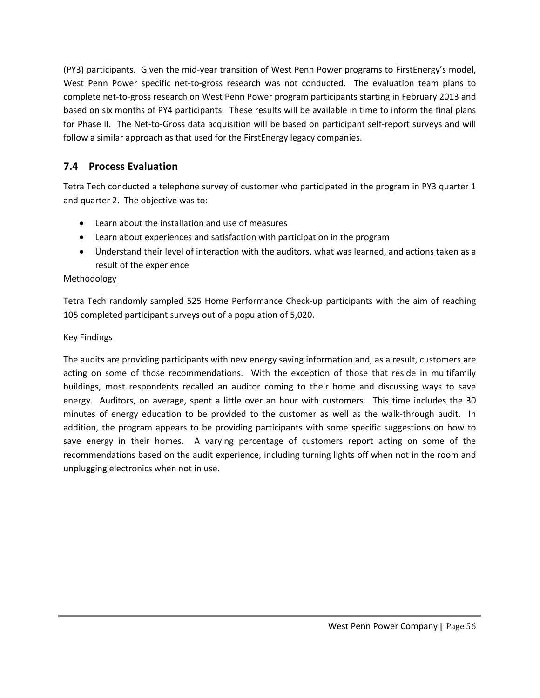(PY3) participants. Given the mid‐year transition of West Penn Power programs to FirstEnergy's model, West Penn Power specific net-to-gross research was not conducted. The evaluation team plans to complete net-to-gross research on West Penn Power program participants starting in February 2013 and based on six months of PY4 participants. These results will be available in time to inform the final plans for Phase II. The Net-to-Gross data acquisition will be based on participant self-report surveys and will follow a similar approach as that used for the FirstEnergy legacy companies.

# **7.4 Process Evaluation**

Tetra Tech conducted a telephone survey of customer who participated in the program in PY3 quarter 1 and quarter 2. The objective was to:

- Learn about the installation and use of measures
- Learn about experiences and satisfaction with participation in the program
- Understand their level of interaction with the auditors, what was learned, and actions taken as a result of the experience

### Methodology

Tetra Tech randomly sampled 525 Home Performance Check‐up participants with the aim of reaching 105 completed participant surveys out of a population of 5,020.

### Key Findings

The audits are providing participants with new energy saving information and, as a result, customers are acting on some of those recommendations. With the exception of those that reside in multifamily buildings, most respondents recalled an auditor coming to their home and discussing ways to save energy. Auditors, on average, spent a little over an hour with customers. This time includes the 30 minutes of energy education to be provided to the customer as well as the walk‐through audit. In addition, the program appears to be providing participants with some specific suggestions on how to save energy in their homes. A varying percentage of customers report acting on some of the recommendations based on the audit experience, including turning lights off when not in the room and unplugging electronics when not in use.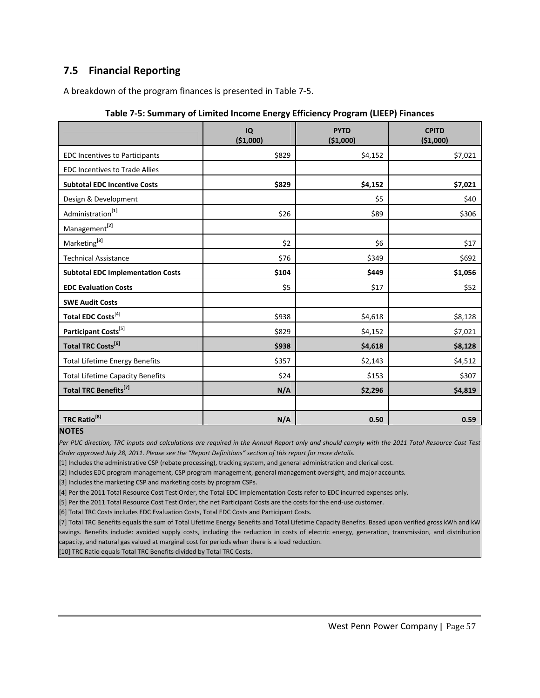## **7.5 Financial Reporting**

A breakdown of the program finances is presented in Table 7‐5.

|                                          | IQ<br>(\$1,000) | <b>PYTD</b><br>(\$1,000) | <b>CPITD</b><br>( \$1,000) |
|------------------------------------------|-----------------|--------------------------|----------------------------|
| <b>EDC Incentives to Participants</b>    | \$829           | \$4,152                  | \$7,021                    |
| <b>EDC Incentives to Trade Allies</b>    |                 |                          |                            |
| <b>Subtotal EDC Incentive Costs</b>      | \$829           | \$4,152                  | \$7,021                    |
| Design & Development                     |                 | \$5                      | \$40                       |
| Administration <sup>[1]</sup>            | \$26            | \$89                     | \$306                      |
| Management <sup>[2]</sup>                |                 |                          |                            |
| Marketing <sup>[3]</sup>                 | \$2             | \$6                      | \$17                       |
| <b>Technical Assistance</b>              | \$76            | \$349                    | \$692                      |
| <b>Subtotal EDC Implementation Costs</b> | \$104           | \$449                    | \$1,056                    |
| <b>EDC Evaluation Costs</b>              | \$5             | \$17                     | \$52                       |
| <b>SWE Audit Costs</b>                   |                 |                          |                            |
| Total EDC Costs[4]                       | \$938           | \$4,618                  | \$8,128                    |
| Participant Costs[5]                     | \$829           | \$4,152                  | \$7,021                    |
| Total TRC Costs[6]                       | \$938           | \$4,618                  | \$8,128                    |
| <b>Total Lifetime Energy Benefits</b>    | \$357           | \$2,143                  | \$4,512                    |
| <b>Total Lifetime Capacity Benefits</b>  | \$24            | \$153                    | \$307                      |
| <b>Total TRC Benefits[7]</b>             | N/A             | \$2,296                  | \$4,819                    |
|                                          |                 |                          |                            |
| TRC Ratio <sup>[8]</sup>                 | N/A             | 0.50                     | 0.59                       |

**Table 7‐5: Summary of Limited Income Energy Efficiency Program (LIEEP) Finances**

**NOTES** 

Per PUC direction, TRC inputs and calculations are required in the Annual Report only and should comply with the 2011 Total Resource Cost Test Order approved July 28, 2011. Please see the "Report Definitions" section of this report for more details.

[1] Includes the administrative CSP (rebate processing), tracking system, and general administration and clerical cost.

[2] Includes EDC program management, CSP program management, general management oversight, and major accounts.

[3] Includes the marketing CSP and marketing costs by program CSPs.

[4] Per the 2011 Total Resource Cost Test Order, the Total EDC Implementation Costs refer to EDC incurred expenses only.

[5] Per the 2011 Total Resource Cost Test Order, the net Participant Costs are the costs for the end‐use customer.

[6] Total TRC Costs includes EDC Evaluation Costs, Total EDC Costs and Participant Costs.

[7] Total TRC Benefits equals the sum of Total Lifetime Energy Benefits and Total Lifetime Capacity Benefits. Based upon verified gross kWh and kW savings. Benefits include: avoided supply costs, including the reduction in costs of electric energy, generation, transmission, and distribution capacity, and natural gas valued at marginal cost for periods when there is a load reduction.

[10] TRC Ratio equals Total TRC Benefits divided by Total TRC Costs.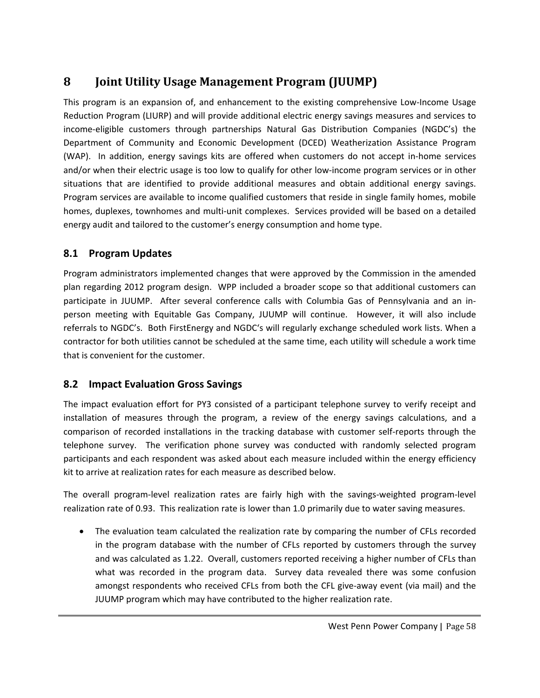# **8 Joint Utility Usage Management Program (JUUMP)**

This program is an expansion of, and enhancement to the existing comprehensive Low‐Income Usage Reduction Program (LIURP) and will provide additional electric energy savings measures and services to income-eligible customers through partnerships Natural Gas Distribution Companies (NGDC's) the Department of Community and Economic Development (DCED) Weatherization Assistance Program (WAP). In addition, energy savings kits are offered when customers do not accept in‐home services and/or when their electric usage is too low to qualify for other low-income program services or in other situations that are identified to provide additional measures and obtain additional energy savings. Program services are available to income qualified customers that reside in single family homes, mobile homes, duplexes, townhomes and multi-unit complexes. Services provided will be based on a detailed energy audit and tailored to the customer's energy consumption and home type.

# **8.1 Program Updates**

Program administrators implemented changes that were approved by the Commission in the amended plan regarding 2012 program design. WPP included a broader scope so that additional customers can participate in JUUMP. After several conference calls with Columbia Gas of Pennsylvania and an inperson meeting with Equitable Gas Company, JUUMP will continue. However, it will also include referrals to NGDC's. Both FirstEnergy and NGDC's will regularly exchange scheduled work lists. When a contractor for both utilities cannot be scheduled at the same time, each utility will schedule a work time that is convenient for the customer.

# **8.2 Impact Evaluation Gross Savings**

The impact evaluation effort for PY3 consisted of a participant telephone survey to verify receipt and installation of measures through the program, a review of the energy savings calculations, and a comparison of recorded installations in the tracking database with customer self‐reports through the telephone survey. The verification phone survey was conducted with randomly selected program participants and each respondent was asked about each measure included within the energy efficiency kit to arrive at realization rates for each measure as described below.

The overall program-level realization rates are fairly high with the savings-weighted program-level realization rate of 0.93. This realization rate is lower than 1.0 primarily due to water saving measures.

• The evaluation team calculated the realization rate by comparing the number of CFLs recorded in the program database with the number of CFLs reported by customers through the survey and was calculated as 1.22. Overall, customers reported receiving a higher number of CFLs than what was recorded in the program data. Survey data revealed there was some confusion amongst respondents who received CFLs from both the CFL give-away event (via mail) and the JUUMP program which may have contributed to the higher realization rate.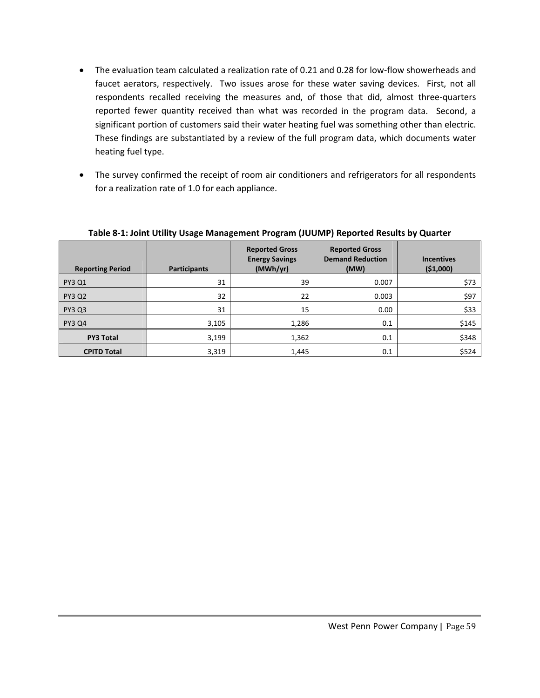- The evaluation team calculated a realization rate of 0.21 and 0.28 for low‐flow showerheads and faucet aerators, respectively. Two issues arose for these water saving devices. First, not all respondents recalled receiving the measures and, of those that did, almost three‐quarters reported fewer quantity received than what was recorded in the program data. Second, a significant portion of customers said their water heating fuel was something other than electric. These findings are substantiated by a review of the full program data, which documents water heating fuel type.
- The survey confirmed the receipt of room air conditioners and refrigerators for all respondents for a realization rate of 1.0 for each appliance.

| <b>Reporting Period</b> | <b>Participants</b> | <b>Reported Gross</b><br><b>Energy Savings</b><br>(MWh/yr) | <b>Reported Gross</b><br><b>Demand Reduction</b><br>(MW) | <b>Incentives</b><br>(\$1,000) |
|-------------------------|---------------------|------------------------------------------------------------|----------------------------------------------------------|--------------------------------|
| <b>PY3 Q1</b>           | 31                  | 39                                                         | 0.007                                                    | \$73                           |
| <b>PY3 Q2</b>           | 32                  | 22                                                         | 0.003                                                    | \$97                           |
| <b>PY3 Q3</b>           | 31                  | 15                                                         | 0.00                                                     | \$33                           |
| <b>PY3 Q4</b>           | 3,105               | 1,286                                                      | 0.1                                                      | \$145                          |
| <b>PY3 Total</b>        | 3,199               | 1,362                                                      | 0.1                                                      | \$348                          |
| <b>CPITD Total</b>      | 3,319               | 1,445                                                      | 0.1                                                      | \$524                          |

#### **Table 8‐1: Joint Utility Usage Management Program (JUUMP) Reported Results by Quarter**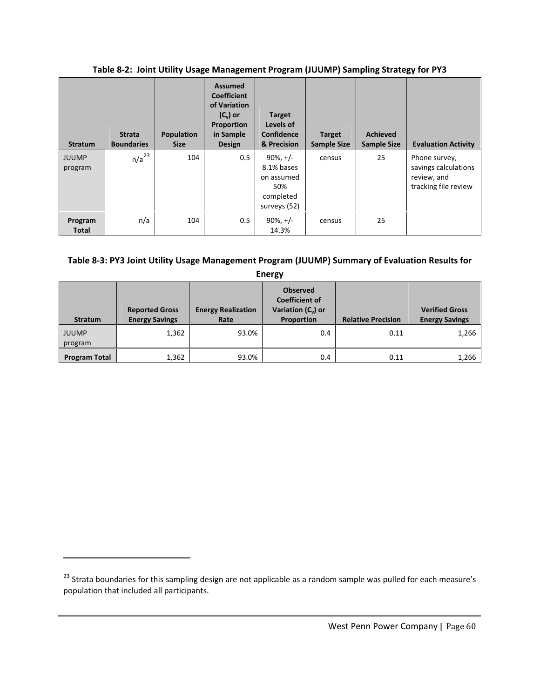| <b>Stratum</b>          | <b>Strata</b><br><b>Boundaries</b> | Population<br><b>Size</b> | <b>Assumed</b><br><b>Coefficient</b><br>of Variation<br>$(C_{\nu})$ or<br><b>Proportion</b><br>in Sample<br><b>Design</b> | <b>Target</b><br>Levels of<br><b>Confidence</b><br>& Precision               | <b>Target</b><br><b>Sample Size</b> | <b>Achieved</b><br><b>Sample Size</b> | <b>Evaluation Activity</b>                                                   |
|-------------------------|------------------------------------|---------------------------|---------------------------------------------------------------------------------------------------------------------------|------------------------------------------------------------------------------|-------------------------------------|---------------------------------------|------------------------------------------------------------------------------|
| <b>JUUMP</b><br>program | $n/a^{23}$                         | 104                       | 0.5                                                                                                                       | $90\%$ , +/-<br>8.1% bases<br>on assumed<br>50%<br>completed<br>surveys (52) | census                              | 25                                    | Phone survey,<br>savings calculations<br>review, and<br>tracking file review |
| Program<br><b>Total</b> | n/a                                | 104                       | 0.5                                                                                                                       | $90\%, +/-$<br>14.3%                                                         | census                              | 25                                    |                                                                              |

**Table 8‐2: Joint Utility Usage Management Program (JUUMP) Sampling Strategy for PY3**

### **Table 8‐3: PY3 Joint Utility Usage Management Program (JUUMP) Summary of Evaluation Results for Energy**

| <b>Stratum</b>       | <b>Reported Gross</b><br><b>Energy Savings</b> | <b>Energy Realization</b><br>Rate | <b>Observed</b><br><b>Coefficient of</b><br>Variation (C <sub>v</sub> ) or<br>Proportion | <b>Relative Precision</b> | <b>Verified Gross</b><br><b>Energy Savings</b> |
|----------------------|------------------------------------------------|-----------------------------------|------------------------------------------------------------------------------------------|---------------------------|------------------------------------------------|
| <b>JUUMP</b>         | 1,362                                          | 93.0%                             | 0.4                                                                                      | 0.11                      | 1,266                                          |
| program              |                                                |                                   |                                                                                          |                           |                                                |
| <b>Program Total</b> | 1,362                                          | 93.0%                             | 0.4                                                                                      | 0.11                      | 1,266                                          |

<span id="page-62-0"></span><sup>&</sup>lt;sup>23</sup> Strata boundaries for this sampling design are not applicable as a random sample was pulled for each measure's population that included all participants.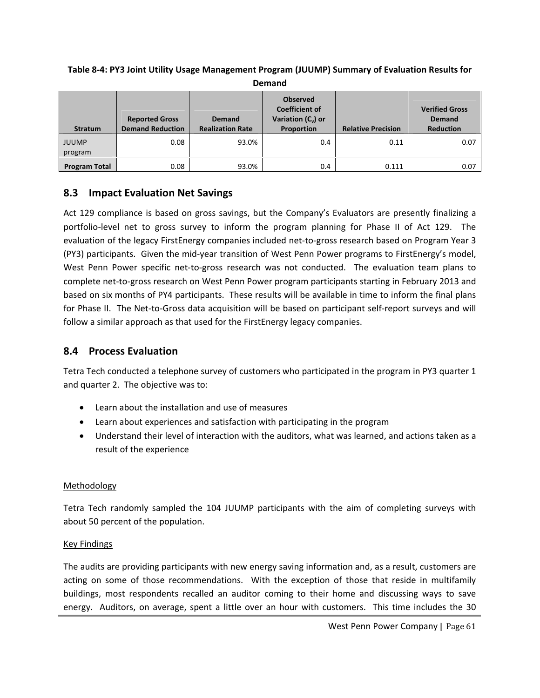### **Table 8‐4: PY3 Joint Utility Usage Management Program (JUUMP) Summary of Evaluation Results for Demand**

| <b>Stratum</b>       | <b>Reported Gross</b><br><b>Demand Reduction</b> | <b>Demand</b><br><b>Realization Rate</b> | <b>Observed</b><br><b>Coefficient of</b><br>Variation $(C_v)$ or<br>Proportion | <b>Relative Precision</b> | <b>Verified Gross</b><br><b>Demand</b><br><b>Reduction</b> |
|----------------------|--------------------------------------------------|------------------------------------------|--------------------------------------------------------------------------------|---------------------------|------------------------------------------------------------|
| <b>JUUMP</b>         | 0.08                                             | 93.0%                                    | 0.4                                                                            | 0.11                      | 0.07                                                       |
| program              |                                                  |                                          |                                                                                |                           |                                                            |
| <b>Program Total</b> | 0.08                                             | 93.0%                                    | 0.4                                                                            | 0.111                     | 0.07                                                       |

## **8.3 Impact Evaluation Net Savings**

Act 129 compliance is based on gross savings, but the Company's Evaluators are presently finalizing a portfolio-level net to gross survey to inform the program planning for Phase II of Act 129. The evaluation of the legacy FirstEnergy companies included net‐to‐gross research based on Program Year 3 (PY3) participants. Given the mid‐year transition of West Penn Power programs to FirstEnergy's model, West Penn Power specific net-to-gross research was not conducted. The evaluation team plans to complete net-to-gross research on West Penn Power program participants starting in February 2013 and based on six months of PY4 participants. These results will be available in time to inform the final plans for Phase II. The Net-to-Gross data acquisition will be based on participant self-report surveys and will follow a similar approach as that used for the FirstEnergy legacy companies.

## **8.4 Process Evaluation**

Tetra Tech conducted a telephone survey of customers who participated in the program in PY3 quarter 1 and quarter 2. The objective was to:

- Learn about the installation and use of measures
- Learn about experiences and satisfaction with participating in the program
- Understand their level of interaction with the auditors, what was learned, and actions taken as a result of the experience

### Methodology

Tetra Tech randomly sampled the 104 JUUMP participants with the aim of completing surveys with about 50 percent of the population.

### Key Findings

The audits are providing participants with new energy saving information and, as a result, customers are acting on some of those recommendations. With the exception of those that reside in multifamily buildings, most respondents recalled an auditor coming to their home and discussing ways to save energy. Auditors, on average, spent a little over an hour with customers. This time includes the 30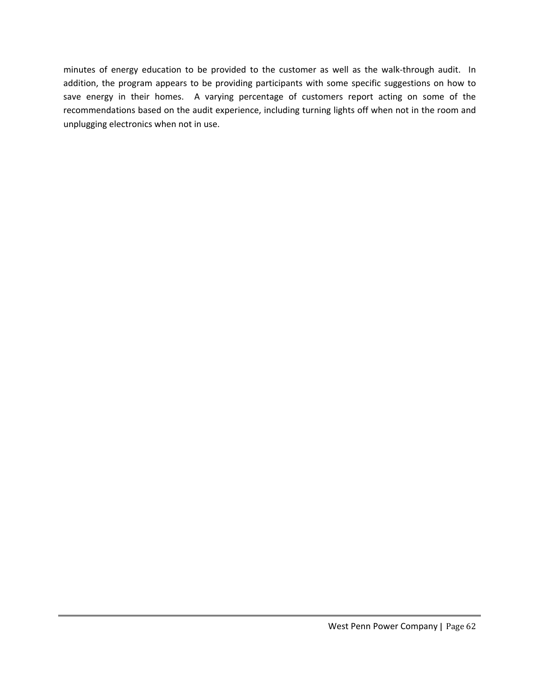minutes of energy education to be provided to the customer as well as the walk-through audit. In addition, the program appears to be providing participants with some specific suggestions on how to save energy in their homes. A varying percentage of customers report acting on some of the recommendations based on the audit experience, including turning lights off when not in the room and unplugging electronics when not in use.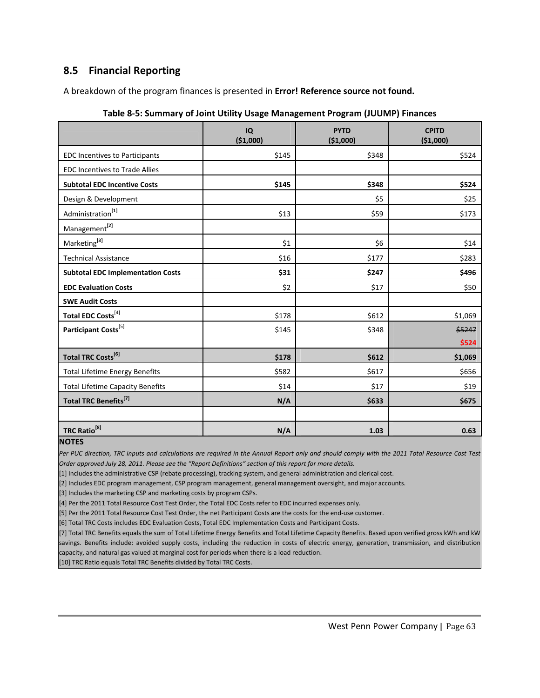## **8.5 Financial Reporting**

A breakdown of the program finances is presented in **Error! Reference source not found.**

|                                          | IQ<br>(\$1,000) | <b>PYTD</b><br>(\$1,000) | <b>CPITD</b><br>(\$1,000) |
|------------------------------------------|-----------------|--------------------------|---------------------------|
| <b>EDC Incentives to Participants</b>    | \$145           | \$348                    | \$524                     |
| <b>EDC Incentives to Trade Allies</b>    |                 |                          |                           |
| <b>Subtotal EDC Incentive Costs</b>      | \$145           | \$348                    | \$524                     |
| Design & Development                     |                 | \$5                      | \$25                      |
| Administration <sup>[1]</sup>            | \$13            | \$59                     | \$173                     |
| Management <sup>[2]</sup>                |                 |                          |                           |
| Marketing <sup>[3]</sup>                 | \$1             | \$6                      | \$14                      |
| <b>Technical Assistance</b>              | \$16            | \$177                    | \$283                     |
| <b>Subtotal EDC Implementation Costs</b> | \$31            | \$247                    | \$496                     |
| <b>EDC Evaluation Costs</b>              | \$2             | \$17                     | \$50                      |
| <b>SWE Audit Costs</b>                   |                 |                          |                           |
| Total EDC Costs[4]                       | \$178           | \$612                    | \$1,069                   |
| Participant Costs[5]                     | \$145           | \$348                    | \$5247                    |
|                                          |                 |                          | \$524                     |
| Total TRC Costs[6]                       | \$178           | \$612                    | \$1,069                   |
| <b>Total Lifetime Energy Benefits</b>    | \$582           | \$617                    | \$656                     |
| <b>Total Lifetime Capacity Benefits</b>  | \$14            | \$17                     | \$19                      |
| Total TRC Benefits <sup>[7]</sup>        | N/A             | \$633                    | \$675                     |
|                                          |                 |                          |                           |
| TRC Ratio <sup>[8]</sup>                 | N/A             | 1.03                     | 0.63                      |

**Table 8‐5: Summary of Joint Utility Usage Management Program (JUUMP) Finances**

### **NOTES**

Per PUC direction, TRC inputs and calculations are required in the Annual Report only and should comply with the 2011 Total Resource Cost Test Order approved July 28, 2011. Please see the "Report Definitions" section of this report for more details.

[1] Includes the administrative CSP (rebate processing), tracking system, and general administration and clerical cost.

[2] Includes EDC program management, CSP program management, general management oversight, and major accounts.

[3] Includes the marketing CSP and marketing costs by program CSPs.

[4] Per the 2011 Total Resource Cost Test Order, the Total EDC Costs refer to EDC incurred expenses only.

[5] Per the 2011 Total Resource Cost Test Order, the net Participant Costs are the costs for the end‐use customer.

[6] Total TRC Costs includes EDC Evaluation Costs, Total EDC Implementation Costs and Participant Costs.

[7] Total TRC Benefits equals the sum of Total Lifetime Energy Benefits and Total Lifetime Capacity Benefits. Based upon verified gross kWh and kW savings. Benefits include: avoided supply costs, including the reduction in costs of electric energy, generation, transmission, and distribution capacity, and natural gas valued at marginal cost for periods when there is a load reduction.

[10] TRC Ratio equals Total TRC Benefits divided by Total TRC Costs.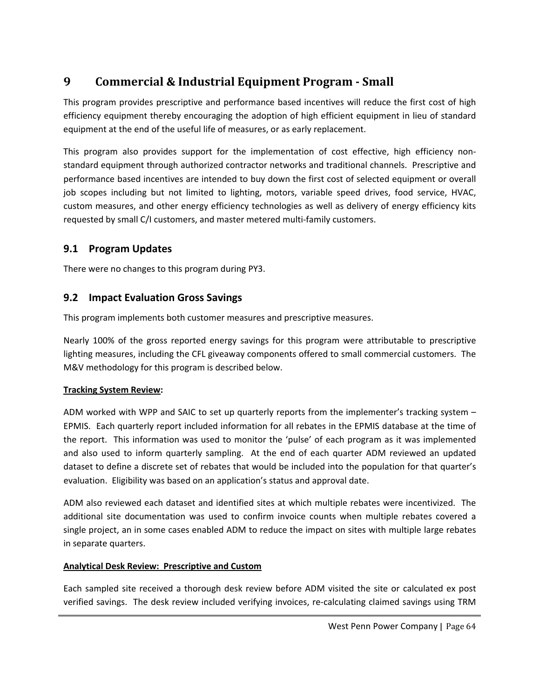# **9 Commercial & Industrial Equipment Program ‐ Small**

This program provides prescriptive and performance based incentives will reduce the first cost of high efficiency equipment thereby encouraging the adoption of high efficient equipment in lieu of standard equipment at the end of the useful life of measures, or as early replacement.

This program also provides support for the implementation of cost effective, high efficiency nonstandard equipment through authorized contractor networks and traditional channels. Prescriptive and performance based incentives are intended to buy down the first cost of selected equipment or overall job scopes including but not limited to lighting, motors, variable speed drives, food service, HVAC, custom measures, and other energy efficiency technologies as well as delivery of energy efficiency kits requested by small C/I customers, and master metered multi‐family customers.

# **9.1 Program Updates**

There were no changes to this program during PY3.

## **9.2 Impact Evaluation Gross Savings**

This program implements both customer measures and prescriptive measures.

Nearly 100% of the gross reported energy savings for this program were attributable to prescriptive lighting measures, including the CFL giveaway components offered to small commercial customers. The M&V methodology for this program is described below.

## **Tracking System Review:**

ADM worked with WPP and SAIC to set up quarterly reports from the implementer's tracking system – EPMIS. Each quarterly report included information for all rebates in the EPMIS database at the time of the report. This information was used to monitor the 'pulse' of each program as it was implemented and also used to inform quarterly sampling. At the end of each quarter ADM reviewed an updated dataset to define a discrete set of rebates that would be included into the population for that quarter's evaluation. Eligibility was based on an application's status and approval date.

ADM also reviewed each dataset and identified sites at which multiple rebates were incentivized. The additional site documentation was used to confirm invoice counts when multiple rebates covered a single project, an in some cases enabled ADM to reduce the impact on sites with multiple large rebates in separate quarters.

## **Analytical Desk Review: Prescriptive and Custom**

Each sampled site received a thorough desk review before ADM visited the site or calculated ex post verified savings. The desk review included verifying invoices, re-calculating claimed savings using TRM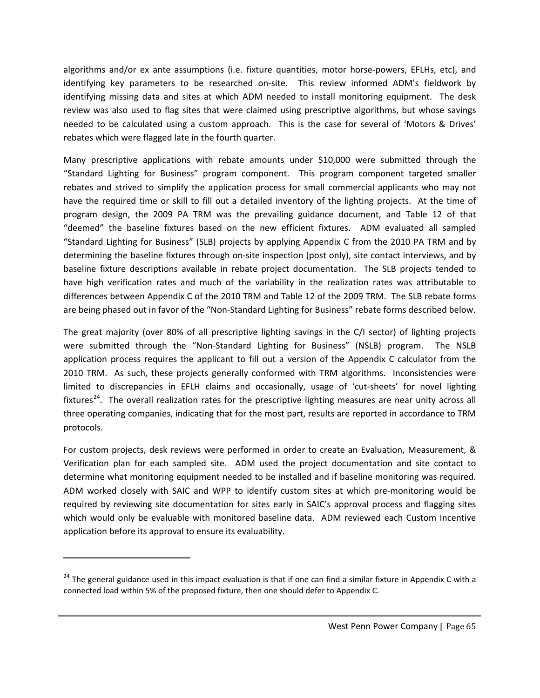algorithms and/or ex ante assumptions (i.e. fixture quantities, motor horse-powers, EFLHs, etc), and identifying key parameters to be researched on-site. This review informed ADM's fieldwork by identifying missing data and sites at which ADM needed to install monitoring equipment. The desk review was also used to flag sites that were claimed using prescriptive algorithms, but whose savings needed to be calculated using a custom approach. This is the case for several of 'Motors & Drives' rebates which were flagged late in the fourth quarter.

Many prescriptive applications with rebate amounts under \$10,000 were submitted through the "Standard Lighting for Business" program component. This program component targeted smaller rebates and strived to simplify the application process for small commercial applicants who may not have the required time or skill to fill out a detailed inventory of the lighting projects. At the time of program design, the 2009 PA TRM was the prevailing guidance document, and Table 12 of that "deemed" the baseline fixtures based on the new efficient fixtures. ADM evaluated all sampled "Standard Lighting for Business" (SLB) projects by applying Appendix C from the 2010 PA TRM and by determining the baseline fixtures through on‐site inspection (post only), site contact interviews, and by baseline fixture descriptions available in rebate project documentation. The SLB projects tended to have high verification rates and much of the variability in the realization rates was attributable to differences between Appendix C of the 2010 TRM and Table 12 of the 2009 TRM. The SLB rebate forms are being phased out in favor of the "Non‐Standard Lighting for Business" rebate forms described below.

The great majority (over 80% of all prescriptive lighting savings in the C/I sector) of lighting projects were submitted through the "Non-Standard Lighting for Business" (NSLB) program. The NSLB application process requires the applicant to fill out a version of the Appendix C calculator from the 2010 TRM. As such, these projects generally conformed with TRM algorithms. Inconsistencies were limited to discrepancies in EFLH claims and occasionally, usage of 'cut-sheets' for novel lighting fixtures<sup>[24](#page-67-0)</sup>. The overall realization rates for the prescriptive lighting measures are near unity across all three operating companies, indicating that for the most part, results are reported in accordance to TRM protocols.

For custom projects, desk reviews were performed in order to create an Evaluation, Measurement, & Verification plan for each sampled site. ADM used the project documentation and site contact to determine what monitoring equipment needed to be installed and if baseline monitoring was required. ADM worked closely with SAIC and WPP to identify custom sites at which pre‐monitoring would be required by reviewing site documentation for sites early in SAIC's approval process and flagging sites which would only be evaluable with monitored baseline data. ADM reviewed each Custom Incentive application before its approval to ensure its evaluability.

<span id="page-67-0"></span> $24$  The general guidance used in this impact evaluation is that if one can find a similar fixture in Appendix C with a connected load within 5% of the proposed fixture, then one should defer to Appendix C.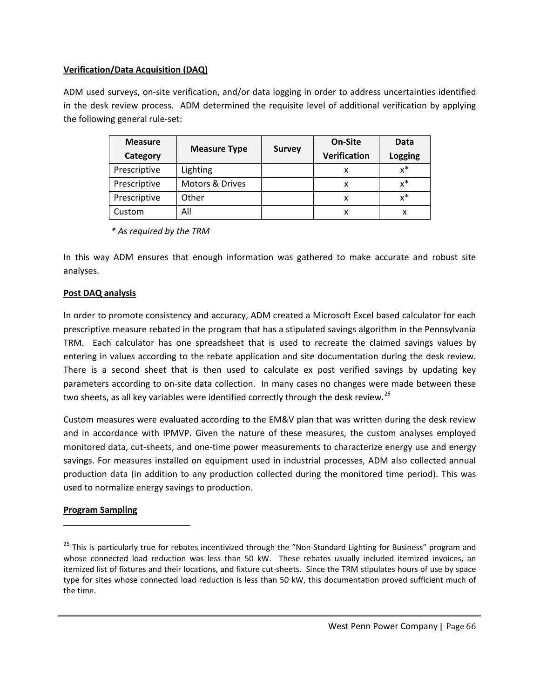### **Verification/Data Acquisition (DAQ)**

ADM used surveys, on‐site verification, and/or data logging in order to address uncertainties identified in the desk review process. ADM determined the requisite level of additional verification by applying the following general rule‐set:

| <b>Measure</b><br>Category | <b>Measure Type</b>        | <b>Survey</b> | On-Site<br><b>Verification</b> | Data<br><b>Logging</b> |
|----------------------------|----------------------------|---------------|--------------------------------|------------------------|
| Prescriptive               | Lighting                   |               | x                              | $x^*$                  |
| Prescriptive               | <b>Motors &amp; Drives</b> |               | x                              | $x^*$                  |
| Prescriptive               | Other                      |               | x                              | $x^*$                  |
| Custom                     | All                        |               | x                              | х                      |

*\* As required by the TRM*

In this way ADM ensures that enough information was gathered to make accurate and robust site analyses.

### **Post DAQ analysis**

In order to promote consistency and accuracy, ADM created a Microsoft Excel based calculator for each prescriptive measure rebated in the program that has a stipulated savings algorithm in the Pennsylvania TRM. Each calculator has one spreadsheet that is used to recreate the claimed savings values by entering in values according to the rebate application and site documentation during the desk review. There is a second sheet that is then used to calculate ex post verified savings by updating key parameters according to on‐site data collection. In many cases no changes were made between these two sheets, as all key variables were identified correctly through the desk review.<sup>[25](#page-68-0)</sup>

Custom measures were evaluated according to the EM&V plan that was written during the desk review and in accordance with IPMVP. Given the nature of these measures, the custom analyses employed monitored data, cut‐sheets, and one‐time power measurements to characterize energy use and energy savings. For measures installed on equipment used in industrial processes, ADM also collected annual production data (in addition to any production collected during the monitored time period). This was used to normalize energy savings to production.

### **Program Sampling**

<span id="page-68-0"></span><sup>&</sup>lt;sup>25</sup> This is particularly true for rebates incentivized through the "Non-Standard Lighting for Business" program and whose connected load reduction was less than 50 kW. These rebates usually included itemized invoices, an itemized list of fixtures and their locations, and fixture cut‐sheets. Since the TRM stipulates hours of use by space type for sites whose connected load reduction is less than 50 kW, this documentation proved sufficient much of the time.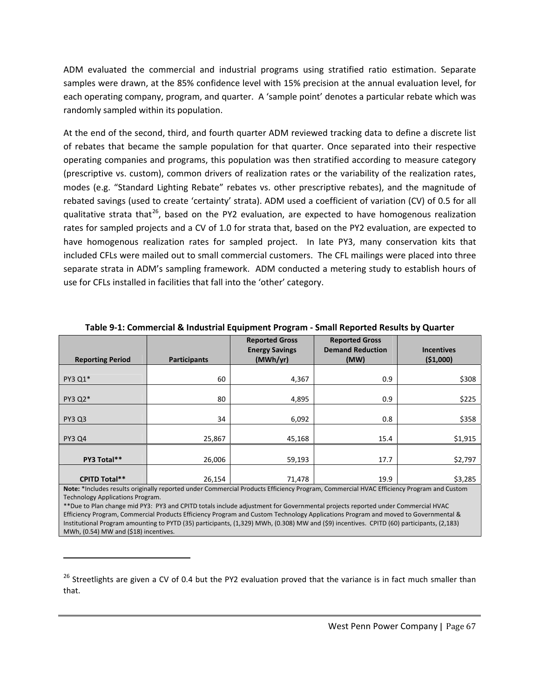ADM evaluated the commercial and industrial programs using stratified ratio estimation. Separate samples were drawn, at the 85% confidence level with 15% precision at the annual evaluation level, for each operating company, program, and quarter. A 'sample point' denotes a particular rebate which was randomly sampled within its population.

At the end of the second, third, and fourth quarter ADM reviewed tracking data to define a discrete list of rebates that became the sample population for that quarter. Once separated into their respective operating companies and programs, this population was then stratified according to measure category (prescriptive vs. custom), common drivers of realization rates or the variability of the realization rates, modes (e.g. "Standard Lighting Rebate" rebates vs. other prescriptive rebates), and the magnitude of rebated savings (used to create 'certainty' strata). ADM used a coefficient of variation (CV) of 0.5 for all qualitative strata that<sup>26</sup>, based on the PY2 evaluation, are expected to have homogenous realization rates for sampled projects and a CV of 1.0 for strata that, based on the PY2 evaluation, are expected to have homogenous realization rates for sampled project. In late PY3, many conservation kits that included CFLs were mailed out to small commercial customers. The CFL mailings were placed into three separate strata in ADM's sampling framework. ADM conducted a metering study to establish hours of use for CFLs installed in facilities that fall into the 'other' category.

| <b>Reporting Period</b>                                                                                                                 | <b>Participants</b> | <b>Reported Gross</b><br><b>Energy Savings</b><br>(MWh/vr) | <b>Reported Gross</b><br><b>Demand Reduction</b><br>(MW) | <b>Incentives</b><br>(51,000) |  |  |
|-----------------------------------------------------------------------------------------------------------------------------------------|---------------------|------------------------------------------------------------|----------------------------------------------------------|-------------------------------|--|--|
|                                                                                                                                         |                     |                                                            |                                                          |                               |  |  |
| PY3 Q1*                                                                                                                                 | 60                  | 4,367                                                      | 0.9                                                      | \$308                         |  |  |
|                                                                                                                                         |                     |                                                            |                                                          |                               |  |  |
| PY3 Q2*                                                                                                                                 | 80                  | 4,895                                                      | 0.9                                                      | \$225                         |  |  |
|                                                                                                                                         |                     |                                                            |                                                          |                               |  |  |
| <b>PY3 Q3</b>                                                                                                                           | 34                  | 6,092                                                      | 0.8                                                      | \$358                         |  |  |
|                                                                                                                                         |                     |                                                            |                                                          |                               |  |  |
| <b>PY3 Q4</b>                                                                                                                           | 25,867              | 45,168                                                     | 15.4                                                     | \$1,915                       |  |  |
|                                                                                                                                         |                     |                                                            |                                                          |                               |  |  |
| PY3 Total**                                                                                                                             | 26,006              | 59,193                                                     | 17.7                                                     | \$2,797                       |  |  |
|                                                                                                                                         |                     |                                                            |                                                          |                               |  |  |
| <b>CPITD Total**</b>                                                                                                                    | 26,154              | 71,478                                                     | 19.9                                                     | \$3,285                       |  |  |
| Note: *Includes results originally reported under Commercial Products Efficiency Program, Commercial HVAC Efficiency Program and Custom |                     |                                                            |                                                          |                               |  |  |
| ディント しょうしょう しゅうし けんこうりょう あいこう                                                                                                           |                     |                                                            |                                                          |                               |  |  |

**Table 9‐1: Commercial & Industrial Equipment Program ‐ Small Reported Results by Quarter**

Technology Applications Program.

\*\*Due to Plan change mid PY3: PY3 and CPITD totals include adjustment for Governmental projects reported under Commercial HVAC Efficiency Program, Commercial Products Efficiency Program and Custom Technology Applications Program and moved to Governmental & Institutional Program amounting to PYTD (35) participants, (1,329) MWh, (0.308) MW and (\$9) incentives. CPITD (60) participants, (2,183) MWh, (0.54) MW and (\$18) incentives.

<span id="page-69-0"></span> $26$  Streetlights are given a CV of 0.4 but the PY2 evaluation proved that the variance is in fact much smaller than that.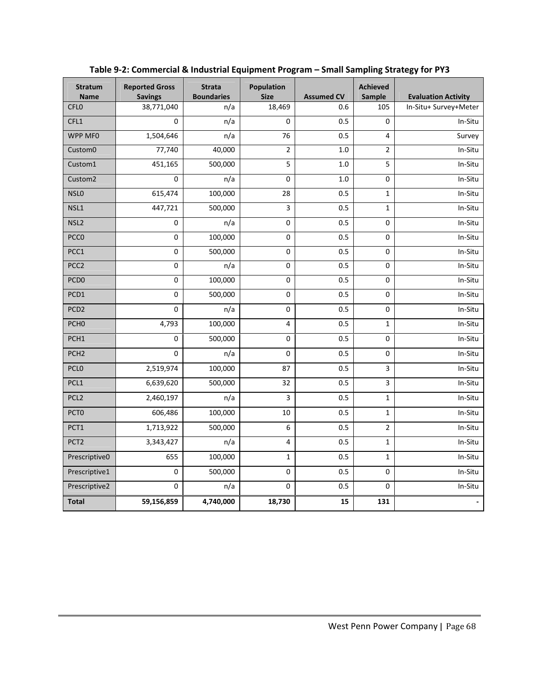| <b>Stratum</b><br><b>Name</b> | <b>Reported Gross</b><br><b>Savings</b> | <b>Strata</b><br><b>Boundaries</b> | Population<br><b>Size</b> | <b>Assumed CV</b> | <b>Achieved</b><br>Sample | <b>Evaluation Activity</b> |
|-------------------------------|-----------------------------------------|------------------------------------|---------------------------|-------------------|---------------------------|----------------------------|
| CFL <sub>0</sub>              | 38,771,040                              | n/a                                | 18,469                    | 0.6               | 105                       | In-Situ+ Survey+Meter      |
| CFL1                          | 0                                       | n/a                                | $\mathbf 0$               | 0.5               | 0                         | In-Situ                    |
| WPP MF0                       | 1,504,646                               | n/a                                | 76                        | 0.5               | 4                         | Survey                     |
| Custom0                       | 77,740                                  | 40,000                             | $\mathbf 2$               | 1.0               | $\overline{2}$            | In-Situ                    |
| Custom1                       | 451,165                                 | 500,000                            | 5                         | 1.0               | 5                         | In-Situ                    |
| Custom2                       | 0                                       | n/a                                | $\pmb{0}$                 | $1.0\,$           | $\boldsymbol{0}$          | In-Situ                    |
| <b>NSLO</b>                   | 615,474                                 | 100,000                            | 28                        | 0.5               | $\mathbf 1$               | In-Situ                    |
| NSL1                          | 447,721                                 | 500,000                            | 3                         | 0.5               | 1                         | In-Situ                    |
| NSL <sub>2</sub>              | 0                                       | n/a                                | $\pmb{0}$                 | 0.5               | 0                         | In-Situ                    |
| <b>PCCO</b>                   | 0                                       | 100,000                            | $\pmb{0}$                 | 0.5               | 0                         | In-Situ                    |
| PCC1                          | $\pmb{0}$                               | 500,000                            | $\pmb{0}$                 | 0.5               | 0                         | In-Situ                    |
| PCC <sub>2</sub>              | 0                                       | n/a                                | $\boldsymbol{0}$          | 0.5               | 0                         | In-Situ                    |
| PCD <sub>0</sub>              | 0                                       | 100,000                            | $\boldsymbol{0}$          | 0.5               | 0                         | In-Situ                    |
| PCD1                          | 0                                       | 500,000                            | $\pmb{0}$                 | 0.5               | 0                         | In-Situ                    |
| PCD <sub>2</sub>              | $\mathbf 0$                             | n/a                                | $\pmb{0}$                 | 0.5               | $\pmb{0}$                 | In-Situ                    |
| PCH <sub>0</sub>              | 4,793                                   | 100,000                            | 4                         | 0.5               | $\mathbf{1}$              | In-Situ                    |
| PCH <sub>1</sub>              | 0                                       | 500,000                            | 0                         | 0.5               | 0                         | In-Situ                    |
| PCH <sub>2</sub>              | 0                                       | n/a                                | 0                         | 0.5               | 0                         | In-Situ                    |
| <b>PCLO</b>                   | 2,519,974                               | 100,000                            | 87                        | 0.5               | 3                         | In-Situ                    |
| PCL1                          | 6,639,620                               | 500,000                            | 32                        | 0.5               | 3                         | In-Situ                    |
| PCL <sub>2</sub>              | 2,460,197                               | n/a                                | 3                         | 0.5               | $\mathbf{1}$              | In-Situ                    |
| PCT <sub>0</sub>              | 606,486                                 | 100,000                            | 10                        | 0.5               | $\mathbf{1}$              | In-Situ                    |
| PCT1                          | 1,713,922                               | 500,000                            | 6                         | 0.5               | $\overline{2}$            | In-Situ                    |
| PCT <sub>2</sub>              | 3,343,427                               | n/a                                | 4                         | 0.5               | $\mathbf{1}$              | In-Situ                    |
| Prescriptive0                 | 655                                     | 100,000                            | $\mathbf 1$               | 0.5               | $\mathbf 1$               | In-Situ                    |
| Prescriptive1                 | $\pmb{0}$                               | 500,000                            | $\pmb{0}$                 | 0.5               | 0                         | In-Situ                    |
| Prescriptive2                 | 0                                       | n/a                                | 0                         | 0.5               | 0                         | In-Situ                    |
| <b>Total</b>                  | 59,156,859                              | 4,740,000                          | 18,730                    | 15                | 131                       |                            |

**Table 9‐2: Commercial & Industrial Equipment Program – Small Sampling Strategy for PY3**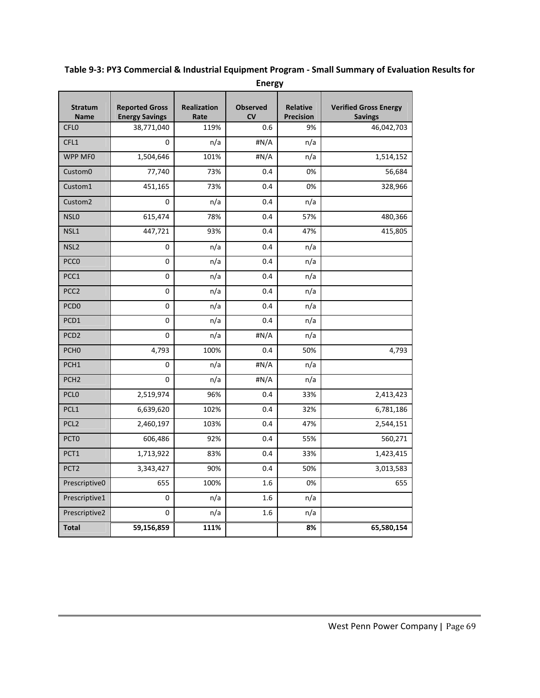#### **Stratum Name Reported Gross Energy Savings Realization Rate Observed CV Relative Precision Verified Gross Energy Savings** CFL0 38,771,040 119% 0.6 9% 46,042,703 CFL1 and  $\begin{bmatrix} 0 & 0 \end{bmatrix}$  and  $\begin{bmatrix} \frac{1}{2} & \frac{1}{2} & \frac{1}{2} & \frac{1}{2} & \frac{1}{2} & \frac{1}{2} & \frac{1}{2} & \frac{1}{2} & \frac{1}{2} & \frac{1}{2} & \frac{1}{2} & \frac{1}{2} & \frac{1}{2} & \frac{1}{2} & \frac{1}{2} & \frac{1}{2} & \frac{1}{2} & \frac{1}{2} & \frac{1}{2} & \frac{1}{2} & \frac{1}{2} & \frac{1}{2} & \frac{1}{$ WPP MF0 1,504,646 101% #N/A n/a 1,514,152 Custom0 77,740 73% 0.4 0% 56,684 Custom1 451,165 73% 0.4 0% 328,966 Custom2  $0$  n/a  $0$  n/a  $0$  n/a  $1$ NSL0 615,474 78% 0.4 57% 480,366 NSL1 447,721 93% 0.4 47% 415,805 NSL2  $0$   $n/a$   $0.4$   $n/a$ PCC0 0  $n/a$  0.4  $n/a$ PCC1 0  $n/a$  0.4  $n/a$ PCC2 0  $n/a$  0.4  $n/a$ PCD0 0  $n/a$  0.4  $n/a$ PCD1 0  $n/a$  0.4  $n/a$ PCD2  $0$   $n/a$  #N/A  $n/a$ PCH0 4,793 100% 0.4 50% 4,793 PCH1 0 n/a #N/A n/a PCH2 0 | n/a | #N/A | n/a | PCL0 2,519,974 96% 0.4 33% 2,413,423 PCL1 6,639,620 102% 0.4 32% 6,781,186 PCL2 2,460,197 103% 0.4 47% 2,544,151 PCT0 606,486 92% 0.4 55% 560,271 PCT1 1,713,922 83% 0.4 33% 1,423,415

PCT2 3,343,427 90% 0.4 50% 3,013,583 Prescriptive0 655 100% 1.6 0% 655

**Total 59,156,859 111% 8% 65,580,154** 

Prescriptive1 0 n/a n/a 1.6 n/a Prescriptive2 0 n/a n/a 1.6 n/a

### **Table 9‐3: PY3 Commercial & Industrial Equipment Program ‐ Small Summary of Evaluation Results for Energy**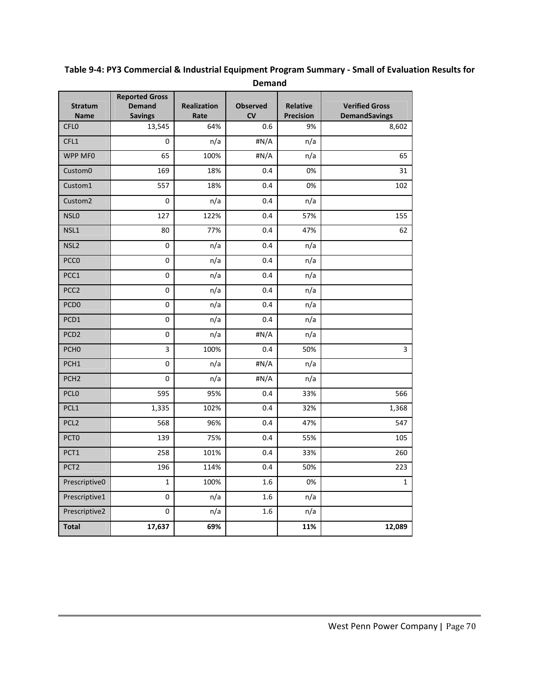| <b>Stratum</b><br><b>Name</b> | <b>Reported Gross</b><br><b>Demand</b><br><b>Savings</b> | Realization<br>Rate | <b>Observed</b><br><b>CV</b> | Relative<br><b>Precision</b> | <b>Verified Gross</b><br><b>DemandSavings</b> |
|-------------------------------|----------------------------------------------------------|---------------------|------------------------------|------------------------------|-----------------------------------------------|
| CFL <sub>0</sub>              | 13,545                                                   | 64%                 | 0.6                          | 9%                           | 8,602                                         |
| CFL1                          | 0                                                        | n/a                 | #N/A                         | n/a                          |                                               |
| WPP MF0                       | 65                                                       | 100%                | #N/A                         | n/a                          | 65                                            |
| Custom0                       | 169                                                      | 18%                 | 0.4                          | 0%                           | 31                                            |
| Custom1                       | 557                                                      | 18%                 | 0.4                          | 0%                           | 102                                           |
| Custom2                       | $\pmb{0}$                                                | n/a                 | 0.4                          | n/a                          |                                               |
| NSL <sub>0</sub>              | 127                                                      | 122%                | 0.4                          | 57%                          | 155                                           |
| NSL1                          | 80                                                       | 77%                 | 0.4                          | 47%                          | 62                                            |
| NSL <sub>2</sub>              | $\mathbf 0$                                              | n/a                 | 0.4                          | n/a                          |                                               |
| PCC <sub>0</sub>              | 0                                                        | n/a                 | 0.4                          | n/a                          |                                               |
| PCC1                          | 0                                                        | n/a                 | 0.4                          | n/a                          |                                               |
| PCC <sub>2</sub>              | 0                                                        | n/a                 | 0.4                          | n/a                          |                                               |
| PCD <sub>0</sub>              | 0                                                        | n/a                 | 0.4                          | n/a                          |                                               |
| PCD1                          | 0                                                        | n/a                 | 0.4                          | n/a                          |                                               |
| PCD <sub>2</sub>              | 0                                                        | n/a                 | #N/A                         | n/a                          |                                               |
| PCH <sub>0</sub>              | $\overline{3}$                                           | 100%                | 0.4                          | 50%                          | $\overline{3}$                                |
| PCH1                          | $\mathbf 0$                                              | n/a                 | #N/A                         | n/a                          |                                               |
| PCH <sub>2</sub>              | 0                                                        | n/a                 | #N/A                         | n/a                          |                                               |
| <b>PCLO</b>                   | 595                                                      | 95%                 | 0.4                          | 33%                          | 566                                           |
| PCL1                          | 1,335                                                    | 102%                | 0.4                          | 32%                          | 1,368                                         |
| PCL <sub>2</sub>              | 568                                                      | 96%                 | 0.4                          | 47%                          | 547                                           |
| PCT <sub>0</sub>              | 139                                                      | 75%                 | 0.4                          | 55%                          | 105                                           |
| PCT1                          | 258                                                      | 101%                | 0.4                          | 33%                          | 260                                           |
| PCT <sub>2</sub>              | 196                                                      | 114%                | 0.4                          | 50%                          | 223                                           |
| Prescriptive0                 | $\mathbf 1$                                              | 100%                | 1.6                          | 0%                           | $\mathbf{1}$                                  |
| Prescriptive1                 | 0                                                        | n/a                 | 1.6                          | n/a                          |                                               |
| Prescriptive2                 | 0                                                        | n/a                 | 1.6                          | n/a                          |                                               |
| <b>Total</b>                  | 17,637                                                   | 69%                 |                              | 11%                          | 12,089                                        |

### **Table 9‐4: PY3 Commercial & Industrial Equipment Program Summary ‐ Small of Evaluation Results for Demand**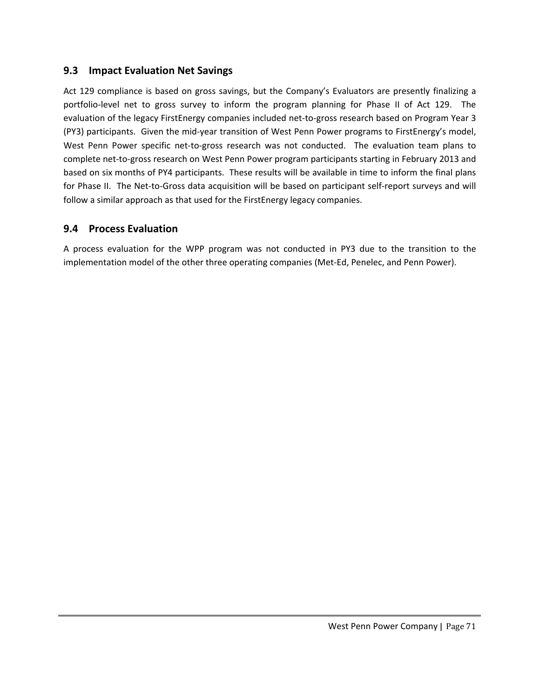### **9.3 Impact Evaluation Net Savings**

Act 129 compliance is based on gross savings, but the Company's Evaluators are presently finalizing a portfolio-level net to gross survey to inform the program planning for Phase II of Act 129. The evaluation of the legacy FirstEnergy companies included net‐to‐gross research based on Program Year 3 (PY3) participants. Given the mid‐year transition of West Penn Power programs to FirstEnergy's model, West Penn Power specific net-to-gross research was not conducted. The evaluation team plans to complete net-to-gross research on West Penn Power program participants starting in February 2013 and based on six months of PY4 participants. These results will be available in time to inform the final plans for Phase II. The Net-to-Gross data acquisition will be based on participant self-report surveys and will follow a similar approach as that used for the FirstEnergy legacy companies.

### **9.4 Process Evaluation**

A process evaluation for the WPP program was not conducted in PY3 due to the transition to the implementation model of the other three operating companies (Met‐Ed, Penelec, and Penn Power).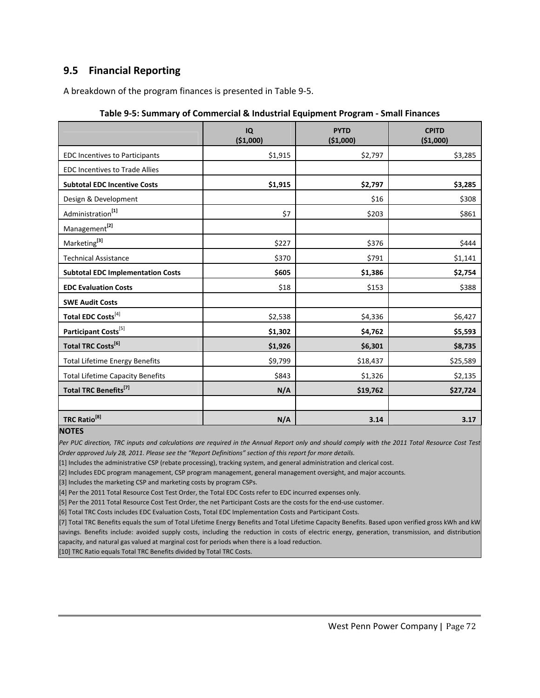A breakdown of the program finances is presented in Table 9‐5.

|                                          | IQ<br>(\$1,000) | <b>PYTD</b><br>(\$1,000) | <b>CPITD</b><br>(\$1,000) |
|------------------------------------------|-----------------|--------------------------|---------------------------|
| <b>EDC Incentives to Participants</b>    | \$1,915         | \$2,797                  | \$3,285                   |
| <b>EDC Incentives to Trade Allies</b>    |                 |                          |                           |
| <b>Subtotal EDC Incentive Costs</b>      | \$1,915         | \$2,797                  | \$3,285                   |
| Design & Development                     |                 | \$16                     | \$308                     |
| Administration <sup>[1]</sup>            | \$7             | \$203                    | \$861                     |
| Management <sup>[2]</sup>                |                 |                          |                           |
| Marketing <sup>[3]</sup>                 | \$227           | \$376                    | \$444                     |
| <b>Technical Assistance</b>              | \$370           | \$791                    | \$1,141                   |
| <b>Subtotal EDC Implementation Costs</b> | \$605           | \$1,386                  | \$2,754                   |
| <b>EDC Evaluation Costs</b>              | \$18            | \$153                    | \$388                     |
| <b>SWE Audit Costs</b>                   |                 |                          |                           |
| Total EDC Costs[4]                       | \$2,538         | \$4,336                  | \$6,427                   |
| Participant Costs[5]                     | \$1,302         | \$4,762                  | \$5,593                   |
| Total TRC Costs[6]                       | \$1,926         | \$6,301                  | \$8,735                   |
| <b>Total Lifetime Energy Benefits</b>    | \$9,799         | \$18,437                 | \$25,589                  |
| <b>Total Lifetime Capacity Benefits</b>  | \$843           | \$1,326                  | \$2,135                   |
| Total TRC Benefits <sup>[7]</sup>        | N/A             | \$19,762                 | \$27,724                  |
|                                          |                 |                          |                           |
| TRC Ratio <sup>[8]</sup>                 | N/A             | 3.14                     | 3.17                      |

**Table 9‐5: Summary of Commercial & Industrial Equipment Program ‐ Small Finances**

**NOTES** 

Per PUC direction, TRC inputs and calculations are required in the Annual Report only and should comply with the 2011 Total Resource Cost Test Order approved July 28, 2011. Please see the "Report Definitions" section of this report for more details.

[1] Includes the administrative CSP (rebate processing), tracking system, and general administration and clerical cost.

[2] Includes EDC program management, CSP program management, general management oversight, and major accounts.

[3] Includes the marketing CSP and marketing costs by program CSPs.

[4] Per the 2011 Total Resource Cost Test Order, the Total EDC Costs refer to EDC incurred expenses only.

[5] Per the 2011 Total Resource Cost Test Order, the net Participant Costs are the costs for the end‐use customer.

[6] Total TRC Costs includes EDC Evaluation Costs, Total EDC Implementation Costs and Participant Costs.

[7] Total TRC Benefits equals the sum of Total Lifetime Energy Benefits and Total Lifetime Capacity Benefits. Based upon verified gross kWh and kW savings. Benefits include: avoided supply costs, including the reduction in costs of electric energy, generation, transmission, and distribution capacity, and natural gas valued at marginal cost for periods when there is a load reduction.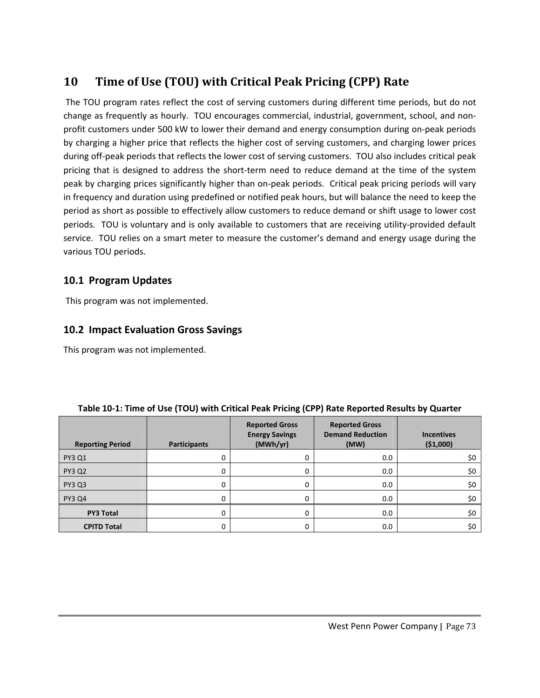# **10 Time of Use (TOU) with Critical Peak Pricing (CPP) Rate**

The TOU program rates reflect the cost of serving customers during different time periods, but do not change as frequently as hourly. TOU encourages commercial, industrial, government, school, and non‐ profit customers under 500 kW to lower their demand and energy consumption during on‐peak periods by charging a higher price that reflects the higher cost of serving customers, and charging lower prices during off‐peak periods that reflects the lower cost of serving customers. TOU also includes critical peak pricing that is designed to address the short‐term need to reduce demand at the time of the system peak by charging prices significantly higher than on‐peak periods. Critical peak pricing periods will vary in frequency and duration using predefined or notified peak hours, but will balance the need to keep the period as short as possible to effectively allow customers to reduce demand or shift usage to lower cost periods. TOU is voluntary and is only available to customers that are receiving utility-provided default service. TOU relies on a smart meter to measure the customer's demand and energy usage during the various TOU periods.

## **10.1 Program Updates**

This program was not implemented.

## **10.2 Impact Evaluation Gross Savings**

This program was not implemented.

| <b>Reporting Period</b> | <b>Participants</b> | <b>Reported Gross</b><br><b>Energy Savings</b><br>(MWh/yr) | <b>Reported Gross</b><br><b>Demand Reduction</b><br>(MW) | <b>Incentives</b><br>(\$1,000) |
|-------------------------|---------------------|------------------------------------------------------------|----------------------------------------------------------|--------------------------------|
| <b>PY3 Q1</b>           |                     | 0                                                          | 0.0                                                      | \$0                            |
| <b>PY3 Q2</b>           | o                   | 0                                                          | 0.0                                                      | \$0                            |
| <b>PY3 Q3</b>           |                     | 0                                                          | 0.0                                                      | \$0                            |
| <b>PY3 Q4</b>           |                     | 0                                                          | 0.0                                                      | \$0                            |
| <b>PY3 Total</b>        |                     | 0                                                          | 0.0                                                      | \$0                            |
| <b>CPITD Total</b>      |                     | 0                                                          | 0.0                                                      | \$0                            |

### **Table 10‐1: Time of Use (TOU) with Critical Peak Pricing (CPP) Rate Reported Results by Quarter**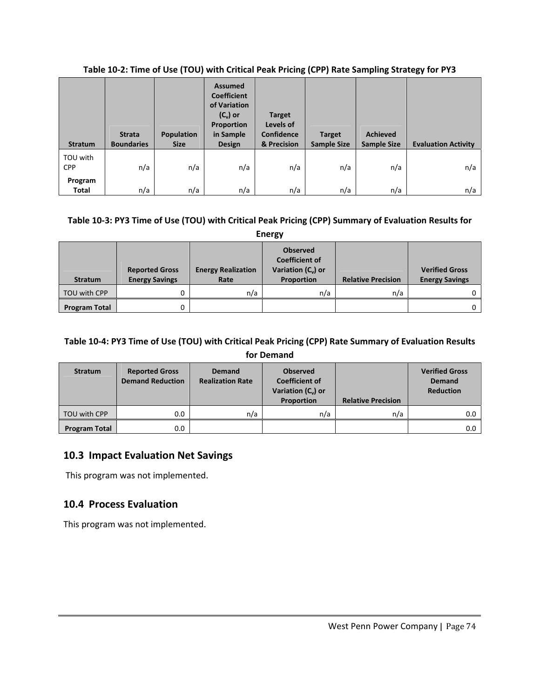| <b>Stratum</b>          | <b>Strata</b><br><b>Boundaries</b> | <b>Population</b><br><b>Size</b> | <b>Assumed</b><br><b>Coefficient</b><br>of Variation<br>$(C_v)$ or<br>Proportion<br>in Sample<br><b>Design</b> | <b>Target</b><br>Levels of<br><b>Confidence</b><br>& Precision | <b>Target</b><br><b>Sample Size</b> | <b>Achieved</b><br><b>Sample Size</b> | <b>Evaluation Activity</b> |
|-------------------------|------------------------------------|----------------------------------|----------------------------------------------------------------------------------------------------------------|----------------------------------------------------------------|-------------------------------------|---------------------------------------|----------------------------|
| TOU with<br><b>CPP</b>  | n/a                                | n/a                              | n/a                                                                                                            | n/a                                                            | n/a                                 | n/a                                   | n/a                        |
| Program<br><b>Total</b> | n/a                                | n/a                              | n/a                                                                                                            | n/a                                                            | n/a                                 | n/a                                   | n/a                        |

**Table 10‐2: Time of Use (TOU) with Critical Peak Pricing (CPP) Rate Sampling Strategy for PY3**

### Table 10-3: PY3 Time of Use (TOU) with Critical Peak Pricing (CPP) Summary of Evaluation Results for

| <b>Energy</b>        |                                                |                                   |                                                                                          |                           |                                                |  |  |
|----------------------|------------------------------------------------|-----------------------------------|------------------------------------------------------------------------------------------|---------------------------|------------------------------------------------|--|--|
| <b>Stratum</b>       | <b>Reported Gross</b><br><b>Energy Savings</b> | <b>Energy Realization</b><br>Rate | <b>Observed</b><br><b>Coefficient of</b><br>Variation (C <sub>v</sub> ) or<br>Proportion | <b>Relative Precision</b> | <b>Verified Gross</b><br><b>Energy Savings</b> |  |  |
| TOU with CPP         | 0                                              | n/a                               | n/a                                                                                      | n/a                       |                                                |  |  |
| <b>Program Total</b> | 0                                              |                                   |                                                                                          |                           |                                                |  |  |

### Table 10-4: PY3 Time of Use (TOU) with Critical Peak Pricing (CPP) Rate Summary of Evaluation Results **for Demand**

| <b>Stratum</b>       | <b>Reported Gross</b><br><b>Demand Reduction</b> | <b>Demand</b><br><b>Realization Rate</b> | <b>Observed</b><br><b>Coefficient of</b><br>Variation $(C_v)$ or<br><b>Proportion</b> | <b>Relative Precision</b> | <b>Verified Gross</b><br><b>Demand</b><br><b>Reduction</b> |  |  |
|----------------------|--------------------------------------------------|------------------------------------------|---------------------------------------------------------------------------------------|---------------------------|------------------------------------------------------------|--|--|
| TOU with CPP         | 0.0                                              | n/a                                      | n/a                                                                                   | n/a                       | 0.0                                                        |  |  |
| <b>Program Total</b> | $0.0\,$                                          |                                          |                                                                                       |                           | 0.0                                                        |  |  |

## **10.3 Impact Evaluation Net Savings**

This program was not implemented.

## **10.4 Process Evaluation**

This program was not implemented.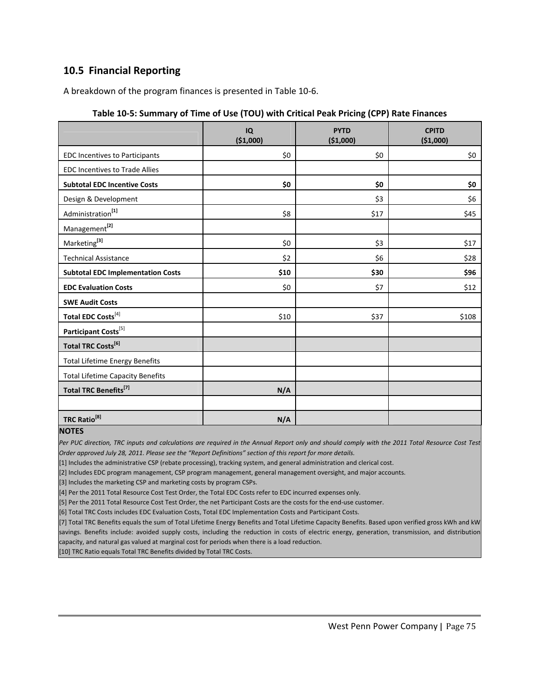A breakdown of the program finances is presented in Table 10‐6.

|                                          | IQ<br>(\$1,000) | <b>PYTD</b><br>(\$1,000) | <b>CPITD</b><br>(\$1,000) |
|------------------------------------------|-----------------|--------------------------|---------------------------|
| <b>EDC Incentives to Participants</b>    | \$0             | \$0                      | \$0                       |
| <b>EDC Incentives to Trade Allies</b>    |                 |                          |                           |
| <b>Subtotal EDC Incentive Costs</b>      | \$0             | \$0                      | \$0                       |
| Design & Development                     |                 | \$3                      | \$6                       |
| Administration <sup>[1]</sup>            | \$8             | \$17                     | \$45                      |
| Management <sup>[2]</sup>                |                 |                          |                           |
| Marketing <sup>[3]</sup>                 | \$0             | \$3                      | \$17                      |
| <b>Technical Assistance</b>              | \$2             | \$6                      | \$28                      |
| <b>Subtotal EDC Implementation Costs</b> | \$10            | \$30                     | \$96                      |
| <b>EDC Evaluation Costs</b>              | \$0             | \$7                      | \$12                      |
| <b>SWE Audit Costs</b>                   |                 |                          |                           |
| Total EDC Costs[4]                       | \$10            | \$37                     | \$108                     |
| Participant Costs <sup>[5]</sup>         |                 |                          |                           |
| Total TRC Costs[6]                       |                 |                          |                           |
| <b>Total Lifetime Energy Benefits</b>    |                 |                          |                           |
| <b>Total Lifetime Capacity Benefits</b>  |                 |                          |                           |
| Total TRC Benefits <sup>[7]</sup>        | N/A             |                          |                           |
|                                          |                 |                          |                           |
| TRC Ratio <sup>[8]</sup>                 | N/A             |                          |                           |

### **Table 10‐5: Summary of Time of Use (TOU) with Critical Peak Pricing (CPP) Rate Finances**

**NOTES** 

Per PUC direction, TRC inputs and calculations are required in the Annual Report only and should comply with the 2011 Total Resource Cost Test Order approved July 28, 2011. Please see the "Report Definitions" section of this report for more details.

[1] Includes the administrative CSP (rebate processing), tracking system, and general administration and clerical cost.

[2] Includes EDC program management, CSP program management, general management oversight, and major accounts.

[3] Includes the marketing CSP and marketing costs by program CSPs.

[4] Per the 2011 Total Resource Cost Test Order, the Total EDC Costs refer to EDC incurred expenses only.

[5] Per the 2011 Total Resource Cost Test Order, the net Participant Costs are the costs for the end‐use customer.

[6] Total TRC Costs includes EDC Evaluation Costs, Total EDC Implementation Costs and Participant Costs.

[7] Total TRC Benefits equals the sum of Total Lifetime Energy Benefits and Total Lifetime Capacity Benefits. Based upon verified gross kWh and kW savings. Benefits include: avoided supply costs, including the reduction in costs of electric energy, generation, transmission, and distribution

capacity, and natural gas valued at marginal cost for periods when there is a load reduction.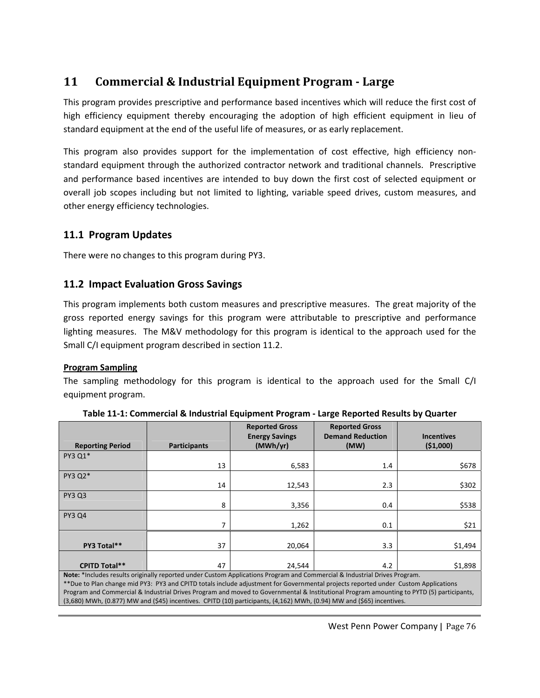# **11 Commercial & Industrial Equipment Program ‐ Large**

This program provides prescriptive and performance based incentives which will reduce the first cost of high efficiency equipment thereby encouraging the adoption of high efficient equipment in lieu of standard equipment at the end of the useful life of measures, or as early replacement.

This program also provides support for the implementation of cost effective, high efficiency nonstandard equipment through the authorized contractor network and traditional channels. Prescriptive and performance based incentives are intended to buy down the first cost of selected equipment or overall job scopes including but not limited to lighting, variable speed drives, custom measures, and other energy efficiency technologies.

## **11.1 Program Updates**

There were no changes to this program during PY3.

## **11.2 Impact Evaluation Gross Savings**

This program implements both custom measures and prescriptive measures. The great majority of the gross reported energy savings for this program were attributable to prescriptive and performance lighting measures. The M&V methodology for this program is identical to the approach used for the Small C/I equipment program described in section 11.2.

### **Program Sampling**

The sampling methodology for this program is identical to the approach used for the Small C/I equipment program.

|                                                                                                                                    |                     | <b>Reported Gross</b><br><b>Energy Savings</b>                                                                                           | <b>Reported Gross</b><br><b>Demand Reduction</b> | <b>Incentives</b> |  |  |
|------------------------------------------------------------------------------------------------------------------------------------|---------------------|------------------------------------------------------------------------------------------------------------------------------------------|--------------------------------------------------|-------------------|--|--|
| <b>Reporting Period</b>                                                                                                            | <b>Participants</b> | (MWh/yr)                                                                                                                                 | (MW)                                             | (51,000)          |  |  |
| PY3 Q1*                                                                                                                            |                     |                                                                                                                                          |                                                  |                   |  |  |
|                                                                                                                                    | 13                  | 6,583                                                                                                                                    | 1.4                                              | \$678             |  |  |
| PY3 Q2*                                                                                                                            |                     |                                                                                                                                          |                                                  |                   |  |  |
|                                                                                                                                    | 14                  | 12,543                                                                                                                                   | 2.3                                              | \$302             |  |  |
| <b>PY3 Q3</b>                                                                                                                      |                     |                                                                                                                                          |                                                  |                   |  |  |
|                                                                                                                                    | 8                   | 3,356                                                                                                                                    | 0.4                                              | \$538             |  |  |
| <b>PY3 Q4</b>                                                                                                                      |                     |                                                                                                                                          |                                                  |                   |  |  |
|                                                                                                                                    | 7                   | 1,262                                                                                                                                    | 0.1                                              | \$21              |  |  |
|                                                                                                                                    |                     |                                                                                                                                          |                                                  |                   |  |  |
| PY3 Total**                                                                                                                        | 37                  | 20,064                                                                                                                                   | 3.3                                              | \$1,494           |  |  |
|                                                                                                                                    |                     |                                                                                                                                          |                                                  |                   |  |  |
| <b>CPITD Total**</b>                                                                                                               | 47                  | 24,544                                                                                                                                   | 4.2                                              | \$1,898           |  |  |
| Note: *Includes results originally reported under Custom Applications Program and Commercial & Industrial Drives Program.          |                     |                                                                                                                                          |                                                  |                   |  |  |
| **Due to Plan change mid PY3: PY3 and CPITD totals include adjustment for Governmental projects reported under Custom Applications |                     |                                                                                                                                          |                                                  |                   |  |  |
|                                                                                                                                    |                     | Program and Commercial & Industrial Drives Program and moved to Governmental & Institutional Program amounting to PYTD (5) participants, |                                                  |                   |  |  |
| (3,680) MWh, (0.877) MW and (\$45) incentives. CPITD (10) participants, (4,162) MWh, (0.94) MW and (\$65) incentives.              |                     |                                                                                                                                          |                                                  |                   |  |  |

**Table 11‐1: Commercial & Industrial Equipment Program ‐ Large Reported Results by Quarter**

West Penn Power Company | Page 76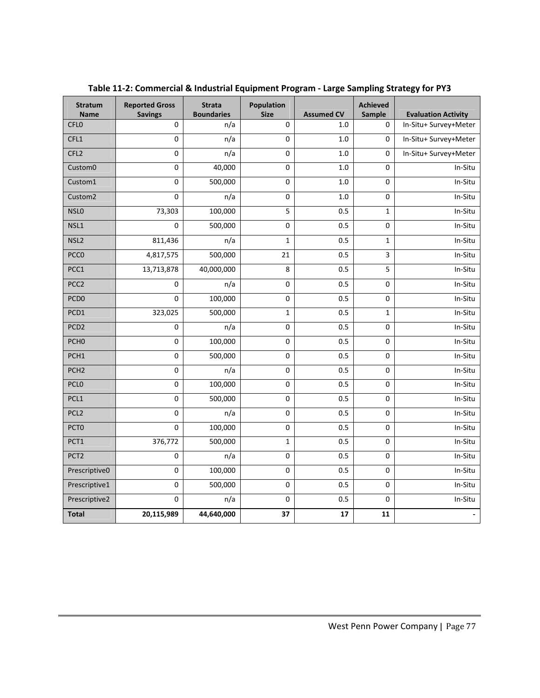| <b>Stratum</b><br><b>Name</b> | <b>Reported Gross</b><br><b>Savings</b> | <b>Strata</b><br><b>Boundaries</b> | Population<br><b>Size</b> | <b>Assumed CV</b> | <b>Achieved</b><br>Sample | <b>Evaluation Activity</b> |
|-------------------------------|-----------------------------------------|------------------------------------|---------------------------|-------------------|---------------------------|----------------------------|
| CFL <sub>0</sub>              | 0                                       | n/a                                | $\pmb{0}$                 | 1.0               | $\mathbf 0$               | In-Situ+ Survey+Meter      |
| CFL1                          | $\mathbf 0$                             | n/a                                | $\pmb{0}$                 | 1.0               | $\mathbf 0$               | In-Situ+ Survey+Meter      |
| CFL <sub>2</sub>              | $\pmb{0}$                               | n/a                                | $\pmb{0}$                 | 1.0               | 0                         | In-Situ+ Survey+Meter      |
| Custom <sub>0</sub>           | $\boldsymbol{0}$                        | 40,000                             | 0                         | 1.0               | 0                         | In-Situ                    |
| Custom1                       | $\pmb{0}$                               | 500,000                            | $\pmb{0}$                 | $1.0\,$           | 0                         | In-Situ                    |
| Custom2                       | $\pmb{0}$                               | n/a                                | $\pmb{0}$                 | $1.0\,$           | 0                         | In-Situ                    |
| <b>NSLO</b>                   | 73,303                                  | 100,000                            | 5                         | 0.5               | $\mathbf 1$               | In-Situ                    |
| NSL1                          | 0                                       | 500,000                            | $\boldsymbol{0}$          | 0.5               | 0                         | In-Situ                    |
| NSL <sub>2</sub>              | 811,436                                 | n/a                                | $\mathbf{1}$              | 0.5               | $\mathbf{1}$              | In-Situ                    |
| PCC <sub>0</sub>              | 4,817,575                               | 500,000                            | 21                        | 0.5               | 3                         | In-Situ                    |
| PCC1                          | 13,713,878                              | 40,000,000                         | 8                         | 0.5               | 5                         | In-Situ                    |
| PCC <sub>2</sub>              | 0                                       | n/a                                | $\pmb{0}$                 | 0.5               | 0                         | In-Situ                    |
| PCD <sub>0</sub>              | 0                                       | 100,000                            | $\pmb{0}$                 | 0.5               | 0                         | In-Situ                    |
| PCD1                          | 323,025                                 | 500,000                            | $\mathbf 1$               | 0.5               | $\mathbf 1$               | In-Situ                    |
| PCD <sub>2</sub>              | 0                                       | n/a                                | 0                         | 0.5               | 0                         | In-Situ                    |
| PCH <sub>0</sub>              | $\pmb{0}$                               | 100,000                            | $\pmb{0}$                 | 0.5               | 0                         | In-Situ                    |
| PCH1                          | $\pmb{0}$                               | 500,000                            | 0                         | 0.5               | 0                         | In-Situ                    |
| PCH <sub>2</sub>              | $\boldsymbol{0}$                        | n/a                                | $\pmb{0}$                 | 0.5               | 0                         | In-Situ                    |
| <b>PCLO</b>                   | $\pmb{0}$                               | 100,000                            | $\pmb{0}$                 | 0.5               | 0                         | In-Situ                    |
| PCL1                          | $\pmb{0}$                               | 500,000                            | $\pmb{0}$                 | 0.5               | 0                         | In-Situ                    |
| PCL <sub>2</sub>              | $\pmb{0}$                               | n/a                                | $\boldsymbol{0}$          | 0.5               | 0                         | In-Situ                    |
| PCT <sub>0</sub>              | $\pmb{0}$                               | 100,000                            | $\pmb{0}$                 | 0.5               | 0                         | In-Situ                    |
| PCT1                          | 376,772                                 | 500,000                            | $\mathbf{1}$              | 0.5               | 0                         | In-Situ                    |
| PCT <sub>2</sub>              | $\mathbf 0$                             | n/a                                | $\pmb{0}$                 | 0.5               | 0                         | In-Situ                    |
| Prescriptive0                 | $\pmb{0}$                               | 100,000                            | $\pmb{0}$                 | 0.5               | 0                         | In-Situ                    |
| Prescriptive1                 | $\pmb{0}$                               | 500,000                            | $\pmb{0}$                 | 0.5               | 0                         | In-Situ                    |
| Prescriptive2                 | 0                                       | n/a                                | 0                         | 0.5               | 0                         | In-Situ                    |
| <b>Total</b>                  | 20,115,989                              | 44,640,000                         | 37                        | 17                | 11                        |                            |

**Table 11‐2: Commercial & Industrial Equipment Program ‐ Large Sampling Strategy for PY3**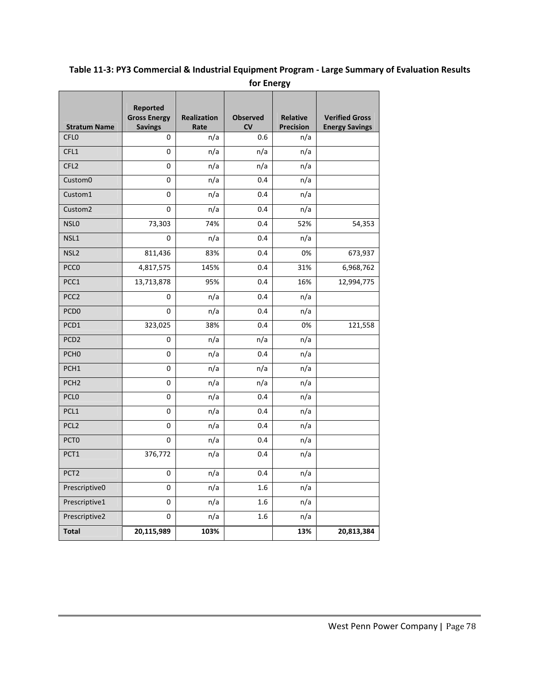### **Table 11‐3: PY3 Commercial & Industrial Equipment Program ‐ Large Summary of Evaluation Results for Energy**

| <b>Stratum Name</b> | Reported<br><b>Gross Energy</b><br><b>Savings</b> | <b>Realization</b><br>Rate | <b>Observed</b><br><b>CV</b> | <b>Relative</b><br><b>Precision</b> | <b>Verified Gross</b><br><b>Energy Savings</b> |
|---------------------|---------------------------------------------------|----------------------------|------------------------------|-------------------------------------|------------------------------------------------|
| CFL <sub>0</sub>    | 0                                                 | n/a                        | 0.6                          | n/a                                 |                                                |
| CFL1                | 0                                                 | n/a                        | n/a                          | n/a                                 |                                                |
| CFL <sub>2</sub>    | 0                                                 | n/a                        | n/a                          | n/a                                 |                                                |
| Custom0             | 0                                                 | n/a                        | 0.4                          | n/a                                 |                                                |
| Custom1             | 0                                                 | n/a                        | 0.4                          | n/a                                 |                                                |
| Custom <sub>2</sub> | 0                                                 | n/a                        | 0.4                          | n/a                                 |                                                |
| <b>NSLO</b>         | 73,303                                            | 74%                        | 0.4                          | 52%                                 | 54,353                                         |
| NSL1                | 0                                                 | n/a                        | 0.4                          | n/a                                 |                                                |
| NSL <sub>2</sub>    | 811,436                                           | 83%                        | 0.4                          | 0%                                  | 673,937                                        |
| PCC <sub>0</sub>    | 4,817,575                                         | 145%                       | 0.4                          | 31%                                 | 6,968,762                                      |
| PCC1                | 13,713,878                                        | 95%                        | 0.4                          | 16%                                 | 12,994,775                                     |
| PCC <sub>2</sub>    | 0                                                 | n/a                        | 0.4                          | n/a                                 |                                                |
| PCD <sub>0</sub>    | $\overline{0}$                                    | n/a                        | 0.4                          | n/a                                 |                                                |
| PCD1                | 323,025                                           | 38%                        | 0.4                          | 0%                                  | 121,558                                        |
| PCD <sub>2</sub>    | 0                                                 | n/a                        | n/a                          | n/a                                 |                                                |
| PCH <sub>0</sub>    | 0                                                 | n/a                        | 0.4                          | n/a                                 |                                                |
| PCH1                | 0                                                 | n/a                        | n/a                          | n/a                                 |                                                |
| PCH <sub>2</sub>    | 0                                                 | n/a                        | n/a                          | n/a                                 |                                                |
| <b>PCLO</b>         | 0                                                 | n/a                        | 0.4                          | n/a                                 |                                                |
| PCL1                | 0                                                 | n/a                        | 0.4                          | n/a                                 |                                                |
| PCL <sub>2</sub>    | 0                                                 | n/a                        | 0.4                          | n/a                                 |                                                |
| PCT <sub>0</sub>    | 0                                                 | n/a                        | 0.4                          | n/a                                 |                                                |
| PCT1                | 376,772                                           | n/a                        | 0.4                          | n/a                                 |                                                |
| PCT <sub>2</sub>    | 0                                                 | n/a                        | 0.4                          | n/a                                 |                                                |
| Prescriptive0       | 0                                                 | n/a                        | 1.6                          | n/a                                 |                                                |
| Prescriptive1       | 0                                                 | n/a                        | 1.6                          | n/a                                 |                                                |
| Prescriptive2       | 0                                                 | n/a                        | 1.6                          | n/a                                 |                                                |
| <b>Total</b>        | 20,115,989                                        | 103%                       |                              | 13%                                 | 20,813,384                                     |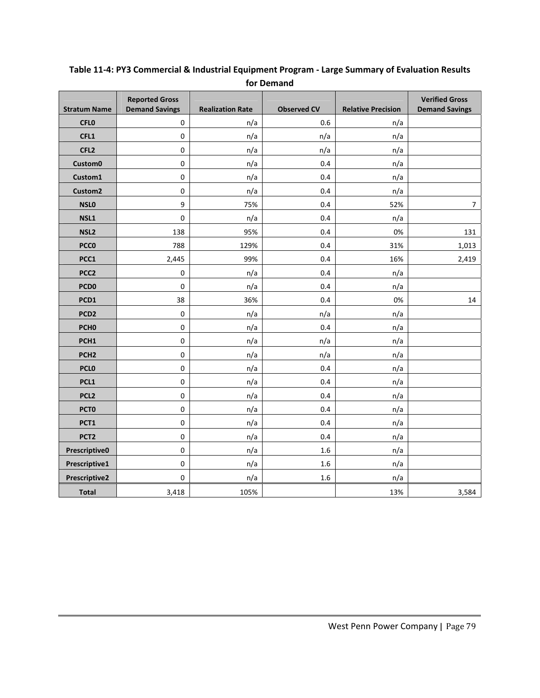| <b>Stratum Name</b>  | <b>Reported Gross</b><br><b>Demand Savings</b> | <b>Realization Rate</b> | <b>Observed CV</b> | <b>Relative Precision</b> | <b>Verified Gross</b><br><b>Demand Savings</b> |
|----------------------|------------------------------------------------|-------------------------|--------------------|---------------------------|------------------------------------------------|
| <b>CFLO</b>          | 0                                              | n/a                     | 0.6                | n/a                       |                                                |
| CFL1                 | $\pmb{0}$                                      | n/a                     | n/a                | n/a                       |                                                |
| CFL <sub>2</sub>     | $\pmb{0}$                                      | n/a                     | n/a                | n/a                       |                                                |
| Custom0              | $\pmb{0}$                                      | n/a                     | 0.4                | n/a                       |                                                |
| Custom1              | $\pmb{0}$                                      | n/a                     | 0.4                | n/a                       |                                                |
| Custom2              | $\pmb{0}$                                      | n/a                     | 0.4                | n/a                       |                                                |
| <b>NSLO</b>          | 9                                              | 75%                     | 0.4                | 52%                       | $\overline{7}$                                 |
| NSL1                 | $\pmb{0}$                                      | n/a                     | 0.4                | n/a                       |                                                |
| NSL <sub>2</sub>     | 138                                            | 95%                     | 0.4                | 0%                        | 131                                            |
| <b>PCCO</b>          | 788                                            | 129%                    | 0.4                | 31%                       | 1,013                                          |
| PCC1                 | 2,445                                          | 99%                     | 0.4                | 16%                       | 2,419                                          |
| PCC <sub>2</sub>     | $\pmb{0}$                                      | n/a                     | 0.4                | n/a                       |                                                |
| PCD <sub>0</sub>     | $\pmb{0}$                                      | n/a                     | 0.4                | n/a                       |                                                |
| PCD1                 | 38                                             | 36%                     | 0.4                | 0%                        | 14                                             |
| PCD <sub>2</sub>     | $\mathbf 0$                                    | n/a                     | n/a                | n/a                       |                                                |
| PCH <sub>0</sub>     | $\boldsymbol{0}$                               | n/a                     | 0.4                | n/a                       |                                                |
| PCH <sub>1</sub>     | $\mathbf 0$                                    | n/a                     | n/a                | n/a                       |                                                |
| PCH <sub>2</sub>     | $\boldsymbol{0}$                               | n/a                     | n/a                | n/a                       |                                                |
| <b>PCLO</b>          | $\mathbf 0$                                    | n/a                     | 0.4                | n/a                       |                                                |
| PCL1                 | $\pmb{0}$                                      | n/a                     | 0.4                | n/a                       |                                                |
| PCL <sub>2</sub>     | $\mathbf 0$                                    | n/a                     | 0.4                | n/a                       |                                                |
| PCT <sub>0</sub>     | $\mathbf 0$                                    | n/a                     | 0.4                | n/a                       |                                                |
| PCT1                 | $\pmb{0}$                                      | n/a                     | 0.4                | n/a                       |                                                |
| PCT <sub>2</sub>     | $\pmb{0}$                                      | n/a                     | 0.4                | n/a                       |                                                |
| <b>Prescriptive0</b> | $\pmb{0}$                                      | n/a                     | 1.6                | n/a                       |                                                |
| Prescriptive1        | $\pmb{0}$                                      | n/a                     | 1.6                | n/a                       |                                                |
| Prescriptive2        | $\pmb{0}$                                      | n/a                     | 1.6                | n/a                       |                                                |
| <b>Total</b>         | 3,418                                          | 105%                    |                    | 13%                       | 3,584                                          |

## **Table 11‐4: PY3 Commercial & Industrial Equipment Program ‐ Large Summary of Evaluation Results for Demand**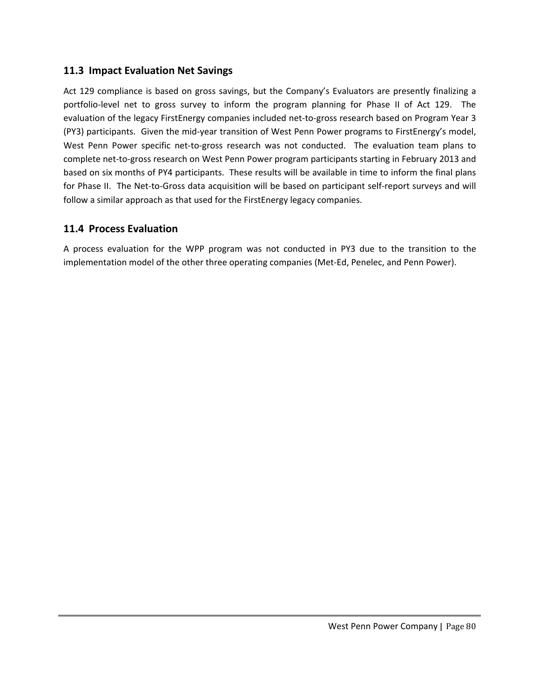### **11.3 Impact Evaluation Net Savings**

Act 129 compliance is based on gross savings, but the Company's Evaluators are presently finalizing a portfolio-level net to gross survey to inform the program planning for Phase II of Act 129. The evaluation of the legacy FirstEnergy companies included net‐to‐gross research based on Program Year 3 (PY3) participants. Given the mid‐year transition of West Penn Power programs to FirstEnergy's model, West Penn Power specific net-to-gross research was not conducted. The evaluation team plans to complete net-to-gross research on West Penn Power program participants starting in February 2013 and based on six months of PY4 participants. These results will be available in time to inform the final plans for Phase II. The Net-to-Gross data acquisition will be based on participant self-report surveys and will follow a similar approach as that used for the FirstEnergy legacy companies.

### **11.4 Process Evaluation**

A process evaluation for the WPP program was not conducted in PY3 due to the transition to the implementation model of the other three operating companies (Met‐Ed, Penelec, and Penn Power).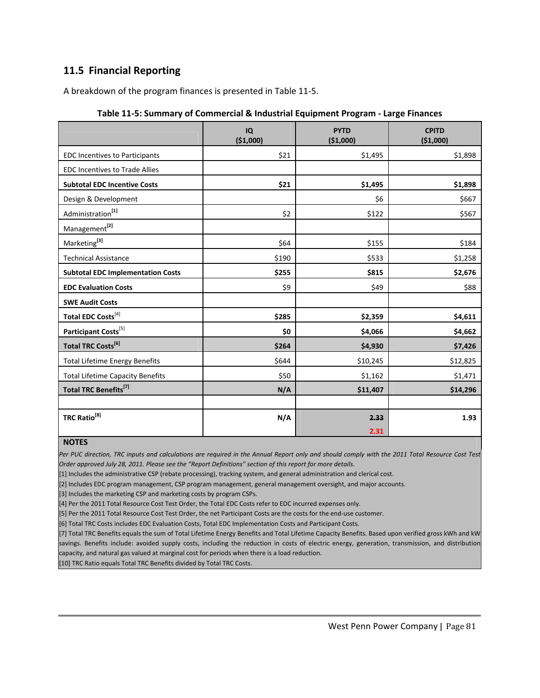A breakdown of the program finances is presented in Table 11‐5.

|                                          | IQ<br>(\$1,000) | <b>PYTD</b><br>(\$1,000) | <b>CPITD</b><br>(\$1,000) |
|------------------------------------------|-----------------|--------------------------|---------------------------|
| <b>EDC Incentives to Participants</b>    | \$21            | \$1,495                  | \$1,898                   |
| <b>EDC Incentives to Trade Allies</b>    |                 |                          |                           |
| <b>Subtotal EDC Incentive Costs</b>      | \$21            | \$1,495                  | \$1,898                   |
| Design & Development                     |                 | \$6                      | \$667                     |
| Administration <sup>[1]</sup>            | \$2             | \$122                    | \$567                     |
| Management <sup>[2]</sup>                |                 |                          |                           |
| Marketing <sup>[3]</sup>                 | \$64            | \$155                    | \$184                     |
| <b>Technical Assistance</b>              | \$190           | \$533                    | \$1,258                   |
| <b>Subtotal EDC Implementation Costs</b> | \$255           | \$815                    | \$2,676                   |
| <b>EDC Evaluation Costs</b>              | \$9             | \$49                     | \$88                      |
| <b>SWE Audit Costs</b>                   |                 |                          |                           |
| Total EDC Costs[4]                       | \$285           | \$2,359                  | \$4,611                   |
| Participant Costs[5]                     | \$0             | \$4,066                  | \$4,662                   |
| Total TRC Costs[6]                       | \$264           | \$4,930                  | \$7,426                   |
| <b>Total Lifetime Energy Benefits</b>    | \$644           | \$10,245                 | \$12,825                  |
| <b>Total Lifetime Capacity Benefits</b>  | \$50            | \$1,162                  | \$1,471                   |
| Total TRC Benefits <sup>[7]</sup>        | N/A             | \$11,407                 | \$14,296                  |
|                                          |                 |                          |                           |
| TRC Ratio <sup>[8]</sup>                 | N/A             | 2,33                     | 1.93                      |
|                                          |                 | 2.31                     |                           |

**Table 11‐5: Summary of Commercial & Industrial Equipment Program ‐ Large Finances**

#### **NOTES**

Per PUC direction, TRC inputs and calculations are required in the Annual Report only and should comply with the 2011 Total Resource Cost Test Order approved July 28, 2011. Please see the "Report Definitions" section of this report for more details.

[1] Includes the administrative CSP (rebate processing), tracking system, and general administration and clerical cost.

[2] Includes EDC program management, CSP program management, general management oversight, and major accounts.

[3] Includes the marketing CSP and marketing costs by program CSPs.

[4] Per the 2011 Total Resource Cost Test Order, the Total EDC Costs refer to EDC incurred expenses only.

[5] Per the 2011 Total Resource Cost Test Order, the net Participant Costs are the costs for the end‐use customer.

[6] Total TRC Costs includes EDC Evaluation Costs, Total EDC Implementation Costs and Participant Costs.

[7] Total TRC Benefits equals the sum of Total Lifetime Energy Benefits and Total Lifetime Capacity Benefits. Based upon verified gross kWh and kW savings. Benefits include: avoided supply costs, including the reduction in costs of electric energy, generation, transmission, and distribution capacity, and natural gas valued at marginal cost for periods when there is a load reduction.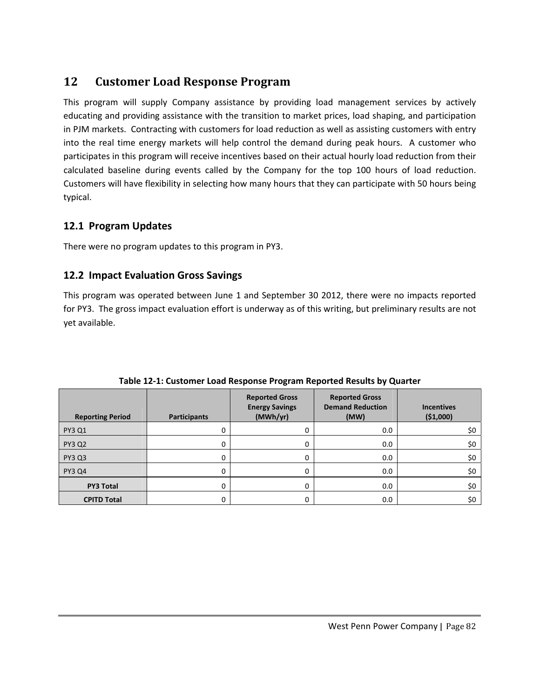# **12 Customer Load Response Program**

This program will supply Company assistance by providing load management services by actively educating and providing assistance with the transition to market prices, load shaping, and participation in PJM markets. Contracting with customers for load reduction as well as assisting customers with entry into the real time energy markets will help control the demand during peak hours. A customer who participates in this program will receive incentives based on their actual hourly load reduction from their calculated baseline during events called by the Company for the top 100 hours of load reduction. Customers will have flexibility in selecting how many hours that they can participate with 50 hours being typical.

## **12.1 Program Updates**

There were no program updates to this program in PY3.

## **12.2 Impact Evaluation Gross Savings**

This program was operated between June 1 and September 30 2012, there were no impacts reported for PY3. The gross impact evaluation effort is underway as of this writing, but preliminary results are not yet available.

| <b>Reporting Period</b> | <b>Participants</b> | <b>Reported Gross</b><br><b>Energy Savings</b><br>(MWh/yr) | <b>Reported Gross</b><br><b>Demand Reduction</b><br>(MW) | <b>Incentives</b><br>(51,000) |
|-------------------------|---------------------|------------------------------------------------------------|----------------------------------------------------------|-------------------------------|
| <b>PY3 Q1</b>           |                     | 0                                                          | 0.0                                                      | \$0                           |
| <b>PY3 Q2</b>           |                     | 0                                                          | 0.0                                                      | \$0                           |
| <b>PY3 Q3</b>           |                     | 0                                                          | 0.0                                                      | \$0                           |
| <b>PY3 Q4</b>           |                     | 0                                                          | 0.0                                                      | \$0                           |
| <b>PY3 Total</b>        |                     | 0                                                          | 0.0                                                      | \$0                           |
| <b>CPITD Total</b>      |                     | 0                                                          | 0.0                                                      | \$0                           |

### **Table 12‐1: Customer Load Response Program Reported Results by Quarter**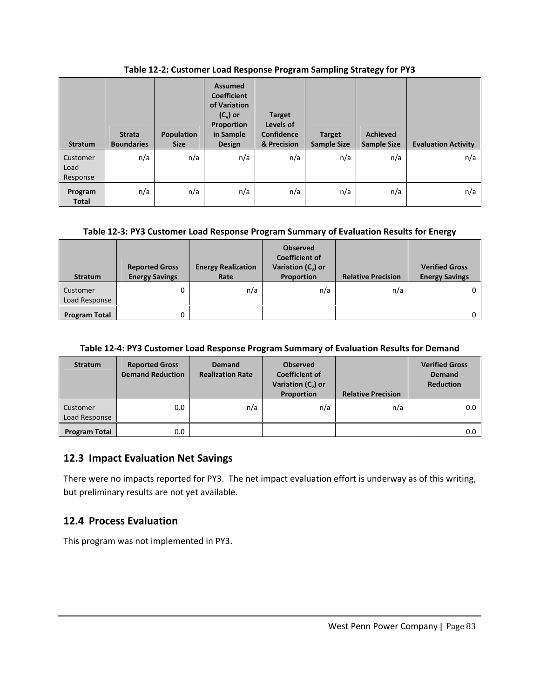| <b>Stratum</b>               | <b>Strata</b><br><b>Boundaries</b> | <b>Population</b><br><b>Size</b> | <b>Assumed</b><br><b>Coefficient</b><br>of Variation<br>$(C_v)$ or<br>Proportion<br>in Sample<br>Design | <b>Target</b><br>Levels of<br><b>Confidence</b><br>& Precision | <b>Target</b><br><b>Sample Size</b> | <b>Achieved</b><br><b>Sample Size</b> | <b>Evaluation Activity</b> |
|------------------------------|------------------------------------|----------------------------------|---------------------------------------------------------------------------------------------------------|----------------------------------------------------------------|-------------------------------------|---------------------------------------|----------------------------|
| Customer<br>Load<br>Response | n/a                                | n/a                              | n/a                                                                                                     | n/a                                                            | n/a                                 | n/a                                   | n/a                        |
| Program<br><b>Total</b>      | n/a                                | n/a                              | n/a                                                                                                     | n/a                                                            | n/a                                 | n/a                                   | n/a                        |

**Table 12‐2: Customer Load Response Program Sampling Strategy for PY3**

### **Table 12‐3: PY3 Customer Load Response Program Summary of Evaluation Results for Energy**

| <b>Stratum</b>            | <b>Reported Gross</b><br><b>Energy Savings</b> | <b>Energy Realization</b><br>Rate | <b>Observed</b><br><b>Coefficient of</b><br>Variation $(C_v)$ or<br>Proportion | <b>Relative Precision</b> | <b>Verified Gross</b><br><b>Energy Savings</b> |
|---------------------------|------------------------------------------------|-----------------------------------|--------------------------------------------------------------------------------|---------------------------|------------------------------------------------|
| Customer<br>Load Response | 0                                              | n/a                               | n/a                                                                            | n/a                       |                                                |
| <b>Program Total</b>      | 0                                              |                                   |                                                                                |                           |                                                |

### **Table 12‐4: PY3 Customer Load Response Program Summary of Evaluation Results for Demand**

| <b>Stratum</b>            | <b>Reported Gross</b><br><b>Demand Reduction</b> | <b>Demand</b><br><b>Realization Rate</b> | <b>Observed</b><br><b>Coefficient of</b><br>Variation $(C_v)$ or<br>Proportion | <b>Relative Precision</b> | <b>Verified Gross</b><br><b>Demand</b><br><b>Reduction</b> |
|---------------------------|--------------------------------------------------|------------------------------------------|--------------------------------------------------------------------------------|---------------------------|------------------------------------------------------------|
| Customer<br>Load Response | $0.0^{\circ}$                                    | n/a                                      | n/a                                                                            | n/a                       | 0.0                                                        |
| <b>Program Total</b>      | 0.0                                              |                                          |                                                                                |                           | 0.0                                                        |

## **12.3 Impact Evaluation Net Savings**

There were no impacts reported for PY3. The net impact evaluation effort is underway as of this writing, but preliminary results are not yet available.

## **12.4 Process Evaluation**

This program was not implemented in PY3.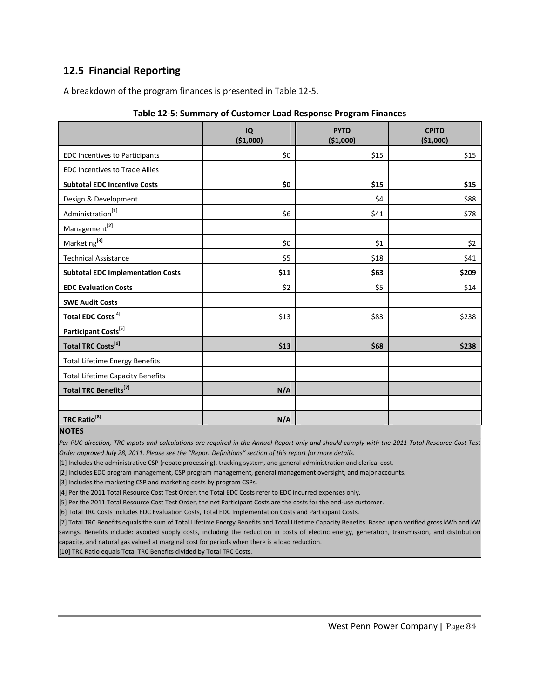A breakdown of the program finances is presented in Table 12‐5.

|                                          | IQ<br>(\$1,000) | <b>PYTD</b><br>(\$1,000) | <b>CPITD</b><br>(\$1,000) |
|------------------------------------------|-----------------|--------------------------|---------------------------|
| <b>EDC Incentives to Participants</b>    | \$0             | \$15                     | \$15                      |
| <b>EDC Incentives to Trade Allies</b>    |                 |                          |                           |
| <b>Subtotal EDC Incentive Costs</b>      | \$0             | \$15                     | \$15                      |
| Design & Development                     |                 | \$4                      | \$88                      |
| Administration <sup>[1]</sup>            | \$6             | \$41                     | \$78                      |
| Management <sup>[2]</sup>                |                 |                          |                           |
| Marketing <sup>[3]</sup>                 | \$0             | \$1                      | \$2                       |
| <b>Technical Assistance</b>              | \$5             | \$18                     | \$41                      |
| <b>Subtotal EDC Implementation Costs</b> | \$11            | \$63                     | \$209                     |
| <b>EDC Evaluation Costs</b>              | \$2             | \$5                      | \$14                      |
| <b>SWE Audit Costs</b>                   |                 |                          |                           |
| Total EDC Costs[4]                       | \$13            | \$83                     | \$238                     |
| Participant Costs[5]                     |                 |                          |                           |
| Total TRC Costs[6]                       | \$13            | \$68                     | \$238                     |
| <b>Total Lifetime Energy Benefits</b>    |                 |                          |                           |
| <b>Total Lifetime Capacity Benefits</b>  |                 |                          |                           |
| <b>Total TRC Benefits</b> <sup>[7]</sup> | N/A             |                          |                           |
|                                          |                 |                          |                           |
| TRC Ratio <sup>[8]</sup>                 | N/A             |                          |                           |

**Table 12‐5: Summary of Customer Load Response Program Finances**

**NOTES** 

Per PUC direction, TRC inputs and calculations are required in the Annual Report only and should comply with the 2011 Total Resource Cost Test Order approved July 28, 2011. Please see the "Report Definitions" section of this report for more details.

[1] Includes the administrative CSP (rebate processing), tracking system, and general administration and clerical cost.

[2] Includes EDC program management, CSP program management, general management oversight, and major accounts.

[3] Includes the marketing CSP and marketing costs by program CSPs.

[4] Per the 2011 Total Resource Cost Test Order, the Total EDC Costs refer to EDC incurred expenses only.

[5] Per the 2011 Total Resource Cost Test Order, the net Participant Costs are the costs for the end‐use customer.

[6] Total TRC Costs includes EDC Evaluation Costs, Total EDC Implementation Costs and Participant Costs.

[7] Total TRC Benefits equals the sum of Total Lifetime Energy Benefits and Total Lifetime Capacity Benefits. Based upon verified gross kWh and kW savings. Benefits include: avoided supply costs, including the reduction in costs of electric energy, generation, transmission, and distribution

capacity, and natural gas valued at marginal cost for periods when there is a load reduction.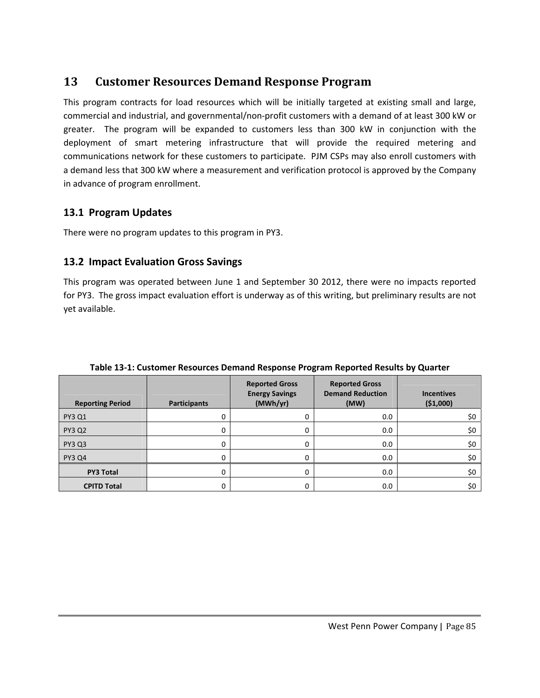# **13 Customer Resources Demand Response Program**

This program contracts for load resources which will be initially targeted at existing small and large, commercial and industrial, and governmental/non‐profit customers with a demand of at least 300 kW or greater. The program will be expanded to customers less than 300 kW in conjunction with the deployment of smart metering infrastructure that will provide the required metering and communications network for these customers to participate. PJM CSPs may also enroll customers with a demand less that 300 kW where a measurement and verification protocol is approved by the Company in advance of program enrollment.

## **13.1 Program Updates**

There were no program updates to this program in PY3.

## **13.2 Impact Evaluation Gross Savings**

This program was operated between June 1 and September 30 2012, there were no impacts reported for PY3. The gross impact evaluation effort is underway as of this writing, but preliminary results are not yet available.

| <b>Reporting Period</b> | <b>Participants</b> | <b>Reported Gross</b><br><b>Energy Savings</b><br>(MWh/yr) | <b>Reported Gross</b><br><b>Demand Reduction</b><br>(MW) | <b>Incentives</b><br>(\$1,000) |
|-------------------------|---------------------|------------------------------------------------------------|----------------------------------------------------------|--------------------------------|
| <b>PY3 Q1</b>           |                     | 0                                                          | 0.0                                                      | \$0                            |
| <b>PY3 Q2</b>           | 0                   | 0                                                          | 0.0                                                      | \$0                            |
| <b>PY3 Q3</b>           | O                   | 0                                                          | 0.0                                                      | \$0                            |
| <b>PY3 Q4</b>           |                     | 0                                                          | 0.0                                                      | \$0                            |
| <b>PY3 Total</b>        | U                   | 0                                                          | 0.0                                                      | \$0                            |
| <b>CPITD Total</b>      | 0                   | 0                                                          | 0.0                                                      | \$0                            |

### **Table 13‐1: Customer Resources Demand Response Program Reported Results by Quarter**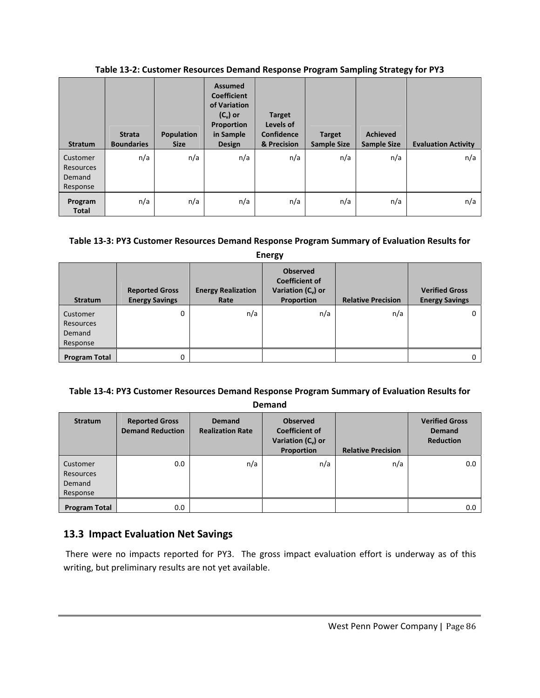| <b>Stratum</b>          | <b>Strata</b><br><b>Boundaries</b> | <b>Population</b><br><b>Size</b> | <b>Assumed</b><br><b>Coefficient</b><br>of Variation<br>$(C_v)$ or<br>Proportion<br>in Sample<br><b>Design</b> | <b>Target</b><br>Levels of<br>Confidence<br>& Precision | <b>Target</b><br><b>Sample Size</b> | <b>Achieved</b><br><b>Sample Size</b> | <b>Evaluation Activity</b> |
|-------------------------|------------------------------------|----------------------------------|----------------------------------------------------------------------------------------------------------------|---------------------------------------------------------|-------------------------------------|---------------------------------------|----------------------------|
| Customer<br>Resources   | n/a                                | n/a                              | n/a                                                                                                            | n/a                                                     | n/a                                 | n/a                                   | n/a                        |
| Demand                  |                                    |                                  |                                                                                                                |                                                         |                                     |                                       |                            |
| Response                |                                    |                                  |                                                                                                                |                                                         |                                     |                                       |                            |
| Program<br><b>Total</b> | n/a                                | n/a                              | n/a                                                                                                            | n/a                                                     | n/a                                 | n/a                                   | n/a                        |

**Table 13‐2: Customer Resources Demand Response Program Sampling Strategy for PY3**

### **Table 13‐3: PY3 Customer Resources Demand Response Program Summary of Evaluation Results for Energy**

|                                             |                                                |                                   | ---- 01                                                                        |                           |                                                |
|---------------------------------------------|------------------------------------------------|-----------------------------------|--------------------------------------------------------------------------------|---------------------------|------------------------------------------------|
| <b>Stratum</b>                              | <b>Reported Gross</b><br><b>Energy Savings</b> | <b>Energy Realization</b><br>Rate | <b>Observed</b><br><b>Coefficient of</b><br>Variation $(C_v)$ or<br>Proportion | <b>Relative Precision</b> | <b>Verified Gross</b><br><b>Energy Savings</b> |
| Customer<br>Resources<br>Demand<br>Response | 0                                              | n/a                               | n/a                                                                            | n/a                       |                                                |
| <b>Program Total</b>                        | 0                                              |                                   |                                                                                |                           |                                                |

# **Table 13‐4: PY3 Customer Resources Demand Response Program Summary of Evaluation Results for**

### **Demand**

| <b>Stratum</b>                              | <b>Reported Gross</b><br><b>Demand Reduction</b> | <b>Demand</b><br><b>Realization Rate</b> | <b>Observed</b><br><b>Coefficient of</b><br>Variation $(C_v)$ or<br>Proportion | <b>Relative Precision</b> | <b>Verified Gross</b><br><b>Demand</b><br><b>Reduction</b> |
|---------------------------------------------|--------------------------------------------------|------------------------------------------|--------------------------------------------------------------------------------|---------------------------|------------------------------------------------------------|
| Customer<br>Resources<br>Demand<br>Response | 0.0                                              | n/a                                      | n/a                                                                            | n/a                       | 0.0                                                        |
| <b>Program Total</b>                        | 0.0                                              |                                          |                                                                                |                           | 0.0                                                        |

## **13.3 Impact Evaluation Net Savings**

There were no impacts reported for PY3. The gross impact evaluation effort is underway as of this writing, but preliminary results are not yet available.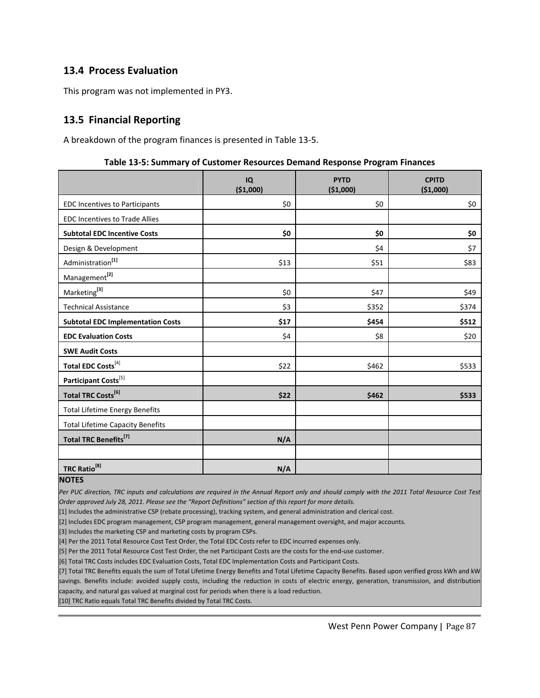### **13.4 Process Evaluation**

This program was not implemented in PY3.

### **13.5 Financial Reporting**

A breakdown of the program finances is presented in Table 13‐5.

|                                          | IQ<br>(\$1,000) | <b>PYTD</b><br>(\$1,000) | <b>CPITD</b><br>(\$1,000) |
|------------------------------------------|-----------------|--------------------------|---------------------------|
| <b>EDC Incentives to Participants</b>    | \$0             | \$0                      | \$0                       |
| <b>EDC Incentives to Trade Allies</b>    |                 |                          |                           |
| <b>Subtotal EDC Incentive Costs</b>      | \$0             | \$0                      | \$0                       |
| Design & Development                     |                 | \$4                      | $$7$                      |
| Administration <sup>[1]</sup>            | \$13            | \$51                     | \$83                      |
| Management <sup>[2]</sup>                |                 |                          |                           |
| Marketing <sup>[3]</sup>                 | \$0             | \$47                     | \$49                      |
| <b>Technical Assistance</b>              | \$3             | \$352                    | \$374                     |
| <b>Subtotal EDC Implementation Costs</b> | \$17            | \$454                    | \$512                     |
| <b>EDC Evaluation Costs</b>              | \$4             | \$8                      | \$20                      |
| <b>SWE Audit Costs</b>                   |                 |                          |                           |
| Total EDC Costs[4]                       | \$22            | \$462                    | \$533                     |
| Participant Costs[5]                     |                 |                          |                           |
| Total TRC Costs[6]                       | \$22            | \$462                    | \$533                     |
| <b>Total Lifetime Energy Benefits</b>    |                 |                          |                           |
| <b>Total Lifetime Capacity Benefits</b>  |                 |                          |                           |
| Total TRC Benefits <sup>[7]</sup>        | N/A             |                          |                           |
|                                          |                 |                          |                           |
| TRC Ratio <sup>[8]</sup>                 | N/A             |                          |                           |

|  | Table 13-5: Summary of Customer Resources Demand Response Program Finances |  |  |  |  |
|--|----------------------------------------------------------------------------|--|--|--|--|
|--|----------------------------------------------------------------------------|--|--|--|--|

**NOTES** 

Per PUC direction, TRC inputs and calculations are required in the Annual Report only and should comply with the 2011 Total Resource Cost Test Order approved July 28, 2011. Please see the "Report Definitions" section of this report for more details.

[1] Includes the administrative CSP (rebate processing), tracking system, and general administration and clerical cost.

[2] Includes EDC program management, CSP program management, general management oversight, and major accounts.

[3] Includes the marketing CSP and marketing costs by program CSPs.

[4] Per the 2011 Total Resource Cost Test Order, the Total EDC Costs refer to EDC incurred expenses only.

[5] Per the 2011 Total Resource Cost Test Order, the net Participant Costs are the costs for the end‐use customer.

[6] Total TRC Costs includes EDC Evaluation Costs, Total EDC Implementation Costs and Participant Costs.

[7] Total TRC Benefits equals the sum of Total Lifetime Energy Benefits and Total Lifetime Capacity Benefits. Based upon verified gross kWh and kW savings. Benefits include: avoided supply costs, including the reduction in costs of electric energy, generation, transmission, and distribution capacity, and natural gas valued at marginal cost for periods when there is a load reduction.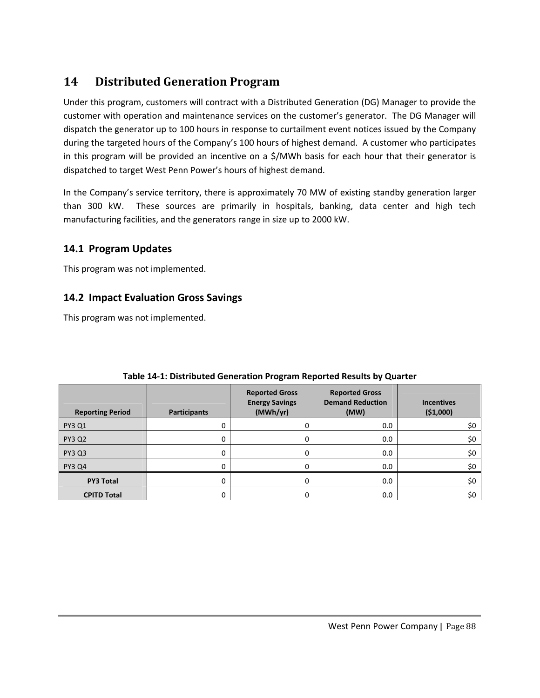# **14 Distributed Generation Program**

Under this program, customers will contract with a Distributed Generation (DG) Manager to provide the customer with operation and maintenance services on the customer's generator. The DG Manager will dispatch the generator up to 100 hours in response to curtailment event notices issued by the Company during the targeted hours of the Company's 100 hours of highest demand. A customer who participates in this program will be provided an incentive on a \$/MWh basis for each hour that their generator is dispatched to target West Penn Power's hours of highest demand.

In the Company's service territory, there is approximately 70 MW of existing standby generation larger than 300 kW. These sources are primarily in hospitals, banking, data center and high tech manufacturing facilities, and the generators range in size up to 2000 kW.

## **14.1 Program Updates**

This program was not implemented.

## **14.2 Impact Evaluation Gross Savings**

This program was not implemented.

| <b>Reporting Period</b> | <b>Participants</b> | <b>Reported Gross</b><br><b>Energy Savings</b><br>(MWh/yr) | <b>Reported Gross</b><br><b>Demand Reduction</b><br>(MW) | <b>Incentives</b><br>(51,000) |
|-------------------------|---------------------|------------------------------------------------------------|----------------------------------------------------------|-------------------------------|
| <b>PY3 Q1</b>           |                     | 0                                                          | 0.0                                                      | \$0                           |
| <b>PY3 Q2</b>           |                     | 0                                                          | 0.0                                                      | \$0                           |
| <b>PY3 Q3</b>           | O                   | 0                                                          | 0.0                                                      | \$0                           |
| <b>PY3 Q4</b>           |                     | 0                                                          | 0.0                                                      | \$0                           |
| <b>PY3 Total</b>        |                     | 0                                                          | 0.0                                                      | \$0                           |
| <b>CPITD Total</b>      |                     | 0                                                          | 0.0                                                      | \$0                           |

### **Table 14‐1: Distributed Generation Program Reported Results by Quarter**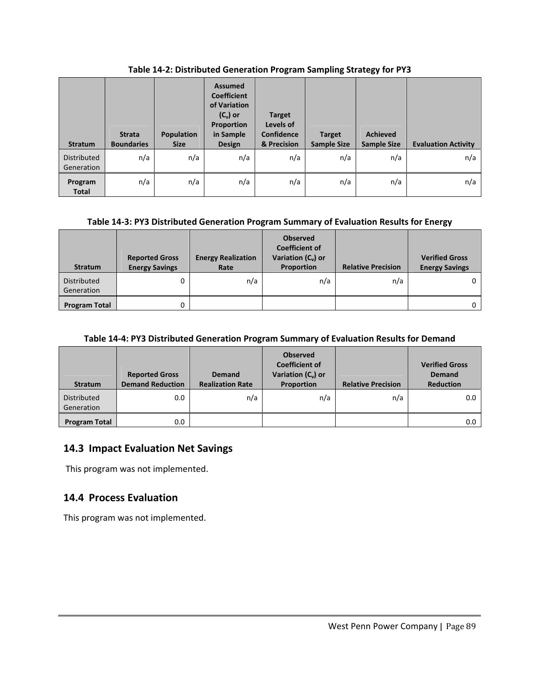| <b>Stratum</b>                   | <b>Strata</b><br><b>Boundaries</b> | <b>Population</b><br><b>Size</b> | <b>Assumed</b><br><b>Coefficient</b><br>of Variation<br>$(C_{\nu})$ or<br>Proportion<br>in Sample<br><b>Design</b> | <b>Target</b><br>Levels of<br><b>Confidence</b><br>& Precision | <b>Target</b><br><b>Sample Size</b> | <b>Achieved</b><br><b>Sample Size</b> | <b>Evaluation Activity</b> |
|----------------------------------|------------------------------------|----------------------------------|--------------------------------------------------------------------------------------------------------------------|----------------------------------------------------------------|-------------------------------------|---------------------------------------|----------------------------|
| <b>Distributed</b><br>Generation | n/a                                | n/a                              | n/a                                                                                                                | n/a                                                            | n/a                                 | n/a                                   | n/a                        |
| Program<br><b>Total</b>          | n/a                                | n/a                              | n/a                                                                                                                | n/a                                                            | n/a                                 | n/a                                   | n/a                        |

**Table 14‐2: Distributed Generation Program Sampling Strategy for PY3**

### **Table 14‐3: PY3 Distributed Generation Program Summary of Evaluation Results for Energy**

| <b>Stratum</b>                   | <b>Reported Gross</b><br><b>Energy Savings</b> | <b>Energy Realization</b><br>Rate | <b>Observed</b><br><b>Coefficient of</b><br>Variation $(C_v)$ or<br>Proportion | <b>Relative Precision</b> | <b>Verified Gross</b><br><b>Energy Savings</b> |
|----------------------------------|------------------------------------------------|-----------------------------------|--------------------------------------------------------------------------------|---------------------------|------------------------------------------------|
| <b>Distributed</b><br>Generation | 0                                              | n/a                               | n/a                                                                            | n/a                       |                                                |
| <b>Program Total</b>             | 0                                              |                                   |                                                                                |                           |                                                |

### **Table 14‐4: PY3 Distributed Generation Program Summary of Evaluation Results for Demand**

| <b>Stratum</b>            | <b>Reported Gross</b><br><b>Demand Reduction</b> | Demand<br><b>Realization Rate</b> | <b>Observed</b><br><b>Coefficient of</b><br>Variation $(C_v)$ or<br>Proportion | <b>Relative Precision</b> | <b>Verified Gross</b><br><b>Demand</b><br><b>Reduction</b> |
|---------------------------|--------------------------------------------------|-----------------------------------|--------------------------------------------------------------------------------|---------------------------|------------------------------------------------------------|
| Distributed<br>Generation | $0.0^{\circ}$                                    | n/a                               | n/a                                                                            | n/a                       | 0.0                                                        |
| <b>Program Total</b>      | $0.0\,$                                          |                                   |                                                                                |                           | 0.0                                                        |

## **14.3 Impact Evaluation Net Savings**

This program was not implemented.

## **14.4 Process Evaluation**

This program was not implemented.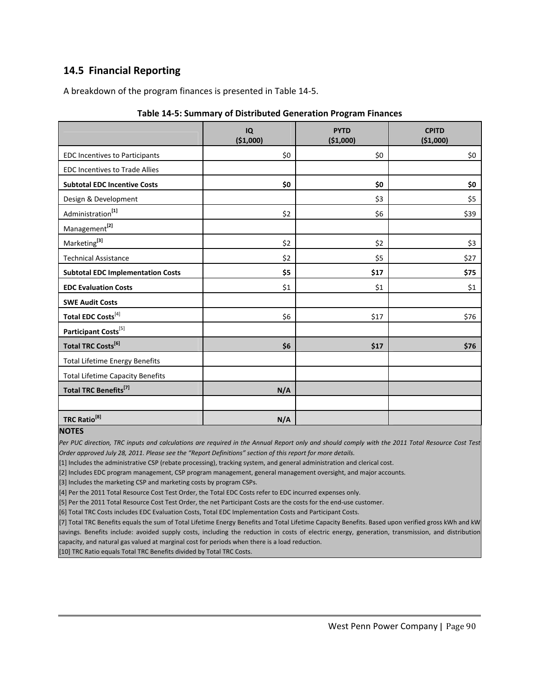A breakdown of the program finances is presented in Table 14‐5.

|                                          | IQ<br>(\$1,000) | <b>PYTD</b><br>(\$1,000) | <b>CPITD</b><br>(\$1,000) |
|------------------------------------------|-----------------|--------------------------|---------------------------|
| <b>EDC Incentives to Participants</b>    | \$0             | \$0                      | \$0                       |
| <b>EDC Incentives to Trade Allies</b>    |                 |                          |                           |
| <b>Subtotal EDC Incentive Costs</b>      | \$0             | \$0                      | \$0                       |
| Design & Development                     |                 | \$3                      | \$5                       |
| Administration <sup>[1]</sup>            | \$2             | \$6                      | \$39                      |
| Management <sup>[2]</sup>                |                 |                          |                           |
| Marketing <sup>[3]</sup>                 | \$2             | \$2                      | \$3                       |
| <b>Technical Assistance</b>              | \$2             | \$5                      | \$27                      |
| <b>Subtotal EDC Implementation Costs</b> | \$5             | \$17                     | \$75                      |
| <b>EDC Evaluation Costs</b>              | \$1             | $$1$$                    | \$1                       |
| <b>SWE Audit Costs</b>                   |                 |                          |                           |
| Total EDC Costs[4]                       | \$6             | \$17                     | \$76                      |
| Participant Costs[5]                     |                 |                          |                           |
| Total TRC Costs[6]                       | \$6             | \$17                     | \$76                      |
| <b>Total Lifetime Energy Benefits</b>    |                 |                          |                           |
| <b>Total Lifetime Capacity Benefits</b>  |                 |                          |                           |
| <b>Total TRC Benefits</b> <sup>[7]</sup> | N/A             |                          |                           |
|                                          |                 |                          |                           |
| TRC Ratio <sup>[8]</sup>                 | N/A             |                          |                           |

### **Table 14‐5: Summary of Distributed Generation Program Finances**

**NOTES** 

Per PUC direction, TRC inputs and calculations are required in the Annual Report only and should comply with the 2011 Total Resource Cost Test Order approved July 28, 2011. Please see the "Report Definitions" section of this report for more details.

[1] Includes the administrative CSP (rebate processing), tracking system, and general administration and clerical cost.

[2] Includes EDC program management, CSP program management, general management oversight, and major accounts.

[3] Includes the marketing CSP and marketing costs by program CSPs.

[4] Per the 2011 Total Resource Cost Test Order, the Total EDC Costs refer to EDC incurred expenses only.

[5] Per the 2011 Total Resource Cost Test Order, the net Participant Costs are the costs for the end‐use customer.

[6] Total TRC Costs includes EDC Evaluation Costs, Total EDC Implementation Costs and Participant Costs.

[7] Total TRC Benefits equals the sum of Total Lifetime Energy Benefits and Total Lifetime Capacity Benefits. Based upon verified gross kWh and kW savings. Benefits include: avoided supply costs, including the reduction in costs of electric energy, generation, transmission, and distribution

capacity, and natural gas valued at marginal cost for periods when there is a load reduction.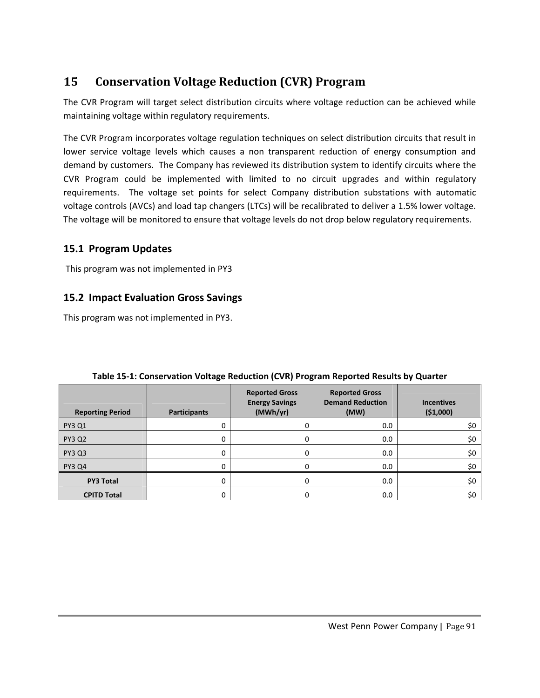# **15 Conservation Voltage Reduction (CVR) Program**

The CVR Program will target select distribution circuits where voltage reduction can be achieved while maintaining voltage within regulatory requirements.

The CVR Program incorporates voltage regulation techniques on select distribution circuits that result in lower service voltage levels which causes a non transparent reduction of energy consumption and demand by customers. The Company has reviewed its distribution system to identify circuits where the CVR Program could be implemented with limited to no circuit upgrades and within regulatory requirements. The voltage set points for select Company distribution substations with automatic voltage controls (AVCs) and load tap changers (LTCs) will be recalibrated to deliver a 1.5% lower voltage. The voltage will be monitored to ensure that voltage levels do not drop below regulatory requirements.

## **15.1 Program Updates**

This program was not implemented in PY3

## **15.2 Impact Evaluation Gross Savings**

This program was not implemented in PY3.

| <b>Reporting Period</b> | <b>Participants</b> | <b>Reported Gross</b><br><b>Energy Savings</b><br>(MWh/yr) | <b>Reported Gross</b><br><b>Demand Reduction</b><br>(MW) | <b>Incentives</b><br>(\$1,000) |
|-------------------------|---------------------|------------------------------------------------------------|----------------------------------------------------------|--------------------------------|
| <b>PY3 Q1</b>           |                     | 0                                                          | 0.0                                                      | \$0                            |
| <b>PY3 Q2</b>           |                     | 0                                                          | 0.0                                                      | \$0                            |
| <b>PY3 Q3</b>           | 0                   | 0                                                          | 0.0                                                      | \$0                            |
| <b>PY3 Q4</b>           |                     | 0                                                          | 0.0                                                      | \$0                            |
| <b>PY3 Total</b>        |                     | 0                                                          | 0.0                                                      | \$0                            |
| <b>CPITD Total</b>      |                     | 0                                                          | 0.0                                                      | \$0                            |

### **Table 15‐1: Conservation Voltage Reduction (CVR) Program Reported Results by Quarter**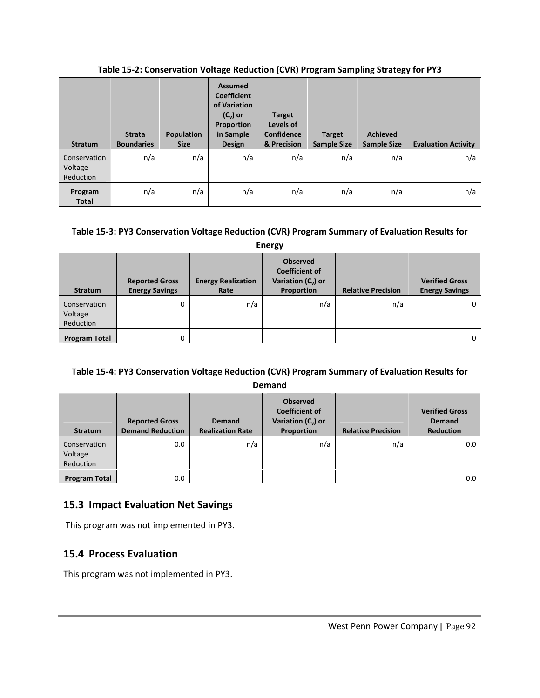| <b>Stratum</b>                       | <b>Strata</b><br><b>Boundaries</b> | Population<br><b>Size</b> | <b>Assumed</b><br><b>Coefficient</b><br>of Variation<br>$(C_v)$ or<br>Proportion<br>in Sample<br><b>Design</b> | <b>Target</b><br>Levels of<br><b>Confidence</b><br>& Precision | <b>Target</b><br><b>Sample Size</b> | <b>Achieved</b><br><b>Sample Size</b> | <b>Evaluation Activity</b> |
|--------------------------------------|------------------------------------|---------------------------|----------------------------------------------------------------------------------------------------------------|----------------------------------------------------------------|-------------------------------------|---------------------------------------|----------------------------|
| Conservation<br>Voltage<br>Reduction | n/a                                | n/a                       | n/a                                                                                                            | n/a                                                            | n/a                                 | n/a                                   | n/a                        |
| Program<br><b>Total</b>              | n/a                                | n/a                       | n/a                                                                                                            | n/a                                                            | n/a                                 | n/a                                   | n/a                        |

### **Table 15‐2: Conservation Voltage Reduction (CVR) Program Sampling Strategy for PY3**

### **Table 15‐3: PY3 Conservation Voltage Reduction (CVR) Program Summary of Evaluation Results for**

| <b>Energy</b>                        |                                                |                                   |                                                                                |                           |                                                |  |  |  |
|--------------------------------------|------------------------------------------------|-----------------------------------|--------------------------------------------------------------------------------|---------------------------|------------------------------------------------|--|--|--|
| <b>Stratum</b>                       | <b>Reported Gross</b><br><b>Energy Savings</b> | <b>Energy Realization</b><br>Rate | <b>Observed</b><br><b>Coefficient of</b><br>Variation $(C_v)$ or<br>Proportion | <b>Relative Precision</b> | <b>Verified Gross</b><br><b>Energy Savings</b> |  |  |  |
| Conservation<br>Voltage<br>Reduction | 0                                              | n/a                               | n/a                                                                            | n/a                       |                                                |  |  |  |
| <b>Program Total</b>                 | 0                                              |                                   |                                                                                |                           |                                                |  |  |  |

# **Table 15‐4: PY3 Conservation Voltage Reduction (CVR) Program Summary of Evaluation Results for**

**Demand**

| <b>Stratum</b>                       | <b>Reported Gross</b><br><b>Demand Reduction</b> | <b>Demand</b><br><b>Realization Rate</b> | <b>Observed</b><br><b>Coefficient of</b><br>Variation $(C_v)$ or<br>Proportion | <b>Relative Precision</b> | <b>Verified Gross</b><br><b>Demand</b><br><b>Reduction</b> |
|--------------------------------------|--------------------------------------------------|------------------------------------------|--------------------------------------------------------------------------------|---------------------------|------------------------------------------------------------|
| Conservation<br>Voltage<br>Reduction | $0.0\,$                                          | n/a                                      | n/a                                                                            | n/a                       | 0.0                                                        |
| <b>Program Total</b>                 | $0.0\,$                                          |                                          |                                                                                |                           | 0.0                                                        |

### **15.3 Impact Evaluation Net Savings**

This program was not implemented in PY3.

### **15.4 Process Evaluation**

This program was not implemented in PY3.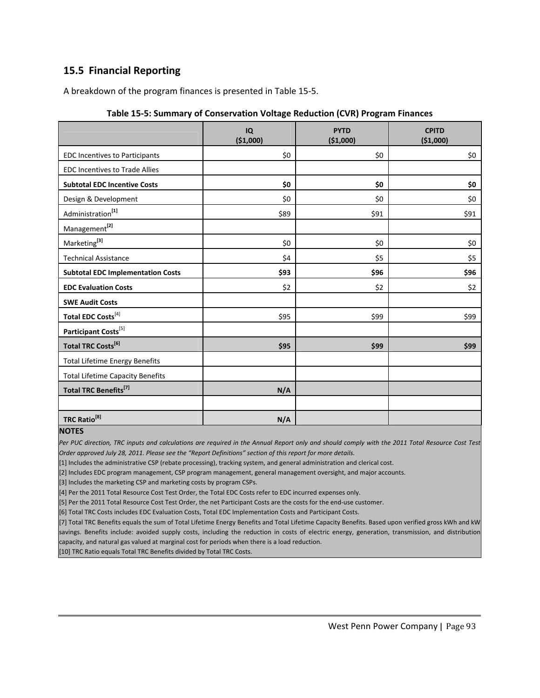A breakdown of the program finances is presented in Table 15‐5.

|                                          | IQ<br>(\$1,000) | <b>PYTD</b><br>(\$1,000) | <b>CPITD</b><br>(\$1,000) |
|------------------------------------------|-----------------|--------------------------|---------------------------|
| <b>EDC Incentives to Participants</b>    | \$0             | \$0                      | \$0                       |
| <b>EDC Incentives to Trade Allies</b>    |                 |                          |                           |
| <b>Subtotal EDC Incentive Costs</b>      | \$0             | \$0                      | \$0                       |
| Design & Development                     | \$0             | \$0                      | \$0                       |
| Administration <sup>[1]</sup>            | \$89            | \$91                     | \$91                      |
| Management <sup>[2]</sup>                |                 |                          |                           |
| Marketing <sup>[3]</sup>                 | \$0             | \$0                      | \$0                       |
| <b>Technical Assistance</b>              | \$4             | \$5                      | \$5                       |
| <b>Subtotal EDC Implementation Costs</b> | \$93            | \$96                     | \$96                      |
| <b>EDC Evaluation Costs</b>              | \$2             | \$2                      | \$2                       |
| <b>SWE Audit Costs</b>                   |                 |                          |                           |
| Total EDC Costs[4]                       | \$95            | \$99                     | \$99                      |
| Participant Costs[5]                     |                 |                          |                           |
| Total TRC Costs[6]                       | \$95            | \$99                     | \$99                      |
| <b>Total Lifetime Energy Benefits</b>    |                 |                          |                           |
| <b>Total Lifetime Capacity Benefits</b>  |                 |                          |                           |
| Total TRC Benefits <sup>[7]</sup>        | N/A             |                          |                           |
|                                          |                 |                          |                           |
| TRC Ratio <sup>[8]</sup>                 | N/A             |                          |                           |

**Table 15‐5: Summary of Conservation Voltage Reduction (CVR) Program Finances**

**NOTES** 

Per PUC direction, TRC inputs and calculations are required in the Annual Report only and should comply with the 2011 Total Resource Cost Test Order approved July 28, 2011. Please see the "Report Definitions" section of this report for more details.

[1] Includes the administrative CSP (rebate processing), tracking system, and general administration and clerical cost.

[2] Includes EDC program management, CSP program management, general management oversight, and major accounts.

[3] Includes the marketing CSP and marketing costs by program CSPs.

[4] Per the 2011 Total Resource Cost Test Order, the Total EDC Costs refer to EDC incurred expenses only.

[5] Per the 2011 Total Resource Cost Test Order, the net Participant Costs are the costs for the end‐use customer.

[6] Total TRC Costs includes EDC Evaluation Costs, Total EDC Implementation Costs and Participant Costs.

[7] Total TRC Benefits equals the sum of Total Lifetime Energy Benefits and Total Lifetime Capacity Benefits. Based upon verified gross kWh and kW savings. Benefits include: avoided supply costs, including the reduction in costs of electric energy, generation, transmission, and distribution

capacity, and natural gas valued at marginal cost for periods when there is a load reduction.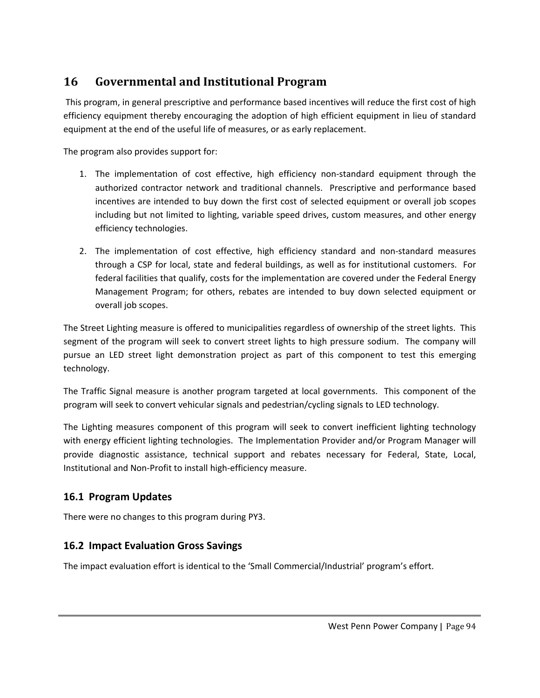# **16 Governmental and Institutional Program**

This program, in general prescriptive and performance based incentives will reduce the first cost of high efficiency equipment thereby encouraging the adoption of high efficient equipment in lieu of standard equipment at the end of the useful life of measures, or as early replacement.

The program also provides support for:

- 1. The implementation of cost effective, high efficiency non‐standard equipment through the authorized contractor network and traditional channels. Prescriptive and performance based incentives are intended to buy down the first cost of selected equipment or overall job scopes including but not limited to lighting, variable speed drives, custom measures, and other energy efficiency technologies.
- 2. The implementation of cost effective, high efficiency standard and non-standard measures through a CSP for local, state and federal buildings, as well as for institutional customers. For federal facilities that qualify, costs for the implementation are covered under the Federal Energy Management Program; for others, rebates are intended to buy down selected equipment or overall job scopes.

The Street Lighting measure is offered to municipalities regardless of ownership of the street lights. This segment of the program will seek to convert street lights to high pressure sodium. The company will pursue an LED street light demonstration project as part of this component to test this emerging technology.

The Traffic Signal measure is another program targeted at local governments. This component of the program will seek to convert vehicular signals and pedestrian/cycling signals to LED technology.

The Lighting measures component of this program will seek to convert inefficient lighting technology with energy efficient lighting technologies. The Implementation Provider and/or Program Manager will provide diagnostic assistance, technical support and rebates necessary for Federal, State, Local, Institutional and Non‐Profit to install high‐efficiency measure.

## **16.1 Program Updates**

There were no changes to this program during PY3.

## **16.2 Impact Evaluation Gross Savings**

The impact evaluation effort is identical to the 'Small Commercial/Industrial' program's effort.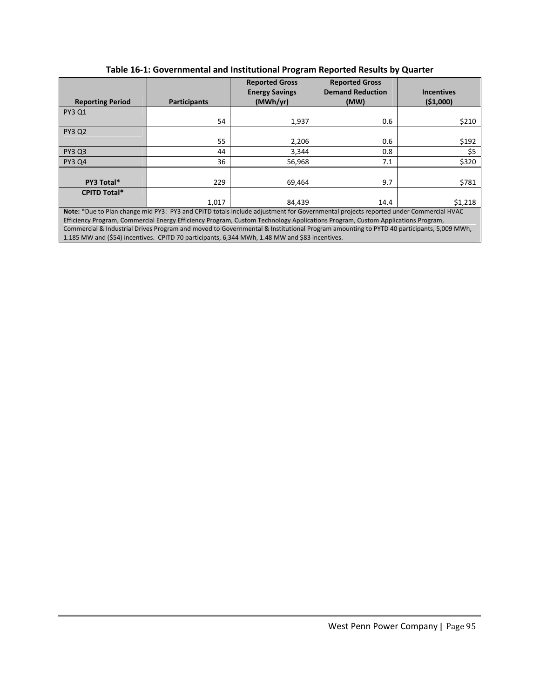|                                                                                                                                |                                                                                                                                        | <b>Reported Gross</b><br><b>Energy Savings</b>                                                 | <b>Reported Gross</b><br><b>Demand Reduction</b> | <b>Incentives</b> |  |  |  |
|--------------------------------------------------------------------------------------------------------------------------------|----------------------------------------------------------------------------------------------------------------------------------------|------------------------------------------------------------------------------------------------|--------------------------------------------------|-------------------|--|--|--|
| <b>Reporting Period</b>                                                                                                        | <b>Participants</b>                                                                                                                    | (MWh/vr)                                                                                       | (MW)                                             | (51,000)          |  |  |  |
| <b>PY3 Q1</b>                                                                                                                  |                                                                                                                                        |                                                                                                |                                                  |                   |  |  |  |
|                                                                                                                                | 54                                                                                                                                     | 1,937                                                                                          | 0.6                                              | \$210             |  |  |  |
| <b>PY3 Q2</b>                                                                                                                  |                                                                                                                                        |                                                                                                |                                                  |                   |  |  |  |
|                                                                                                                                | 55                                                                                                                                     | 2,206                                                                                          | 0.6                                              | \$192             |  |  |  |
| <b>PY3 Q3</b>                                                                                                                  | 44                                                                                                                                     | 3,344                                                                                          | 0.8                                              | \$5               |  |  |  |
| <b>PY3 Q4</b>                                                                                                                  | 36                                                                                                                                     | 56,968                                                                                         | 7.1                                              | \$320             |  |  |  |
|                                                                                                                                |                                                                                                                                        |                                                                                                |                                                  |                   |  |  |  |
| PY3 Total*                                                                                                                     | 229                                                                                                                                    | 69,464                                                                                         | 9.7                                              | \$781             |  |  |  |
| <b>CPITD Total*</b>                                                                                                            |                                                                                                                                        |                                                                                                |                                                  |                   |  |  |  |
|                                                                                                                                | 1,017                                                                                                                                  | 84,439                                                                                         | 14.4                                             | \$1,218           |  |  |  |
|                                                                                                                                | Note: *Due to Plan change mid PY3: PY3 and CPITD totals include adjustment for Governmental projects reported under Commercial HVAC    |                                                                                                |                                                  |                   |  |  |  |
| Efficiency Program, Commercial Energy Efficiency Program, Custom Technology Applications Program, Custom Applications Program, |                                                                                                                                        |                                                                                                |                                                  |                   |  |  |  |
|                                                                                                                                | Commercial & Industrial Drives Program and moved to Governmental & Institutional Program amounting to PYTD 40 participants, 5,009 MWh, |                                                                                                |                                                  |                   |  |  |  |
|                                                                                                                                |                                                                                                                                        | 1.185 MW and (\$54) incentives. CPITD 70 participants, 6,344 MWh, 1.48 MW and \$83 incentives. |                                                  |                   |  |  |  |

### **Table 16‐1: Governmental and Institutional Program Reported Results by Quarter**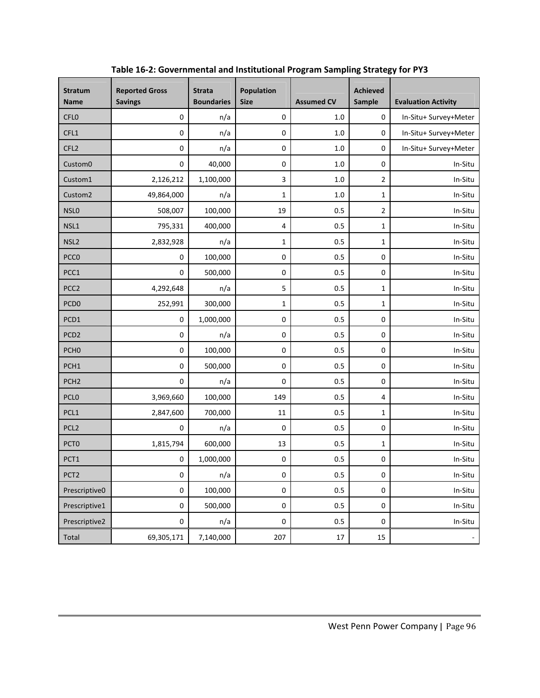| <b>Stratum</b><br><b>Name</b> | <b>Reported Gross</b><br><b>Savings</b> | <b>Strata</b><br><b>Boundaries</b> | Population<br><b>Size</b> | <b>Assumed CV</b> | <b>Achieved</b><br>Sample | <b>Evaluation Activity</b> |
|-------------------------------|-----------------------------------------|------------------------------------|---------------------------|-------------------|---------------------------|----------------------------|
| <b>CFLO</b>                   | 0                                       | n/a                                | 0                         | 1.0               | 0                         | In-Situ+ Survey+Meter      |
| CFL1                          | 0                                       | n/a                                | 0                         | 1.0               | 0                         | In-Situ+ Survey+Meter      |
| CFL <sub>2</sub>              | 0                                       | n/a                                | 0                         | 1.0               | 0                         | In-Situ+ Survey+Meter      |
| Custom0                       | $\pmb{0}$                               | 40,000                             | 0                         | 1.0               | 0                         | In-Situ                    |
| Custom1                       | 2,126,212                               | 1,100,000                          | 3                         | 1.0               | 2                         | In-Situ                    |
| Custom2                       | 49,864,000                              | n/a                                | 1                         | 1.0               | 1                         | In-Situ                    |
| NSL <sub>0</sub>              | 508,007                                 | 100,000                            | 19                        | 0.5               | 2                         | In-Situ                    |
| NSL1                          | 795,331                                 | 400,000                            | 4                         | 0.5               | 1                         | In-Situ                    |
| NSL <sub>2</sub>              | 2,832,928                               | n/a                                | 1                         | 0.5               | 1                         | In-Situ                    |
| PCC <sub>0</sub>              | 0                                       | 100,000                            | 0                         | 0.5               | 0                         | In-Situ                    |
| PCC1                          | 0                                       | 500,000                            | 0                         | 0.5               | 0                         | In-Situ                    |
| PCC <sub>2</sub>              | 4,292,648                               | n/a                                | 5                         | 0.5               | 1                         | In-Situ                    |
| PCD <sub>0</sub>              | 252,991                                 | 300,000                            | 1                         | 0.5               | 1                         | In-Situ                    |
| PCD1                          | $\pmb{0}$                               | 1,000,000                          | 0                         | 0.5               | 0                         | In-Situ                    |
| PCD <sub>2</sub>              | $\boldsymbol{0}$                        | n/a                                | 0                         | 0.5               | 0                         | In-Situ                    |
| PCH <sub>0</sub>              | $\pmb{0}$                               | 100,000                            | 0                         | 0.5               | 0                         | In-Situ                    |
| PCH1                          | 0                                       | 500,000                            | 0                         | 0.5               | 0                         | In-Situ                    |
| PCH <sub>2</sub>              | $\mathbf 0$                             | n/a                                | 0                         | 0.5               | 0                         | In-Situ                    |
| <b>PCLO</b>                   | 3,969,660                               | 100,000                            | 149                       | 0.5               | 4                         | In-Situ                    |
| PCL1                          | 2,847,600                               | 700,000                            | 11                        | 0.5               | 1                         | In-Situ                    |
| PCL <sub>2</sub>              | 0                                       | n/a                                | 0                         | 0.5               | 0                         | In-Situ                    |
| PCT <sub>0</sub>              | 1,815,794                               | 600,000                            | 13                        | 0.5               | 1                         | In-Situ                    |
| PCT1                          | 0                                       | 1,000,000                          | 0                         | 0.5               | 0                         | In-Situ                    |
| PCT <sub>2</sub>              | $\pmb{0}$                               | n/a                                | $\pmb{0}$                 | 0.5               | $\pmb{0}$                 | In-Situ                    |
| Prescriptive0                 | $\pmb{0}$                               | 100,000                            | $\pmb{0}$                 | 0.5               | $\pmb{0}$                 | In-Situ                    |
| Prescriptive1                 | $\pmb{0}$                               | 500,000                            | $\pmb{0}$                 | 0.5               | $\pmb{0}$                 | In-Situ                    |
| Prescriptive2                 | $\pmb{0}$                               | n/a                                | $\pmb{0}$                 | 0.5               | $\pmb{0}$                 | In-Situ                    |
| Total                         | 69,305,171                              | 7,140,000                          | 207                       | $17\,$            | 15                        |                            |

**Table 16‐2: Governmental and Institutional Program Sampling Strategy for PY3**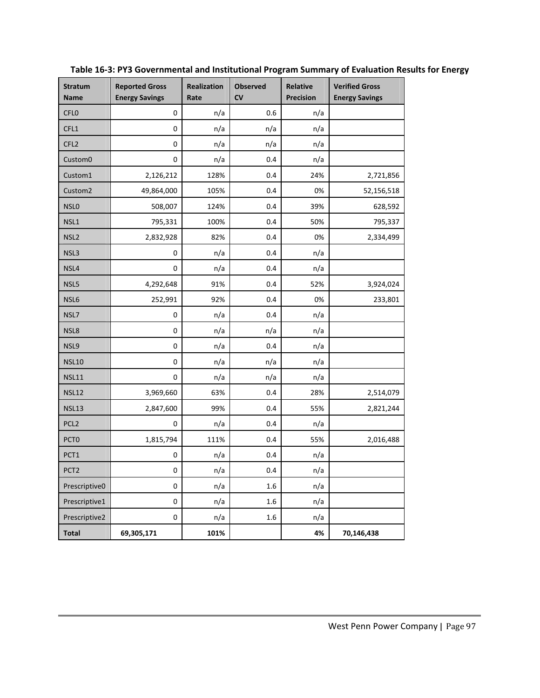| <b>Stratum</b><br><b>Name</b> | <b>Reported Gross</b><br><b>Energy Savings</b> | Realization<br>Rate | <b>Observed</b><br>CV | Relative<br>Precision | <b>Verified Gross</b><br><b>Energy Savings</b> |
|-------------------------------|------------------------------------------------|---------------------|-----------------------|-----------------------|------------------------------------------------|
| <b>CFLO</b>                   | $\mathbf 0$                                    | n/a                 | 0.6                   | n/a                   |                                                |
| CFL1                          | 0                                              | n/a                 | n/a                   | n/a                   |                                                |
| CFL <sub>2</sub>              | 0                                              | n/a                 | n/a                   | n/a                   |                                                |
| Custom0                       | 0                                              | n/a                 | 0.4                   | n/a                   |                                                |
| Custom1                       | 2,126,212                                      | 128%                | 0.4                   | 24%                   | 2,721,856                                      |
| Custom2                       | 49,864,000                                     | 105%                | 0.4                   | 0%                    | 52,156,518                                     |
| <b>NSLO</b>                   | 508,007                                        | 124%                | 0.4                   | 39%                   | 628,592                                        |
| NSL1                          | 795,331                                        | 100%                | 0.4                   | 50%                   | 795,337                                        |
| NSL <sub>2</sub>              | 2,832,928                                      | 82%                 | 0.4                   | 0%                    | 2,334,499                                      |
| NSL3                          | 0                                              | n/a                 | 0.4                   | n/a                   |                                                |
| NSL4                          | $\boldsymbol{0}$                               | n/a                 | 0.4                   | n/a                   |                                                |
| NSL5                          | 4,292,648                                      | 91%                 | 0.4                   | 52%                   | 3,924,024                                      |
| NSL6                          | 252,991                                        | 92%                 | 0.4                   | 0%                    | 233,801                                        |
| NSL7                          | 0                                              | n/a                 | 0.4                   | n/a                   |                                                |
| NSL8                          | 0                                              | n/a                 | n/a                   | n/a                   |                                                |
| NSL9                          | 0                                              | n/a                 | 0.4                   | n/a                   |                                                |
| <b>NSL10</b>                  | 0                                              | n/a                 | n/a                   | n/a                   |                                                |
| <b>NSL11</b>                  | 0                                              | n/a                 | n/a                   | n/a                   |                                                |
| <b>NSL12</b>                  | 3,969,660                                      | 63%                 | 0.4                   | 28%                   | 2,514,079                                      |
| <b>NSL13</b>                  | 2,847,600                                      | 99%                 | 0.4                   | 55%                   | 2,821,244                                      |
| PCL <sub>2</sub>              | 0                                              | n/a                 | 0.4                   | n/a                   |                                                |
| PCT <sub>0</sub>              | 1,815,794                                      | 111%                | 0.4                   | 55%                   | 2,016,488                                      |
| PCT1                          | 0                                              | n/a                 | 0.4                   | n/a                   |                                                |
| PCT <sub>2</sub>              | 0                                              | n/a                 | 0.4                   | n/a                   |                                                |
| Prescriptive0                 | $\mathbf 0$                                    | n/a                 | 1.6                   | n/a                   |                                                |
| Prescriptive1                 | 0                                              | n/a                 | 1.6                   | n/a                   |                                                |
| Prescriptive2                 | 0                                              | n/a                 | $1.6\,$               | n/a                   |                                                |
| <b>Total</b>                  | 69,305,171                                     | 101%                |                       | 4%                    | 70,146,438                                     |

**Table 16‐3: PY3 Governmental and Institutional Program Summary of Evaluation Results for Energy**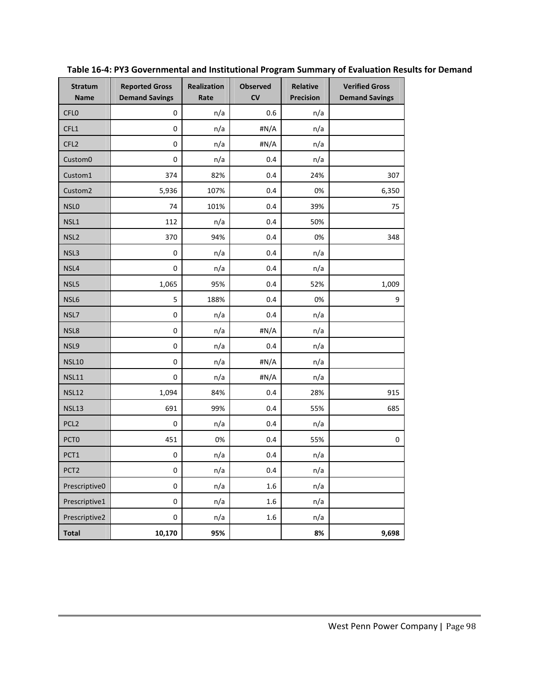| <b>Stratum</b><br><b>Name</b> | <b>Reported Gross</b><br><b>Demand Savings</b> | Realization<br>Rate | Observed<br>${\sf CV}$ | <b>Relative</b><br>Precision | <b>Verified Gross</b><br><b>Demand Savings</b> |
|-------------------------------|------------------------------------------------|---------------------|------------------------|------------------------------|------------------------------------------------|
| <b>CFLO</b>                   | 0                                              | n/a                 | 0.6                    | n/a                          |                                                |
| CFL1                          | 0                                              | n/a                 | #N/A                   | n/a                          |                                                |
| CFL <sub>2</sub>              | 0                                              | n/a                 | #N/A                   | n/a                          |                                                |
| Custom0                       | 0                                              | n/a                 | 0.4                    | n/a                          |                                                |
| Custom1                       | 374                                            | 82%                 | 0.4                    | 24%                          | 307                                            |
| Custom2                       | 5,936                                          | 107%                | 0.4                    | 0%                           | 6,350                                          |
| <b>NSLO</b>                   | 74                                             | 101%                | 0.4                    | 39%                          | 75                                             |
| NSL1                          | 112                                            | n/a                 | 0.4                    | 50%                          |                                                |
| NSL <sub>2</sub>              | 370                                            | 94%                 | 0.4                    | 0%                           | 348                                            |
| NSL3                          | 0                                              | n/a                 | 0.4                    | n/a                          |                                                |
| NSL4                          | $\boldsymbol{0}$                               | n/a                 | 0.4                    | n/a                          |                                                |
| NSL5                          | 1,065                                          | 95%                 | 0.4                    | 52%                          | 1,009                                          |
| NSL6                          | 5                                              | 188%                | 0.4                    | 0%                           | 9                                              |
| NSL7                          | 0                                              | n/a                 | 0.4                    | n/a                          |                                                |
| NSL8                          | $\mathbf 0$                                    | n/a                 | #N/A                   | n/a                          |                                                |
| NSL9                          | 0                                              | n/a                 | 0.4                    | n/a                          |                                                |
| <b>NSL10</b>                  | 0                                              | n/a                 | #N/A                   | n/a                          |                                                |
| <b>NSL11</b>                  | 0                                              | n/a                 | #N/A                   | n/a                          |                                                |
| <b>NSL12</b>                  | 1,094                                          | 84%                 | 0.4                    | 28%                          | 915                                            |
| <b>NSL13</b>                  | 691                                            | 99%                 | 0.4                    | 55%                          | 685                                            |
| PCL <sub>2</sub>              | 0                                              | n/a                 | 0.4                    | n/a                          |                                                |
| PCT <sub>0</sub>              | 451                                            | 0%                  | 0.4                    | 55%                          | 0                                              |
| PCT1                          | 0                                              | n/a                 | 0.4                    | n/a                          |                                                |
| PCT <sub>2</sub>              | 0                                              | n/a                 | 0.4                    | n/a                          |                                                |
| Prescriptive0                 | 0                                              | n/a                 | 1.6                    | n/a                          |                                                |
| Prescriptive1                 | $\boldsymbol{0}$                               | n/a                 | 1.6                    | n/a                          |                                                |
| Prescriptive2                 | $\boldsymbol{0}$                               | n/a                 | $1.6\,$                | n/a                          |                                                |
| <b>Total</b>                  | 10,170                                         | 95%                 |                        | 8%                           | 9,698                                          |

**Table 16‐4: PY3 Governmental and Institutional Program Summary of Evaluation Results for Demand**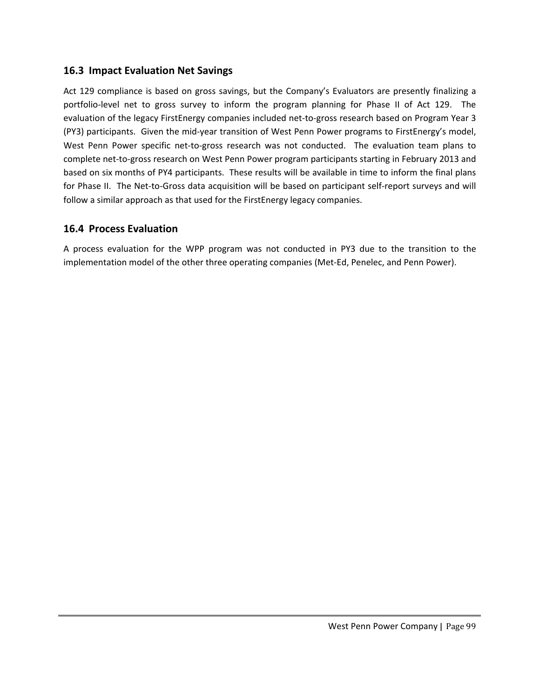### **16.3 Impact Evaluation Net Savings**

Act 129 compliance is based on gross savings, but the Company's Evaluators are presently finalizing a portfolio-level net to gross survey to inform the program planning for Phase II of Act 129. The evaluation of the legacy FirstEnergy companies included net‐to‐gross research based on Program Year 3 (PY3) participants. Given the mid‐year transition of West Penn Power programs to FirstEnergy's model, West Penn Power specific net-to-gross research was not conducted. The evaluation team plans to complete net-to-gross research on West Penn Power program participants starting in February 2013 and based on six months of PY4 participants. These results will be available in time to inform the final plans for Phase II. The Net-to-Gross data acquisition will be based on participant self-report surveys and will follow a similar approach as that used for the FirstEnergy legacy companies.

### **16.4 Process Evaluation**

A process evaluation for the WPP program was not conducted in PY3 due to the transition to the implementation model of the other three operating companies (Met‐Ed, Penelec, and Penn Power).